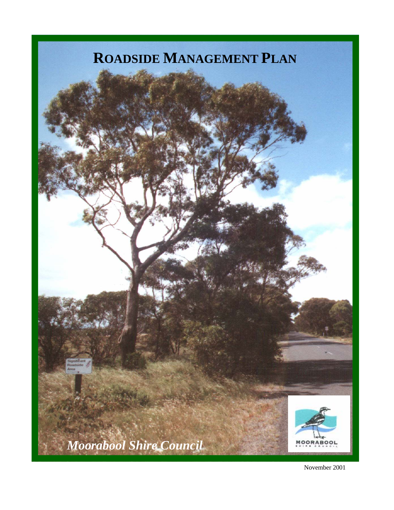## **ROADSIDE MANAGEMENT PLAN**



November 2001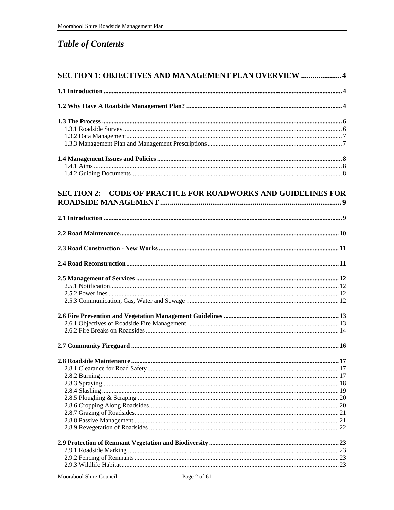### **Table of Contents**

| <b>SECTION 1: OBJECTIVES AND MANAGEMENT PLAN OVERVIEW  4</b>        |  |
|---------------------------------------------------------------------|--|
|                                                                     |  |
|                                                                     |  |
|                                                                     |  |
|                                                                     |  |
|                                                                     |  |
|                                                                     |  |
|                                                                     |  |
|                                                                     |  |
|                                                                     |  |
| <b>SECTION 2: CODE OF PRACTICE FOR ROADWORKS AND GUIDELINES FOR</b> |  |
|                                                                     |  |
|                                                                     |  |
|                                                                     |  |
|                                                                     |  |
|                                                                     |  |
|                                                                     |  |
|                                                                     |  |
|                                                                     |  |
|                                                                     |  |
|                                                                     |  |
|                                                                     |  |
|                                                                     |  |
|                                                                     |  |
|                                                                     |  |
|                                                                     |  |
|                                                                     |  |
|                                                                     |  |
|                                                                     |  |
|                                                                     |  |
|                                                                     |  |
|                                                                     |  |
|                                                                     |  |
|                                                                     |  |
|                                                                     |  |
|                                                                     |  |
|                                                                     |  |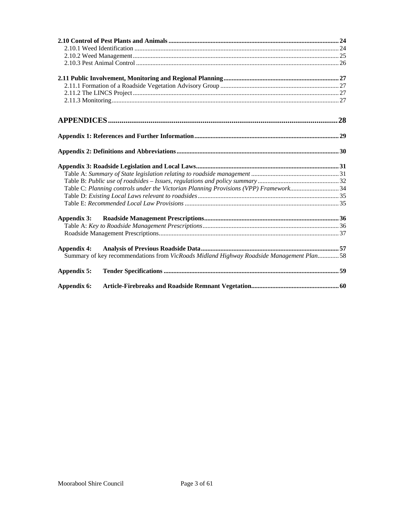| Table C: Planning controls under the Victorian Planning Provisions (VPP) Framework34     |  |
|------------------------------------------------------------------------------------------|--|
|                                                                                          |  |
|                                                                                          |  |
| Appendix 3:                                                                              |  |
|                                                                                          |  |
|                                                                                          |  |
| <b>Appendix 4:</b>                                                                       |  |
| Summary of key recommendations from VicRoads Midland Highway Roadside Management Plan 58 |  |
| Appendix 5:                                                                              |  |
| Appendix 6:                                                                              |  |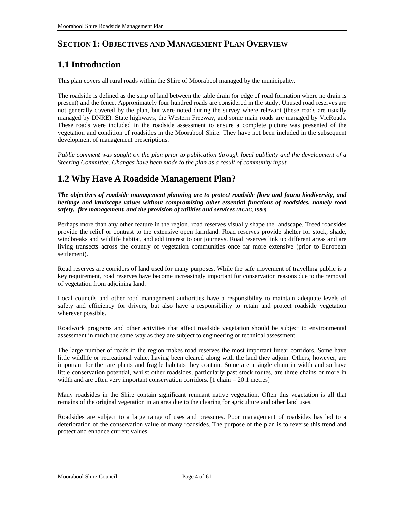### <span id="page-3-0"></span>**SECTION 1: OBJECTIVES AND MANAGEMENT PLAN OVERVIEW**

### **1.1 Introduction**

This plan covers all rural roads within the Shire of Moorabool managed by the municipality.

The roadside is defined as the strip of land between the table drain (or edge of road formation where no drain is present) and the fence. Approximately four hundred roads are considered in the study. Unused road reserves are not generally covered by the plan, but were noted during the survey where relevant (these roads are usually managed by DNRE). State highways, the Western Freeway, and some main roads are managed by VicRoads. These roads were included in the roadside assessment to ensure a complete picture was presented of the vegetation and condition of roadsides in the Moorabool Shire. They have not been included in the subsequent development of management prescriptions.

*Public comment was sought on the plan prior to publication through local publicity and the development of a Steering Committee. Changes have been made to the plan as a result of community input.* 

### **1.2 Why Have A Roadside Management Plan?**

*The objectives of roadside management planning are to protect roadside flora and fauna biodiversity, and heritage and landscape values without compromising other essential functions of roadsides, namely road safety, fire management, and the provision of utilities and services (RCAC, 1999).*

Perhaps more than any other feature in the region, road reserves visually shape the landscape. Treed roadsides provide the relief or contrast to the extensive open farmland. Road reserves provide shelter for stock, shade, windbreaks and wildlife habitat, and add interest to our journeys. Road reserves link up different areas and are living transects across the country of vegetation communities once far more extensive (prior to European settlement).

Road reserves are corridors of land used for many purposes. While the safe movement of travelling public is a key requirement, road reserves have become increasingly important for conservation reasons due to the removal of vegetation from adjoining land.

Local councils and other road management authorities have a responsibility to maintain adequate levels of safety and efficiency for drivers, but also have a responsibility to retain and protect roadside vegetation wherever possible.

Roadwork programs and other activities that affect roadside vegetation should be subject to environmental assessment in much the same way as they are subject to engineering or technical assessment.

The large number of roads in the region makes road reserves the most important linear corridors. Some have little wildlife or recreational value, having been cleared along with the land they adjoin. Others, however, are important for the rare plants and fragile habitats they contain. Some are a single chain in width and so have little conservation potential, whilst other roadsides, particularly past stock routes, are three chains or more in width and are often very important conservation corridors. [1 chain = 20.1 metres]

Many roadsides in the Shire contain significant remnant native vegetation. Often this vegetation is all that remains of the original vegetation in an area due to the clearing for agriculture and other land uses.

Roadsides are subject to a large range of uses and pressures. Poor management of roadsides has led to a deterioration of the conservation value of many roadsides. The purpose of the plan is to reverse this trend and protect and enhance current values.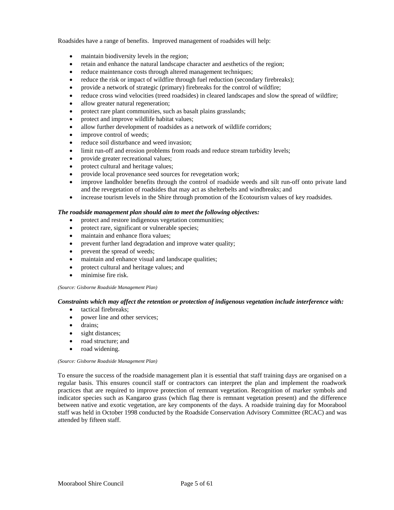Roadsides have a range of benefits. Improved management of roadsides will help:

- maintain biodiversity levels in the region;
- retain and enhance the natural landscape character and aesthetics of the region;
- reduce maintenance costs through altered management techniques;
- reduce the risk or impact of wildfire through fuel reduction (secondary firebreaks);
- provide a network of strategic (primary) firebreaks for the control of wildfire;
- reduce cross wind velocities (treed roadsides) in cleared landscapes and slow the spread of wildfire;
- allow greater natural regeneration;
- protect rare plant communities, such as basalt plains grasslands;
- protect and improve wildlife habitat values;
- allow further development of roadsides as a network of wildlife corridors;
- improve control of weeds;
- reduce soil disturbance and weed invasion:
- limit run-off and erosion problems from roads and reduce stream turbidity levels;
- provide greater recreational values;
- protect cultural and heritage values;
- provide local provenance seed sources for revegetation work;
- improve landholder benefits through the control of roadside weeds and silt run-off onto private land and the revegetation of roadsides that may act as shelterbelts and windbreaks; and
- increase tourism levels in the Shire through promotion of the Ecotourism values of key roadsides.

#### *The roadside management plan should aim to meet the following objectives:*

- protect and restore indigenous vegetation communities;
- protect rare, significant or vulnerable species;
- maintain and enhance flora values;
- prevent further land degradation and improve water quality;
- prevent the spread of weeds;
- maintain and enhance visual and landscape qualities;
- protect cultural and heritage values; and
- minimise fire risk.

*(Source: Gisborne Roadside Management Plan)* 

#### *Constraints which may affect the retention or protection of indigenous vegetation include interference with:*

- tactical firebreaks;
- power line and other services;
- drains:
- sight distances;
- road structure; and
- road widening.

#### *(Source: Gisborne Roadside Management Plan)*

To ensure the success of the roadside management plan it is essential that staff training days are organised on a regular basis. This ensures council staff or contractors can interpret the plan and implement the roadwork practices that are required to improve protection of remnant vegetation. Recognition of marker symbols and indicator species such as Kangaroo grass (which flag there is remnant vegetation present) and the difference between native and exotic vegetation, are key components of the days. A roadside training day for Moorabool staff was held in October 1998 conducted by the Roadside Conservation Advisory Committee (RCAC) and was attended by fifteen staff.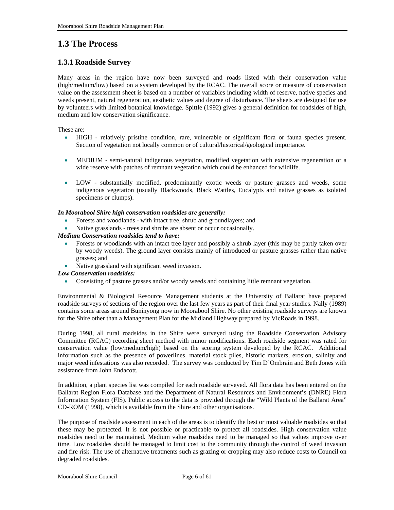### <span id="page-5-0"></span>**1.3 The Process**

#### **1.3.1 Roadside Survey**

Many areas in the region have now been surveyed and roads listed with their conservation value (high/medium/low) based on a system developed by the RCAC. The overall score or measure of conservation value on the assessment sheet is based on a number of variables including width of reserve, native species and weeds present, natural regeneration, aesthetic values and degree of disturbance. The sheets are designed for use by volunteers with limited botanical knowledge. Spittle (1992) gives a general definition for roadsides of high, medium and low conservation significance.

These are:

- HIGH - relatively pristine condition, rare, vulnerable or significant flora or fauna species present. Section of vegetation not locally common or of cultural/historical/geological importance.
- MEDIUM - semi-natural indigenous vegetation, modified vegetation with extensive regeneration or a wide reserve with patches of remnant vegetation which could be enhanced for wildlife.
- LOW substantially modified, predominantly exotic weeds or pasture grasses and weeds, some indigenous vegetation (usually Blackwoods, Black Wattles, Eucalypts and native grasses as isolated specimens or clumps).

#### *In Moorabool Shire high conservation roadsides are generally:*

- Forests and woodlands - with intact tree, shrub and groundlayers; and
- Native grasslands - trees and shrubs are absent or occur occasionally.

#### *Medium Conservation roadsides tend to have:*

- Forests or woodlands with an intact tree layer and possibly a shrub layer (this may be partly taken over by woody weeds). The ground layer consists mainly of introduced or pasture grasses rather than native grasses; and
- Native grassland with significant weed invasion.
- *Low Conservation roadsides:* 
	- Consisting of pasture grasses and/or woody weeds and containing little remnant vegetation.

Environmental & Biological Resource Management students at the University of Ballarat have prepared roadside surveys of sections of the region over the last few years as part of their final year studies. Nally (1989) contains some areas around Buninyong now in Moorabool Shire. No other existing roadside surveys are known for the Shire other than a Management Plan for the Midland Highway prepared by VicRoads in 1998.

During 1998, all rural roadsides in the Shire were surveyed using the Roadside Conservation Advisory Committee (RCAC) recording sheet method with minor modifications. Each roadside segment was rated for conservation value (low/medium/high) based on the scoring system developed by the RCAC. Additional information such as the presence of powerlines, material stock piles, historic markers, erosion, salinity and major weed infestations was also recorded. The survey was conducted by Tim D'Ombrain and Beth Jones with assistance from John Endacott.

In addition, a plant species list was compiled for each roadside surveyed. All flora data has been entered on the Ballarat Region Flora Database and the Department of Natural Resources and Environment's (DNRE) Flora Information System (FIS). Public access to the data is provided through the "Wild Plants of the Ballarat Area" CD-ROM (1998), which is available from the Shire and other organisations.

The purpose of roadside assessment in each of the areas is to identify the best or most valuable roadsides so that these may be protected. It is not possible or practicable to protect all roadsides. High conservation value roadsides need to be maintained. Medium value roadsides need to be managed so that values improve over time. Low roadsides should be managed to limit cost to the community through the control of weed invasion and fire risk. The use of alternative treatments such as grazing or cropping may also reduce costs to Council on degraded roadsides.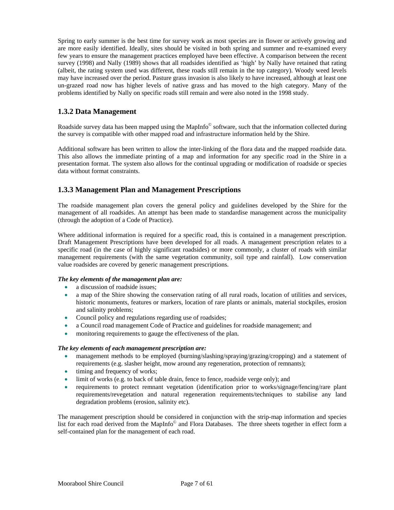<span id="page-6-0"></span>Spring to early summer is the best time for survey work as most species are in flower or actively growing and are more easily identified. Ideally, sites should be visited in both spring and summer and re-examined every few years to ensure the management practices employed have been effective. A comparison between the recent survey (1998) and Nally (1989) shows that all roadsides identified as 'high' by Nally have retained that rating (albeit, the rating system used was different, these roads still remain in the top category). Woody weed levels may have increased over the period. Pasture grass invasion is also likely to have increased, although at least one un-grazed road now has higher levels of native grass and has moved to the high category. Many of the problems identified by Nally on specific roads still remain and were also noted in the 1998 study.

#### **1.3.2 Data Management**

Roadside survey data has been mapped using the MapInfo<sup>©</sup> software, such that the information collected during the survey is compatible with other mapped road and infrastructure information held by the Shire.

Additional software has been written to allow the inter-linking of the flora data and the mapped roadside data. This also allows the immediate printing of a map and information for any specific road in the Shire in a presentation format. The system also allows for the continual upgrading or modification of roadside or species data without format constraints.

#### **1.3.3 Management Plan and Management Prescriptions**

The roadside management plan covers the general policy and guidelines developed by the Shire for the management of all roadsides. An attempt has been made to standardise management across the municipality (through the adoption of a Code of Practice).

Where additional information is required for a specific road, this is contained in a management prescription. Draft Management Prescriptions have been developed for all roads. A management prescription relates to a specific road (in the case of highly significant roadsides) or more commonly, a cluster of roads with similar management requirements (with the same vegetation community, soil type and rainfall). Low conservation value roadsides are covered by generic management prescriptions.

#### *The key elements of the management plan are:*

- a discussion of roadside issues;
- a map of the Shire showing the conservation rating of all rural roads, location of utilities and services, historic monuments, features or markers, location of rare plants or animals, material stockpiles, erosion and salinity problems;
- Council policy and regulations regarding use of roadsides;
- a Council road management Code of Practice and guidelines for roadside management; and
- monitoring requirements to gauge the effectiveness of the plan.

#### *The key elements of each management prescription are:*

- management methods to be employed (burning/slashing/spraying/grazing/cropping) and a statement of requirements (e.g. slasher height, mow around any regeneration, protection of remnants);
- timing and frequency of works;
- limit of works (e.g. to back of table drain, fence to fence, roadside verge only); and
- requirements to protect remnant vegetation (identification prior to works/signage/fencing/rare plant requirements/revegetation and natural regeneration requirements/techniques to stabilise any land degradation problems (erosion, salinity etc).

The management prescription should be considered in conjunction with the strip-map information and species list for each road derived from the MapInfo© and Flora Databases. The three sheets together in effect form a self-contained plan for the management of each road.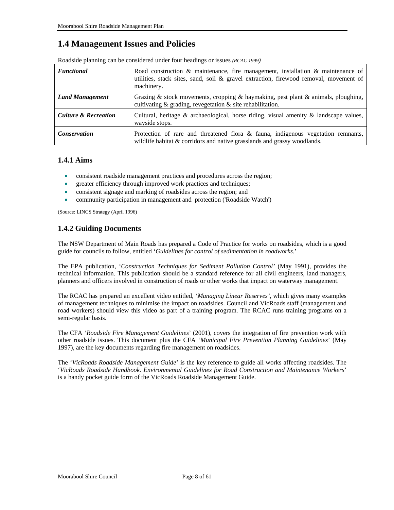### <span id="page-7-0"></span>**1.4 Management Issues and Policies**

| <i><b>Functional</b></i>        | Road construction & maintenance, fire management, installation & maintenance of<br>utilities, stack sites, sand, soil $\&$ gravel extraction, firewood removal, movement of<br>machinery. |
|---------------------------------|-------------------------------------------------------------------------------------------------------------------------------------------------------------------------------------------|
| <b>Land Management</b>          | Grazing & stock movements, cropping & haymaking, pest plant & animals, ploughing,<br>cultivating $\&$ grading, revegetation $\&$ site rehabilitation.                                     |
| <b>Culture &amp; Recreation</b> | Cultural, heritage $\&$ archaeological, horse riding, visual amenity $\&$ landscape values,<br>wayside stops.                                                                             |
| <b>Conservation</b>             | Protection of rare and threatened flora $\&$ fauna, indigenous vegetation remnants,<br>wildlife habitat $&$ corridors and native grasslands and grassy woodlands.                         |

Roadside planning can be considered under four headings or issues *(RCAC 1999)* 

#### **1.4.1 Aims**

- consistent roadside management practices and procedures across the region;
- greater efficiency through improved work practices and techniques;
- consistent signage and marking of roadsides across the region; and
- community participation in management and protection ('Roadside Watch')

(Source: LINCS Strategy (April 1996)

#### **1.4.2 Guiding Documents**

The NSW Department of Main Roads has prepared a Code of Practice for works on roadsides, which is a good guide for councils to follow, entitled '*Guidelines for control of sedimentation in roadworks*.'

The EPA publication, '*Construction Techniques for Sediment Pollution Control'* (May 1991), provides the technical information. This publication should be a standard reference for all civil engineers, land managers, planners and officers involved in construction of roads or other works that impact on waterway management.

The RCAC has prepared an excellent video entitled, '*Managing Linear Reserves'*, which gives many examples of management techniques to minimise the impact on roadsides. Council and VicRoads staff (management and road workers) should view this video as part of a training program. The RCAC runs training programs on a semi-regular basis.

The CFA '*Roadside Fire Management Guidelines*' (2001), covers the integration of fire prevention work with other roadside issues. This document plus the CFA '*Municipal Fire Prevention Planning Guidelines*' (May 1997), are the key documents regarding fire management on roadsides.

The '*VicRoads Roadside Management Guide*' is the key reference to guide all works affecting roadsides. The '*VicRoads Roadside Handbook. Environmental Guidelines for Road Construction and Maintenance Workers*' is a handy pocket guide form of the VicRoads Roadside Management Guide.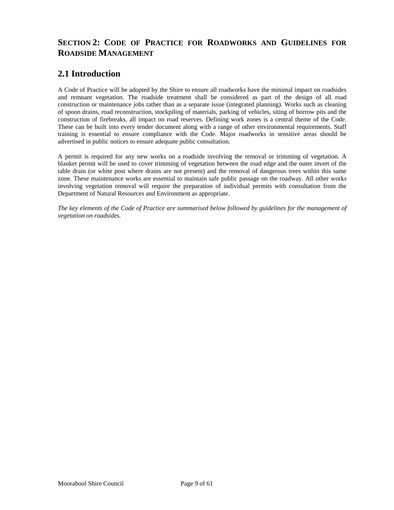### <span id="page-8-0"></span>**SECTION 2: CODE OF PRACTICE FOR ROADWORKS AND GUIDELINES FOR ROADSIDE MANAGEMENT**

### **2.1 Introduction**

A Code of Practice will be adopted by the Shire to ensure all roadworks have the minimal impact on roadsides and remnant vegetation. The roadside treatment shall be considered as part of the design of all road construction or maintenance jobs rather than as a separate issue (integrated planning). Works such as cleaning of spoon drains, road reconstruction, stockpiling of materials, parking of vehicles, siting of borrow pits and the construction of firebreaks, all impact on road reserves. Defining work zones is a central theme of the Code. These can be built into every tender document along with a range of other environmental requirements. Staff training is essential to ensure compliance with the Code. Major roadworks in sensitive areas should be advertised in public notices to ensure adequate public consultation.

A permit is required for any new works on a roadside involving the removal or trimming of vegetation. A blanket permit will be used to cover trimming of vegetation between the road edge and the outer invert of the table drain (or white post where drains are not present) and the removal of dangerous trees within this same zone. These maintenance works are essential to maintain safe public passage on the roadway. All other works involving vegetation removal will require the preparation of individual permits with consultation from the Department of Natural Resources and Environment as appropriate.

*The key elements of the Code of Practice are summarised below followed by guidelines for the management of vegetation on roadsides.*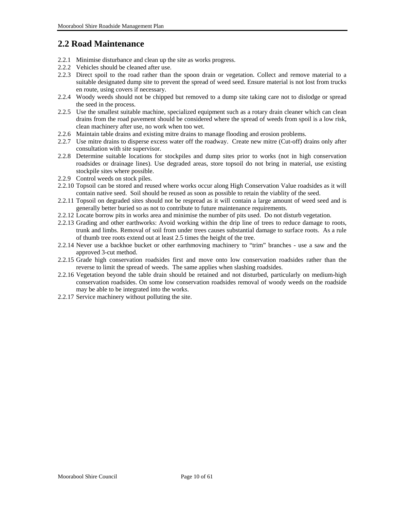### <span id="page-9-0"></span>**2.2 Road Maintenance**

- 2.2.1 Minimise disturbance and clean up the site as works progress.
- 2.2.2 Vehicles should be cleaned after use.
- 2.2.3 Direct spoil to the road rather than the spoon drain or vegetation. Collect and remove material to a suitable designated dump site to prevent the spread of weed seed. Ensure material is not lost from trucks en route, using covers if necessary.
- 2.2.4 Woody weeds should not be chipped but removed to a dump site taking care not to dislodge or spread the seed in the process.
- 2.2.5 Use the smallest suitable machine, specialized equipment such as a rotary drain cleaner which can clean drains from the road pavement should be considered where the spread of weeds from spoil is a low risk, clean machinery after use, no work when too wet.
- 2.2.6 Maintain table drains and existing mitre drains to manage flooding and erosion problems.
- 2.2.7 Use mitre drains to disperse excess water off the roadway. Create new mitre (Cut-off) drains only after consultation with site supervisor.
- 2.2.8 Determine suitable locations for stockpiles and dump sites prior to works (not in high conservation roadsides or drainage lines). Use degraded areas, store topsoil do not bring in material, use existing stockpile sites where possible.
- 2.2.9 Control weeds on stock piles.
- 2.2.10 Topsoil can be stored and reused where works occur along High Conservation Value roadsides as it will contain native seed. Soil should be reused as soon as possible to retain the viablity of the seed.
- 2.2.11 Topsoil on degraded sites should not be respread as it will contain a large amount of weed seed and is generally better buried so as not to contribute to future maintenance requirements.
- 2.2.12 Locate borrow pits in works area and minimise the number of pits used. Do not disturb vegetation.
- 2.2.13 Grading and other earthworks: Avoid working within the drip line of trees to reduce damage to roots, trunk and limbs. Removal of soil from under trees causes substantial damage to surface roots. As a rule of thumb tree roots extend out at least 2.5 times the height of the tree.
- 2.2.14 Never use a backhoe bucket or other earthmoving machinery to "trim" branches use a saw and the approved 3-cut method.
- 2.2.15 Grade high conservation roadsides first and move onto low conservation roadsides rather than the reverse to limit the spread of weeds. The same applies when slashing roadsides.
- 2.2.16 Vegetation beyond the table drain should be retained and not disturbed, particularly on medium-high conservation roadsides. On some low conservation roadsides removal of woody weeds on the roadside may be able to be integrated into the works.
- 2.2.17 Service machinery without polluting the site.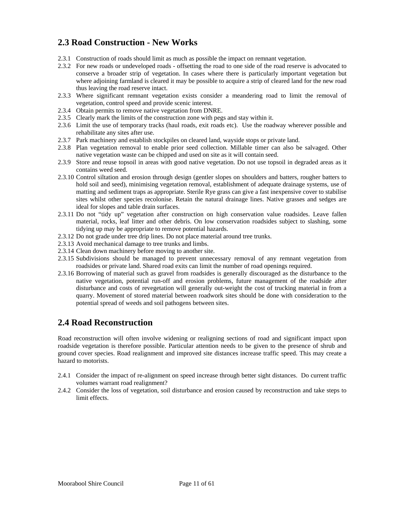### <span id="page-10-0"></span>**2.3 Road Construction - New Works**

- 2.3.1 Construction of roads should limit as much as possible the impact on remnant vegetation.
- 2.3.2 For new roads or undeveloped roads offsetting the road to one side of the road reserve is advocated to conserve a broader strip of vegetation. In cases where there is particularly important vegetation but where adjoining farmland is cleared it may be possible to acquire a strip of cleared land for the new road thus leaving the road reserve intact.
- 2.3.3 Where significant remnant vegetation exists consider a meandering road to limit the removal of vegetation, control speed and provide scenic interest.
- 2.3.4 Obtain permits to remove native vegetation from DNRE.
- 2.3.5 Clearly mark the limits of the construction zone with pegs and stay within it.
- 2.3.6 Limit the use of temporary tracks (haul roads, exit roads etc). Use the roadway wherever possible and rehabilitate any sites after use.
- 2.3.7 Park machinery and establish stockpiles on cleared land, wayside stops or private land.
- 2.3.8 Plan vegetation removal to enable prior seed collection. Millable timer can also be salvaged. Other native vegetation waste can be chipped and used on site as it will contain seed.
- 2.3.9 Store and reuse topsoil in areas with good native vegetation. Do not use topsoil in degraded areas as it contains weed seed.
- 2.3.10 Control siltation and erosion through design (gentler slopes on shoulders and batters, rougher batters to hold soil and seed), minimising vegetation removal, establishment of adequate drainage systems, use of matting and sediment traps as appropriate. Sterile Rye grass can give a fast inexpensive cover to stabilise sites whilst other species recolonise. Retain the natural drainage lines. Native grasses and sedges are ideal for slopes and table drain surfaces.
- 2.3.11 Do not "tidy up" vegetation after construction on high conservation value roadsides. Leave fallen material, rocks, leaf litter and other debris. On low conservation roadsides subject to slashing, some tidying up may be appropriate to remove potential hazards.
- 2.3.12 Do not grade under tree drip lines. Do not place material around tree trunks.
- 2.3.13 Avoid mechanical damage to tree trunks and limbs.
- 2.3.14 Clean down machinery before moving to another site.
- 2.3.15 Subdivisions should be managed to prevent unnecessary removal of any remnant vegetation from roadsides or private land. Shared road exits can limit the number of road openings required.
- 2.3.16 Borrowing of material such as gravel from roadsides is generally discouraged as the disturbance to the native vegetation, potential run-off and erosion problems, future management of the roadside after disturbance and costs of revegetation will generally out-weight the cost of trucking material in from a quarry. Movement of stored material between roadwork sites should be done with consideration to the potential spread of weeds and soil pathogens between sites.

### **2.4 Road Reconstruction**

Road reconstruction will often involve widening or realigning sections of road and significant impact upon roadside vegetation is therefore possible. Particular attention needs to be given to the presence of shrub and ground cover species. Road realignment and improved site distances increase traffic speed. This may create a hazard to motorists.

- 2.4.1 Consider the impact of re-alignment on speed increase through better sight distances. Do current traffic volumes warrant road realignment?
- 2.4.2 Consider the loss of vegetation, soil disturbance and erosion caused by reconstruction and take steps to limit effects.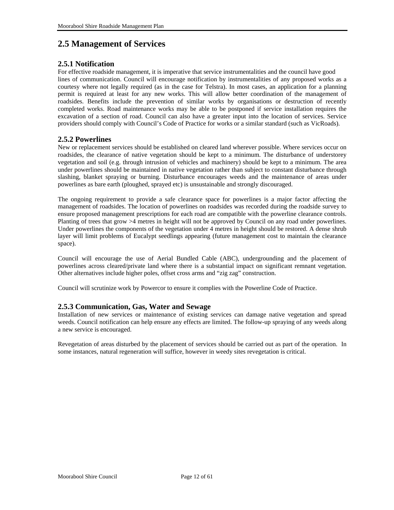### <span id="page-11-0"></span>**2.5 Management of Services**

#### **2.5.1 Notification**

For effective roadside management, it is imperative that service instrumentalities and the council have good lines of communication. Council will encourage notification by instrumentalities of any proposed works as a courtesy where not legally required (as in the case for Telstra). In most cases, an application for a planning permit is required at least for any new works. This will allow better coordination of the management of roadsides. Benefits include the prevention of similar works by organisations or destruction of recently completed works. Road maintenance works may be able to be postponed if service installation requires the excavation of a section of road. Council can also have a greater input into the location of services. Service providers should comply with Council's Code of Practice for works or a similar standard (such as VicRoads).

#### **2.5.2 Powerlines**

New or replacement services should be established on cleared land wherever possible. Where services occur on roadsides, the clearance of native vegetation should be kept to a minimum. The disturbance of understorey vegetation and soil (e.g. through intrusion of vehicles and machinery) should be kept to a minimum. The area under powerlines should be maintained in native vegetation rather than subject to constant disturbance through slashing, blanket spraying or burning. Disturbance encourages weeds and the maintenance of areas under powerlines as bare earth (ploughed, sprayed etc) is unsustainable and strongly discouraged.

The ongoing requirement to provide a safe clearance space for powerlines is a major factor affecting the management of roadsides. The location of powerlines on roadsides was recorded during the roadside survey to ensure proposed management prescriptions for each road are compatible with the powerline clearance controls. Planting of trees that grow >4 metres in height will not be approved by Council on any road under powerlines. Under powerlines the components of the vegetation under 4 metres in height should be restored. A dense shrub layer will limit problems of Eucalypt seedlings appearing (future management cost to maintain the clearance space).

Council will encourage the use of Aerial Bundled Cable (ABC), undergrounding and the placement of powerlines across cleared/private land where there is a substantial impact on significant remnant vegetation. Other alternatives include higher poles, offset cross arms and "zig zag" construction.

Council will scrutinize work by Powercor to ensure it complies with the Powerline Code of Practice.

#### **2.5.3 Communication, Gas, Water and Sewage**

Installation of new services or maintenance of existing services can damage native vegetation and spread weeds. Council notification can help ensure any effects are limited. The follow-up spraying of any weeds along a new service is encouraged.

Revegetation of areas disturbed by the placement of services should be carried out as part of the operation. In some instances, natural regeneration will suffice, however in weedy sites revegetation is critical.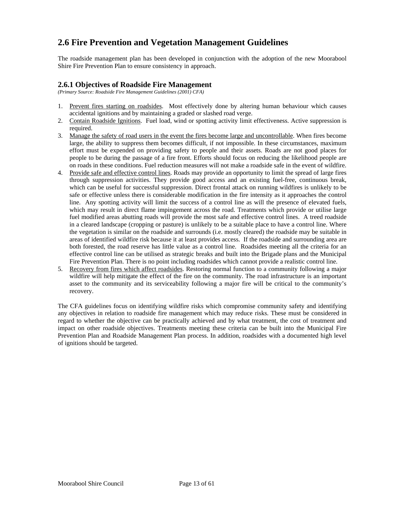### <span id="page-12-0"></span>**2.6 Fire Prevention and Vegetation Management Guidelines**

The roadside management plan has been developed in conjunction with the adoption of the new Moorabool Shire Fire Prevention Plan to ensure consistency in approach.

#### **2.6.1 Objectives of Roadside Fire Management**

*(Primary Source: Roadside Fire Management Guidelines (2001) CFA)* 

- 1. Prevent fires starting on roadsides. Most effectively done by altering human behaviour which causes accidental ignitions and by maintaining a graded or slashed road verge.
- 2. Contain Roadside Ignitions. Fuel load, wind or spotting activity limit effectiveness. Active suppression is required.
- 3. Manage the safety of road users in the event the fires become large and uncontrollable. When fires become large, the ability to suppress them becomes difficult, if not impossible. In these circumstances, maximum effort must be expended on providing safety to people and their assets. Roads are not good places for people to be during the passage of a fire front. Efforts should focus on reducing the likelihood people are on roads in these conditions. Fuel reduction measures will not make a roadside safe in the event of wildfire.
- 4. Provide safe and effective control lines. Roads may provide an opportunity to limit the spread of large fires through suppression activities. They provide good access and an existing fuel-free, continuous break, which can be useful for successful suppression. Direct frontal attack on running wildfires is unlikely to be safe or effective unless there is considerable modification in the fire intensity as it approaches the control line. Any spotting activity will limit the success of a control line as will the presence of elevated fuels, which may result in direct flame impingement across the road. Treatments which provide or utilise large fuel modified areas abutting roads will provide the most safe and effective control lines. A treed roadside in a cleared landscape (cropping or pasture) is unlikely to be a suitable place to have a control line. Where the vegetation is similar on the roadside and surrounds (i.e. mostly cleared) the roadside may be suitable in areas of identified wildfire risk because it at least provides access. If the roadside and surrounding area are both forested, the road reserve has little value as a control line. Roadsides meeting all the criteria for an effective control line can be utilised as strategic breaks and built into the Brigade plans and the Municipal Fire Prevention Plan. There is no point including roadsides which cannot provide a realistic control line.
- 5. Recovery from fires which affect roadsides. Restoring normal function to a community following a major wildfire will help mitigate the effect of the fire on the community. The road infrastructure is an important asset to the community and its serviceability following a major fire will be critical to the community's recovery.

The CFA guidelines focus on identifying wildfire risks which compromise community safety and identifying any objectives in relation to roadside fire management which may reduce risks. These must be considered in regard to whether the objective can be practically achieved and by what treatment, the cost of treatment and impact on other roadside objectives. Treatments meeting these criteria can be built into the Municipal Fire Prevention Plan and Roadside Management Plan process. In addition, roadsides with a documented high level of ignitions should be targeted.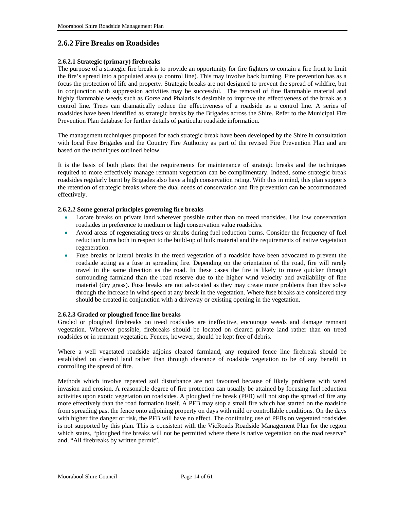#### <span id="page-13-0"></span>**2.6.2 Fire Breaks on Roadsides**

#### **2.6.2.1 Strategic (primary) firebreaks**

The purpose of a strategic fire break is to provide an opportunity for fire fighters to contain a fire front to limit the fire's spread into a populated area (a control line). This may involve back burning. Fire prevention has as a focus the protection of life and property. Strategic breaks are not designed to prevent the spread of wildfire, but in conjunction with suppression activities may be successful. The removal of fine flammable material and highly flammable weeds such as Gorse and Phalaris is desirable to improve the effectiveness of the break as a control line. Trees can dramatically reduce the effectiveness of a roadside as a control line. A series of roadsides have been identified as strategic breaks by the Brigades across the Shire. Refer to the Municipal Fire Prevention Plan database for further details of particular roadside information.

The management techniques proposed for each strategic break have been developed by the Shire in consultation with local Fire Brigades and the Country Fire Authority as part of the revised Fire Prevention Plan and are based on the techniques outlined below.

It is the basis of both plans that the requirements for maintenance of strategic breaks and the techniques required to more effectively manage remnant vegetation can be complimentary. Indeed, some strategic break roadsides regularly burnt by Brigades also have a high conservation rating. With this in mind, this plan supports the retention of strategic breaks where the dual needs of conservation and fire prevention can be accommodated effectively.

#### **2.6.2.2 Some general principles governing fire breaks**

- Locate breaks on private land wherever possible rather than on treed roadsides. Use low conservation roadsides in preference to medium or high conservation value roadsides.
- Avoid areas of regenerating trees or shrubs during fuel reduction burns. Consider the frequency of fuel reduction burns both in respect to the build-up of bulk material and the requirements of native vegetation regeneration.
- Fuse breaks or lateral breaks in the treed vegetation of a roadside have been advocated to prevent the roadside acting as a fuse in spreading fire. Depending on the orientation of the road, fire will rarely travel in the same direction as the road. In these cases the fire is likely to move quicker through surrounding farmland than the road reserve due to the higher wind velocity and availability of fine material (dry grass). Fuse breaks are not advocated as they may create more problems than they solve through the increase in wind speed at any break in the vegetation. Where fuse breaks are considered they should be created in conjunction with a driveway or existing opening in the vegetation.

#### **2.6.2.3 Graded or ploughed fence line breaks**

Graded or ploughed firebreaks on treed roadsides are ineffective, encourage weeds and damage remnant vegetation. Wherever possible, firebreaks should be located on cleared private land rather than on treed roadsides or in remnant vegetation. Fences, however, should be kept free of debris.

Where a well vegetated roadside adjoins cleared farmland, any required fence line firebreak should be established on cleared land rather than through clearance of roadside vegetation to be of any benefit in controlling the spread of fire.

Methods which involve repeated soil disturbance are not favoured because of likely problems with weed invasion and erosion. A reasonable degree of fire protection can usually be attained by focusing fuel reduction activities upon exotic vegetation on roadsides. A ploughed fire break (PFB) will not stop the spread of fire any more effectively than the road formation itself. A PFB may stop a small fire which has started on the roadside from spreading past the fence onto adjoining property on days with mild or controllable conditions. On the days with higher fire danger or risk, the PFB will have no effect. The continuing use of PFBs on vegetated roadsides is not supported by this plan. This is consistent with the VicRoads Roadside Management Plan for the region which states, "ploughed fire breaks will not be permitted where there is native vegetation on the road reserve" and, "All firebreaks by written permit".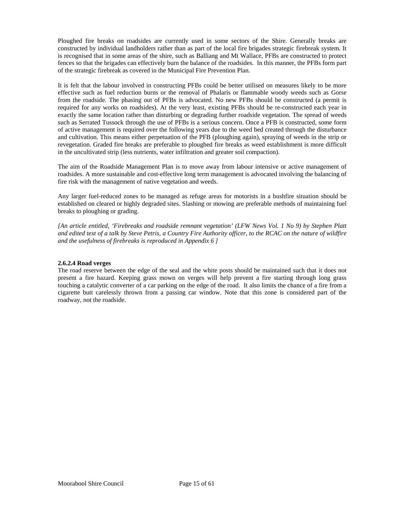Ploughed fire breaks on roadsides are currently used in some sectors of the Shire. Generally breaks are constructed by individual landholders rather than as part of the local fire brigades strategic firebreak system. It is recognised that in some areas of the shire, such as Balliang and Mt Wallace, PFBs are constructed to protect fences so that the brigades can effectively burn the balance of the roadsides. In this manner, the PFBs form part of the strategic firebreak as covered in the Municipal Fire Prevention Plan.

It is felt that the labour involved in constructing PFBs could be better utilised on measures likely to be more effective such as fuel reduction burns or the removal of Phalaris or flammable woody weeds such as Gorse from the roadside. The phasing out of PFBs is advocated. No new PFBs should be constructed (a permit is required for any works on roadsides). At the very least, existing PFBs should be re-constructed each year in exactly the same location rather than disturbing or degrading further roadside vegetation. The spread of weeds such as Serrated Tussock through the use of PFBs is a serious concern. Once a PFB is constructed, some form of active management is required over the following years due to the weed bed created through the disturbance and cultivation. This means either perpetuation of the PFB (ploughing again), spraying of weeds in the strip or revegetation. Graded fire breaks are preferable to ploughed fire breaks as weed establishment is more difficult in the uncultivated strip (less nutrients, water infiltration and greater soil compaction).

The aim of the Roadside Management Plan is to move away from labour intensive or active management of roadsides. A more sustainable and cost-effective long term management is advocated involving the balancing of fire risk with the management of native vegetation and weeds.

Any larger fuel-reduced zones to be managed as refuge areas for motorists in a bushfire situation should be established on cleared or highly degraded sites. Slashing or mowing are preferable methods of maintaining fuel breaks to ploughing or grading.

*[An article entitled, 'Firebreaks and roadside remnant vegetation' (LFW News Vol. 1 No 9) by Stephen Platt and edited text of a talk by Steve Petris, a Country Fire Authority officer, to the RCAC on the nature of wildfire and the usefulness of firebreaks is reproduced in Appendix 6 ]* 

#### **2.6.2.4 Road verges**

The road reserve between the edge of the seal and the white posts should be maintained such that it does not present a fire hazard. Keeping grass mown on verges will help prevent a fire starting through long grass touching a catalytic converter of a car parking on the edge of the road. It also limits the chance of a fire from a cigarette butt carelessly thrown from a passing car window. Note that this zone is considered part of the roadway, not the roadside.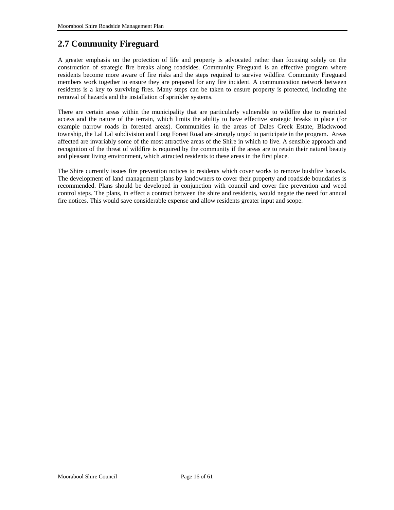### <span id="page-15-0"></span>**2.7 Community Fireguard**

A greater emphasis on the protection of life and property is advocated rather than focusing solely on the construction of strategic fire breaks along roadsides. Community Fireguard is an effective program where residents become more aware of fire risks and the steps required to survive wildfire. Community Fireguard members work together to ensure they are prepared for any fire incident. A communication network between residents is a key to surviving fires. Many steps can be taken to ensure property is protected, including the removal of hazards and the installation of sprinkler systems.

There are certain areas within the municipality that are particularly vulnerable to wildfire due to restricted access and the nature of the terrain, which limits the ability to have effective strategic breaks in place (for example narrow roads in forested areas). Communities in the areas of Dales Creek Estate, Blackwood township, the Lal Lal subdivision and Long Forest Road are strongly urged to participate in the program. Areas affected are invariably some of the most attractive areas of the Shire in which to live. A sensible approach and recognition of the threat of wildfire is required by the community if the areas are to retain their natural beauty and pleasant living environment, which attracted residents to these areas in the first place.

The Shire currently issues fire prevention notices to residents which cover works to remove bushfire hazards. The development of land management plans by landowners to cover their property and roadside boundaries is recommended. Plans should be developed in conjunction with council and cover fire prevention and weed control steps. The plans, in effect a contract between the shire and residents, would negate the need for annual fire notices. This would save considerable expense and allow residents greater input and scope.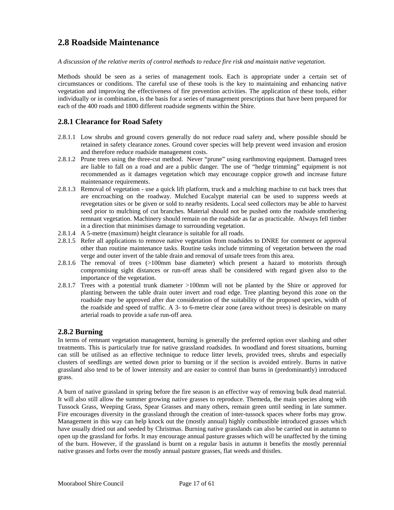### <span id="page-16-0"></span>**2.8 Roadside Maintenance**

*A discussion of the relative merits of control methods to reduce fire risk and maintain native vegetation.* 

Methods should be seen as a series of management tools. Each is appropriate under a certain set of circumstances or conditions. The careful use of these tools is the key to maintaining and enhancing native vegetation and improving the effectiveness of fire prevention activities. The application of these tools, either individually or in combination, is the basis for a series of management prescriptions that have been prepared for each of the 400 roads and 1800 different roadside segments within the Shire.

#### **2.8.1 Clearance for Road Safety**

- 2.8.1.1 Low shrubs and ground covers generally do not reduce road safety and, where possible should be retained in safety clearance zones. Ground cover species will help prevent weed invasion and erosion and therefore reduce roadside management costs.
- 2.8.1.2 Prune trees using the three-cut method. Never "prune" using earthmoving equipment. Damaged trees are liable to fall on a road and are a public danger. The use of "hedge trimming" equipment is not recommended as it damages vegetation which may encourage coppice growth and increase future maintenance requirements.
- 2.8.1.3 Removal of vegetation use a quick lift platform, truck and a mulching machine to cut back trees that are encroaching on the roadway. Mulched Eucalypt material can be used to suppress weeds at revegetation sites or be given or sold to nearby residents. Local seed collectors may be able to harvest seed prior to mulching of cut branches. Material should not be pushed onto the roadside smothering remnant vegetation. Machinery should remain on the roadside as far as practicable. Always fell timber in a direction that minimises damage to surrounding vegetation.
- 2.8.1.4 A 5-metre (maximum) height clearance is suitable for all roads.
- 2.8.1.5 Refer all applications to remove native vegetation from roadsides to DNRE for comment or approval other than routine maintenance tasks. Routine tasks include trimming of vegetation between the road verge and outer invert of the table drain and removal of unsafe trees from this area.
- 2.8.1.6 The removal of trees (>100mm base diameter) which present a hazard to motorists through compromising sight distances or run-off areas shall be considered with regard given also to the importance of the vegetation.
- 2.8.1.7 Trees with a potential trunk diameter >100mm will not be planted by the Shire or approved for planting between the table drain outer invert and road edge. Tree planting beyond this zone on the roadside may be approved after due consideration of the suitability of the proposed species, width of the roadside and speed of traffic. A 3- to 6-metre clear zone (area without trees) is desirable on many arterial roads to provide a safe run-off area.

#### **2.8.2 Burning**

In terms of remnant vegetation management, burning is generally the preferred option over slashing and other treatments. This is particularly true for native grassland roadsides. In woodland and forest situations, burning can still be utilised as an effective technique to reduce litter levels, provided trees, shrubs and especially clusters of seedlings are wetted down prior to burning or if the section is avoided entirely. Burns in native grassland also tend to be of lower intensity and are easier to control than burns in (predominantly) introduced grass.

A burn of native grassland in spring before the fire season is an effective way of removing bulk dead material. It will also still allow the summer growing native grasses to reproduce. Themeda, the main species along with Tussock Grass, Weeping Grass, Spear Grasses and many others, remain green until seeding in late summer. Fire encourages diversity in the grassland through the creation of inter-tussock spaces where forbs may grow. Management in this way can help knock out the (mostly annual) highly combustible introduced grasses which have usually dried out and seeded by Christmas. Burning native grasslands can also be carried out in autumn to open up the grassland for forbs. It may encourage annual pasture grasses which will be unaffected by the timing of the burn. However, if the grassland is burnt on a regular basis in autumn it benefits the mostly perennial native grasses and forbs over the mostly annual pasture grasses, flat weeds and thistles.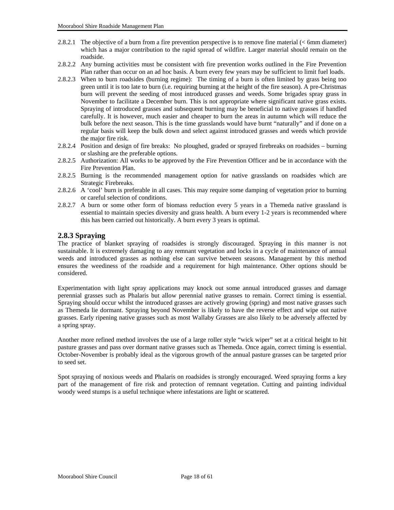- <span id="page-17-0"></span>2.8.2.1 The objective of a burn from a fire prevention perspective is to remove fine material (< 6mm diameter) which has a major contribution to the rapid spread of wildfire. Larger material should remain on the roadside.
- 2.8.2.2 Any burning activities must be consistent with fire prevention works outlined in the Fire Prevention Plan rather than occur on an ad hoc basis. A burn every few years may be sufficient to limit fuel loads.
- 2.8.2.3 When to burn roadsides (burning regime): The timing of a burn is often limited by grass being too green until it is too late to burn (i.e. requiring burning at the height of the fire season). A pre-Christmas burn will prevent the seeding of most introduced grasses and weeds. Some brigades spray grass in November to facilitate a December burn. This is not appropriate where significant native grass exists. Spraying of introduced grasses and subsequent burning may be beneficial to native grasses if handled carefully. It is however, much easier and cheaper to burn the areas in autumn which will reduce the bulk before the next season. This is the time grasslands would have burnt "naturally" and if done on a regular basis will keep the bulk down and select against introduced grasses and weeds which provide the major fire risk.
- 2.8.2.4 Position and design of fire breaks: No ploughed, graded or sprayed firebreaks on roadsides burning or slashing are the preferable options.
- 2.8.2.5 Authorization: All works to be approved by the Fire Prevention Officer and be in accordance with the Fire Prevention Plan.
- 2.8.2.5 Burning is the recommended management option for native grasslands on roadsides which are Strategic Firebreaks.
- 2.8.2.6 A 'cool' burn is preferable in all cases. This may require some damping of vegetation prior to burning or careful selection of conditions.
- 2.8.2.7 A burn or some other form of biomass reduction every 5 years in a Themeda native grassland is essential to maintain species diversity and grass health. A burn every 1-2 years is recommended where this has been carried out historically. A burn every 3 years is optimal.

#### **2.8.3 Spraying**

The practice of blanket spraying of roadsides is strongly discouraged. Spraying in this manner is not sustainable. It is extremely damaging to any remnant vegetation and locks in a cycle of maintenance of annual weeds and introduced grasses as nothing else can survive between seasons. Management by this method ensures the weediness of the roadside and a requirement for high maintenance. Other options should be considered.

Experimentation with light spray applications may knock out some annual introduced grasses and damage perennial grasses such as Phalaris but allow perennial native grasses to remain. Correct timing is essential. Spraying should occur whilst the introduced grasses are actively growing (spring) and most native grasses such as Themeda lie dormant. Spraying beyond November is likely to have the reverse effect and wipe out native grasses. Early ripening native grasses such as most Wallaby Grasses are also likely to be adversely affected by a spring spray.

Another more refined method involves the use of a large roller style "wick wiper" set at a critical height to hit pasture grasses and pass over dormant native grasses such as Themeda. Once again, correct timing is essential. October-November is probably ideal as the vigorous growth of the annual pasture grasses can be targeted prior to seed set.

Spot spraying of noxious weeds and Phalaris on roadsides is strongly encouraged. Weed spraying forms a key part of the management of fire risk and protection of remnant vegetation. Cutting and painting individual woody weed stumps is a useful technique where infestations are light or scattered.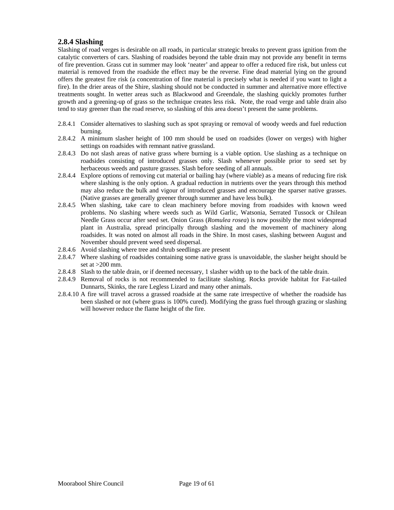#### <span id="page-18-0"></span>**2.8.4 Slashing**

Slashing of road verges is desirable on all roads, in particular strategic breaks to prevent grass ignition from the catalytic converters of cars. Slashing of roadsides beyond the table drain may not provide any benefit in terms of fire prevention. Grass cut in summer may look 'neater' and appear to offer a reduced fire risk, but unless cut material is removed from the roadside the effect may be the reverse. Fine dead material lying on the ground offers the greatest fire risk (a concentration of fine material is precisely what is needed if you want to light a fire). In the drier areas of the Shire, slashing should not be conducted in summer and alternative more effective treatments sought. In wetter areas such as Blackwood and Greendale, the slashing quickly promotes further growth and a greening-up of grass so the technique creates less risk. Note, the road verge and table drain also tend to stay greener than the road reserve, so slashing of this area doesn't present the same problems.

- 2.8.4.1 Consider alternatives to slashing such as spot spraying or removal of woody weeds and fuel reduction burning.
- 2.8.4.2 A minimum slasher height of 100 mm should be used on roadsides (lower on verges) with higher settings on roadsides with remnant native grassland.
- 2.8.4.3 Do not slash areas of native grass where burning is a viable option. Use slashing as a technique on roadsides consisting of introduced grasses only. Slash whenever possible prior to seed set by herbaceous weeds and pasture grasses. Slash before seeding of all annuals.
- 2.8.4.4 Explore options of removing cut material or bailing hay (where viable) as a means of reducing fire risk where slashing is the only option. A gradual reduction in nutrients over the years through this method may also reduce the bulk and vigour of introduced grasses and encourage the sparser native grasses. (Native grasses are generally greener through summer and have less bulk).
- 2.8.4.5 When slashing, take care to clean machinery before moving from roadsides with known weed problems. No slashing where weeds such as Wild Garlic, Watsonia, Serrated Tussock or Chilean Needle Grass occur after seed set. Onion Grass (*Romulea rosea*) is now possibly the most widespread plant in Australia, spread principally through slashing and the movement of machinery along roadsides. It was noted on almost all roads in the Shire. In most cases, slashing between August and November should prevent weed seed dispersal.
- 2.8.4.6 Avoid slashing where tree and shrub seedlings are present
- 2.8.4.7 Where slashing of roadsides containing some native grass is unavoidable, the slasher height should be set at  $>200$  mm.
- 2.8.4.8 Slash to the table drain, or if deemed necessary, 1 slasher width up to the back of the table drain.
- 2.8.4.9 Removal of rocks is not recommended to facilitate slashing. Rocks provide habitat for Fat-tailed Dunnarts, Skinks, the rare Legless Lizard and many other animals.
- 2.8.4.10 A fire will travel across a grassed roadside at the same rate irrespective of whether the roadside has been slashed or not (where grass is 100% cured). Modifying the grass fuel through grazing or slashing will however reduce the flame height of the fire.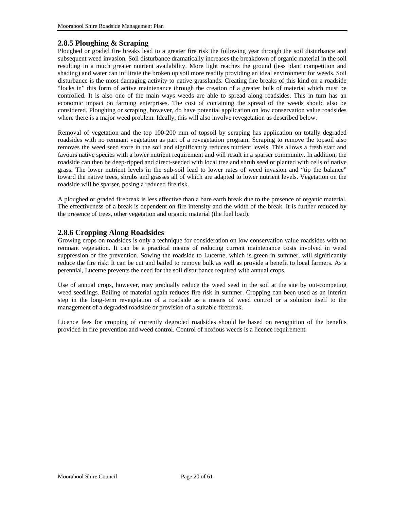#### <span id="page-19-0"></span>**2.8.5 Ploughing & Scraping**

Ploughed or graded fire breaks lead to a greater fire risk the following year through the soil disturbance and subsequent weed invasion. Soil disturbance dramatically increases the breakdown of organic material in the soil resulting in a much greater nutrient availability. More light reaches the ground (less plant competition and shading) and water can infiltrate the broken up soil more readily providing an ideal environment for weeds. Soil disturbance is the most damaging activity to native grasslands. Creating fire breaks of this kind on a roadside "locks in" this form of active maintenance through the creation of a greater bulk of material which must be controlled. It is also one of the main ways weeds are able to spread along roadsides. This in turn has an economic impact on farming enterprises. The cost of containing the spread of the weeds should also be considered. Ploughing or scraping, however, do have potential application on low conservation value roadsides where there is a major weed problem. Ideally, this will also involve revegetation as described below.

Removal of vegetation and the top 100-200 mm of topsoil by scraping has application on totally degraded roadsides with no remnant vegetation as part of a revegetation program. Scraping to remove the topsoil also removes the weed seed store in the soil and significantly reduces nutrient levels. This allows a fresh start and favours native species with a lower nutrient requirement and will result in a sparser community. In addition, the roadside can then be deep-ripped and direct-seeded with local tree and shrub seed or planted with cells of native grass. The lower nutrient levels in the sub-soil lead to lower rates of weed invasion and "tip the balance" toward the native trees, shrubs and grasses all of which are adapted to lower nutrient levels. Vegetation on the roadside will be sparser, posing a reduced fire risk.

A ploughed or graded firebreak is less effective than a bare earth break due to the presence of organic material. The effectiveness of a break is dependent on fire intensity and the width of the break. It is further reduced by the presence of trees, other vegetation and organic material (the fuel load).

#### **2.8.6 Cropping Along Roadsides**

Growing crops on roadsides is only a technique for consideration on low conservation value roadsides with no remnant vegetation. It can be a practical means of reducing current maintenance costs involved in weed suppression or fire prevention. Sowing the roadside to Lucerne, which is green in summer, will significantly reduce the fire risk. It can be cut and bailed to remove bulk as well as provide a benefit to local farmers. As a perennial, Lucerne prevents the need for the soil disturbance required with annual crops.

Use of annual crops, however, may gradually reduce the weed seed in the soil at the site by out-competing weed seedlings. Bailing of material again reduces fire risk in summer. Cropping can been used as an interim step in the long-term revegetation of a roadside as a means of weed control or a solution itself to the management of a degraded roadside or provision of a suitable firebreak.

Licence fees for cropping of currently degraded roadsides should be based on recognition of the benefits provided in fire prevention and weed control. Control of noxious weeds is a licence requirement.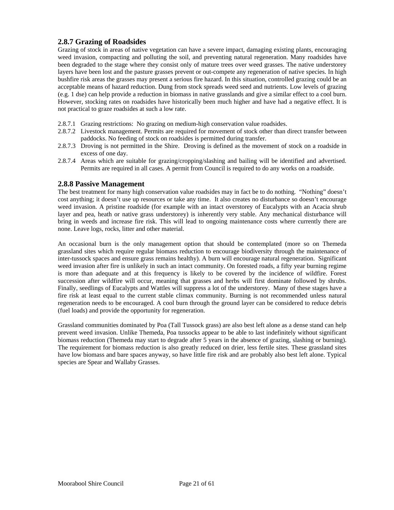#### <span id="page-20-0"></span>**2.8.7 Grazing of Roadsides**

Grazing of stock in areas of native vegetation can have a severe impact, damaging existing plants, encouraging weed invasion, compacting and polluting the soil, and preventing natural regeneration. Many roadsides have been degraded to the stage where they consist only of mature trees over weed grasses. The native understorey layers have been lost and the pasture grasses prevent or out-compete any regeneration of native species. In high bushfire risk areas the grasses may present a serious fire hazard. In this situation, controlled grazing could be an acceptable means of hazard reduction. Dung from stock spreads weed seed and nutrients. Low levels of grazing (e.g. 1 dse) can help provide a reduction in biomass in native grasslands and give a similar effect to a cool burn. However, stocking rates on roadsides have historically been much higher and have had a negative effect. It is not practical to graze roadsides at such a low rate.

- 2.8.7.1 Grazing restrictions: No grazing on medium-high conservation value roadsides.
- 2.8.7.2 Livestock management. Permits are required for movement of stock other than direct transfer between paddocks. No feeding of stock on roadsides is permitted during transfer.
- 2.8.7.3 Droving is not permitted in the Shire. Droving is defined as the movement of stock on a roadside in excess of one day.
- 2.8.7.4 Areas which are suitable for grazing/cropping/slashing and bailing will be identified and advertised. Permits are required in all cases. A permit from Council is required to do any works on a roadside.

#### **2.8.8 Passive Management**

The best treatment for many high conservation value roadsides may in fact be to do nothing. "Nothing" doesn't cost anything; it doesn't use up resources or take any time. It also creates no disturbance so doesn't encourage weed invasion. A pristine roadside (for example with an intact overstorey of Eucalypts with an Acacia shrub layer and pea, heath or native grass understorey) is inherently very stable. Any mechanical disturbance will bring in weeds and increase fire risk. This will lead to ongoing maintenance costs where currently there are none. Leave logs, rocks, litter and other material.

An occasional burn is the only management option that should be contemplated (more so on Themeda grassland sites which require regular biomass reduction to encourage biodiversity through the maintenance of inter-tussock spaces and ensure grass remains healthy). A burn will encourage natural regeneration. Significant weed invasion after fire is unlikely in such an intact community. On forested roads, a fifty year burning regime is more than adequate and at this frequency is likely to be covered by the incidence of wildfire. Forest succession after wildfire will occur, meaning that grasses and herbs will first dominate followed by shrubs. Finally, seedlings of Eucalypts and Wattles will suppress a lot of the understorey. Many of these stages have a fire risk at least equal to the current stable climax community. Burning is not recommended unless natural regeneration needs to be encouraged. A cool burn through the ground layer can be considered to reduce debris (fuel loads) and provide the opportunity for regeneration.

Grassland communities dominated by Poa (Tall Tussock grass) are also best left alone as a dense stand can help prevent weed invasion. Unlike Themeda, Poa tussocks appear to be able to last indefinitely without significant biomass reduction (Themeda may start to degrade after 5 years in the absence of grazing, slashing or burning). The requirement for biomass reduction is also greatly reduced on drier, less fertile sites. These grassland sites have low biomass and bare spaces anyway, so have little fire risk and are probably also best left alone. Typical species are Spear and Wallaby Grasses.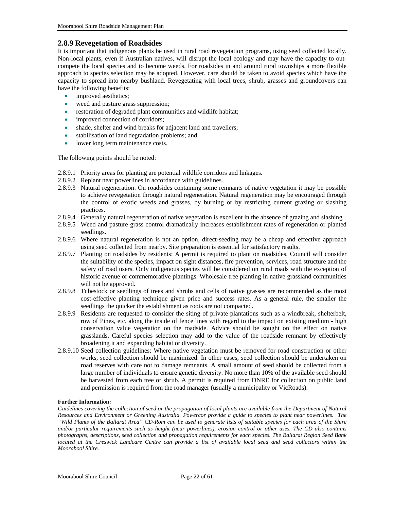#### <span id="page-21-0"></span>**2.8.9 Revegetation of Roadsides**

It is important that indigenous plants be used in rural road revegetation programs, using seed collected locally. Non-local plants, even if Australian natives, will disrupt the local ecology and may have the capacity to outcompete the local species and to become weeds. For roadsides in and around rural townships a more flexible approach to species selection may be adopted. However, care should be taken to avoid species which have the capacity to spread into nearby bushland. Revegetating with local trees, shrub, grasses and groundcovers can have the following benefits:

- improved aesthetics;
- weed and pasture grass suppression;
- restoration of degraded plant communities and wildlife habitat;
- improved connection of corridors;
- shade, shelter and wind breaks for adjacent land and travellers;
- stabilisation of land degradation problems; and
- lower long term maintenance costs.

The following points should be noted:

- 2.8.9.1 Priority areas for planting are potential wildlife corridors and linkages.
- 2.8.9.2 Replant near powerlines in accordance with guidelines.
- 2.8.9.3 Natural regeneration: On roadsides containing some remnants of native vegetation it may be possible to achieve revegetation through natural regeneration. Natural regeneration may be encouraged through the control of exotic weeds and grasses, by burning or by restricting current grazing or slashing practices.
- 2.8.9.4 Generally natural regeneration of native vegetation is excellent in the absence of grazing and slashing.
- 2.8.9.5 Weed and pasture grass control dramatically increases establishment rates of regeneration or planted seedlings.
- 2.8.9.6 Where natural regeneration is not an option, direct-seeding may be a cheap and effective approach using seed collected from nearby. Site preparation is essential for satisfactory results.
- 2.8.9.7 Planting on roadsides by residents: A permit is required to plant on roadsides. Council will consider the suitability of the species, impact on sight distances, fire prevention, services, road structure and the safety of road users. Only indigenous species will be considered on rural roads with the exception of historic avenue or commemorative plantings. Wholesale tree planting in native grassland communities will not be approved.
- 2.8.9.8 Tubestock or seedlings of trees and shrubs and cells of native grasses are recommended as the most cost-effective planting technique given price and success rates. As a general rule, the smaller the seedlings the quicker the establishment as roots are not compacted.
- 2.8.9.9 Residents are requested to consider the siting of private plantations such as a windbreak, shelterbelt, row of Pines, etc. along the inside of fence lines with regard to the impact on existing medium - high conservation value vegetation on the roadside. Advice should be sought on the effect on native grasslands. Careful species selection may add to the value of the roadside remnant by effectively broadening it and expanding habitat or diversity.
- 2.8.9.10 Seed collection guidelines: Where native vegetation must be removed for road construction or other works, seed collection should be maximized. In other cases, seed collection should be undertaken on road reserves with care not to damage remnants. A small amount of seed should be collected from a large number of individuals to ensure genetic diversity. No more than 10% of the available seed should be harvested from each tree or shrub. A permit is required from DNRE for collection on public land and permission is required from the road manager (usually a municipality or VicRoads).

#### **Further Information:**

*Guidelines covering the collection of seed or the propagation of local plants are available from the Department of Natural Resources and Environment or Greening Australia. Powercor provide a guide to species to plant near powerlines. The "Wild Plants of the Ballarat Area" CD-Rom can be used to generate lists of suitable species for each area of the Shire and/or particular requirements such as height (near powerlines), erosion control or other uses. The CD also contains photographs, descriptions, seed collection and propagation requirements for each species. The Ballarat Region Seed Bank located at the Creswick Landcare Centre can provide a list of available local seed and seed collectors within the Moorabool Shire.*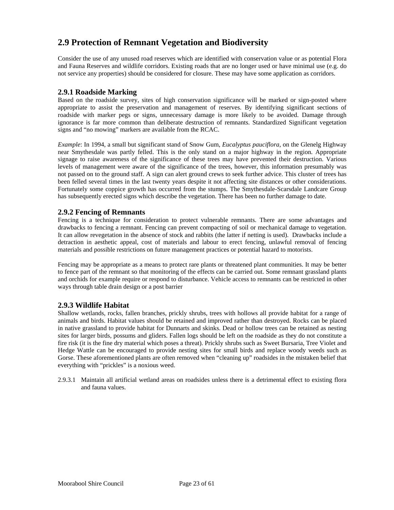### <span id="page-22-0"></span>**2.9 Protection of Remnant Vegetation and Biodiversity**

Consider the use of any unused road reserves which are identified with conservation value or as potential Flora and Fauna Reserves and wildlife corridors. Existing roads that are no longer used or have minimal use (e.g. do not service any properties) should be considered for closure. These may have some application as corridors.

#### **2.9.1 Roadside Marking**

Based on the roadside survey, sites of high conservation significance will be marked or sign-posted where appropriate to assist the preservation and management of reserves. By identifying significant sections of roadside with marker pegs or signs, unnecessary damage is more likely to be avoided. Damage through ignorance is far more common than deliberate destruction of remnants. Standardized Significant vegetation signs and "no mowing" markers are available from the RCAC.

*Example*: In 1994, a small but significant stand of Snow Gum, *Eucalyptus pauciflora*, on the Glenelg Highway near Smythesdale was partly felled. This is the only stand on a major highway in the region. Appropriate signage to raise awareness of the significance of these trees may have prevented their destruction. Various levels of management were aware of the significance of the trees, however, this information presumably was not passed on to the ground staff. A sign can alert ground crews to seek further advice. This cluster of trees has been felled several times in the last twenty years despite it not affecting site distances or other considerations. Fortunately some coppice growth has occurred from the stumps. The Smythesdale-Scarsdale Landcare Group has subsequently erected signs which describe the vegetation. There has been no further damage to date.

#### **2.9.2 Fencing of Remnants**

Fencing is a technique for consideration to protect vulnerable remnants. There are some advantages and drawbacks to fencing a remnant. Fencing can prevent compacting of soil or mechanical damage to vegetation. It can allow revegetation in the absence of stock and rabbits (the latter if netting is used). Drawbacks include a detraction in aesthetic appeal, cost of materials and labour to erect fencing, unlawful removal of fencing materials and possible restrictions on future management practices or potential hazard to motorists.

Fencing may be appropriate as a means to protect rare plants or threatened plant communities. It may be better to fence part of the remnant so that monitoring of the effects can be carried out. Some remnant grassland plants and orchids for example require or respond to disturbance. Vehicle access to remnants can be restricted in other ways through table drain design or a post barrier

#### **2.9.3 Wildlife Habitat**

Shallow wetlands, rocks, fallen branches, prickly shrubs, trees with hollows all provide habitat for a range of animals and birds. Habitat values should be retained and improved rather than destroyed. Rocks can be placed in native grassland to provide habitat for Dunnarts and skinks. Dead or hollow trees can be retained as nesting sites for larger birds, possums and gliders. Fallen logs should be left on the roadside as they do not constitute a fire risk (it is the fine dry material which poses a threat). Prickly shrubs such as Sweet Bursaria, Tree Violet and Hedge Wattle can be encouraged to provide nesting sites for small birds and replace woody weeds such as Gorse. These aforementioned plants are often removed when "cleaning up" roadsides in the mistaken belief that everything with "prickles" is a noxious weed.

2.9.3.1 Maintain all artificial wetland areas on roadsides unless there is a detrimental effect to existing flora and fauna values.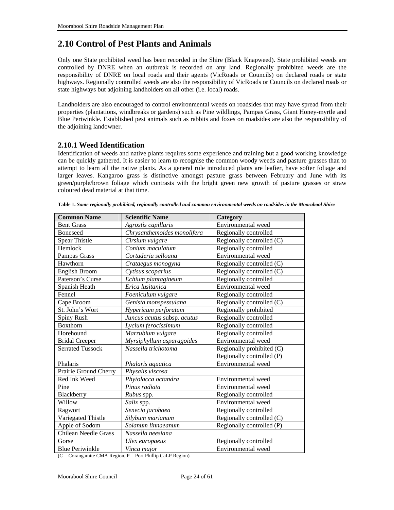### <span id="page-23-0"></span>**2.10 Control of Pest Plants and Animals**

Only one State prohibited weed has been recorded in the Shire (Black Knapweed). State prohibited weeds are controlled by DNRE when an outbreak is recorded on any land. Regionally prohibited weeds are the responsibility of DNRE on local roads and their agents (VicRoads or Councils) on declared roads or state highways. Regionally controlled weeds are also the responsibility of VicRoads or Councils on declared roads or state highways but adjoining landholders on all other (i.e. local) roads.

Landholders are also encouraged to control environmental weeds on roadsides that may have spread from their properties (plantations, windbreaks or gardens) such as Pine wildlings, Pampas Grass, Giant Honey-myrtle and Blue Periwinkle. Established pest animals such as rabbits and foxes on roadsides are also the responsibility of the adjoining landowner.

#### **2.10.1 Weed Identification**

Identification of weeds and native plants requires some experience and training but a good working knowledge can be quickly gathered. It is easier to learn to recognise the common woody weeds and pasture grasses than to attempt to learn all the native plants. As a general rule introduced plants are leafier, have softer foliage and larger leaves. Kangaroo grass is distinctive amongst pasture grass between February and June with its green/purple/brown foliage which contrasts with the bright green new growth of pasture grasses or straw coloured dead material at that time.

| <b>Common Name</b>          | <b>Scientific Name</b>      | Category                  |
|-----------------------------|-----------------------------|---------------------------|
| <b>Bent Grass</b>           | Agrostis capillaris         | Environmental weed        |
| <b>Boneseed</b>             | Chrysanthemoides monolifera | Regionally controlled     |
| <b>Spear Thistle</b>        | Cirsium vulgare             | Regionally controlled (C) |
| Hemlock                     | Conium maculatum            | Regionally controlled     |
| Pampas Grass                | Cortaderia selloana         | Environmental weed        |
| Hawthorn                    | Crataegus monogyna          | Regionally controlled (C) |
| English Broom               | Cytisus scoparius           | Regionally controlled (C) |
| Paterson's Curse            | Echium plantagineum         | Regionally controlled     |
| Spanish Heath               | Erica lusitanica            | Environmental weed        |
| Fennel                      | Foeniculum vulgare          | Regionally controlled     |
| Cape Broom                  | Genista monspessulana       | Regionally controlled (C) |
| St. John's Wort             | Hypericum perforatum        | Regionally prohibited     |
| Spiny Rush                  | Juncus acutus subsp. acutus | Regionally controlled     |
| Boxthorn                    | Lycium ferocissimum         | Regionally controlled     |
| Horehound                   | Marrubium vulgare           | Regionally controlled     |
| <b>Bridal Creeper</b>       | Myrsiphyllum asparagoides   | Environmental weed        |
| <b>Serrated Tussock</b>     | Nassella trichotoma         | Regionally prohibited (C) |
|                             |                             | Regionally controlled (P) |
| Phalaris                    | Phalaris aquatica           | Environmental weed        |
| Prairie Ground Cherry       | Physalis viscosa            |                           |
| Red Ink Weed                | Phytolacca octandra         | Environmental weed        |
| Pine                        | Pinus radiata               | Environmental weed        |
| Blackberry                  | <i>Rubus</i> spp.           | Regionally controlled     |
| Willow                      | Salix spp.                  | Environmental weed        |
| Ragwort                     | Senecio jacobaea            | Regionally controlled     |
| Variegated Thistle          | Silybum marianum            | Regionally controlled (C) |
| Apple of Sodom              | Solanum linnaeanum          | Regionally controlled (P) |
| <b>Chilean Needle Grass</b> | Nassella neesiana           |                           |
| Gorse                       | Ulex europaeus              | Regionally controlled     |
| <b>Blue Periwinkle</b>      | Vinca major                 | Environmental weed        |

 $(C = Corangamite CMA Region, P = Port Philip CaLP Region)$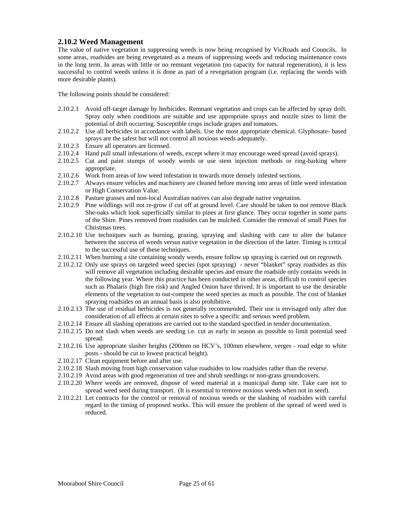#### <span id="page-24-0"></span>**2.10.2 Weed Management**

The value of native vegetation in suppressing weeds is now being recognised by VicRoads and Councils. In some areas, roadsides are being revegetated as a means of suppressing weeds and reducing maintenance costs in the long term. In areas with little or no remnant vegetation (no capacity for natural regeneration), it is less successful to control weeds unless it is done as part of a revegetation program (i.e. replacing the weeds with more desirable plants).

The following points should be considered:

- 2.10.2.1 Avoid off-target damage by herbicides. Remnant vegetation and crops can be affected by spray drift. Spray only when conditions are suitable and use appropriate sprays and nozzle sizes to limit the potential of drift occurring. Susceptible crops include grapes and tomatoes.
- 2.10.2.2 Use all herbicides in accordance with labels. Use the most appropriate chemical. Glyphosate- based sprays are the safest but will not control all noxious weeds adequately.
- 2.10.2.3 Ensure all operators are licensed.
- 2.10.2.4 Hand pull small infestations of weeds, except where it may encourage weed spread (avoid sprays).
- 2.10.2.5 Cut and paint stumps of woody weeds or use stem injection methods or ring-barking where appropriate.
- 2.10.2.6 Work from areas of low weed infestation in towards more densely infested sections.
- 2.10.2.7 Always ensure vehicles and machinery are cleaned before moving into areas of little weed infestation or High Conservation Value.
- 2.10.2.8 Pasture grasses and non-local Australian natives can also degrade native vegetation.
- 2.10.2.9 Pine wildlings will not re-grow if cut off at ground level. Care should be taken to not remove Black She-oaks which look superficially similar to pines at first glance. They occur together in some parts of the Shire. Pines removed from roadsides can be mulched. Consider the removal of small Pines for Christmas trees.
- 2.10.2.10 Use techniques such as burning, grazing, spraying and slashing with care to alter the balance between the success of weeds versus native vegetation in the direction of the latter. Timing is critical to the successful use of these techniques.
- 2.10.2.11 When burning a site containing woody weeds, ensure follow up spraying is carried out on regrowth.
- 2.10.2.12 Only use sprays on targeted weed species (spot spraying) never "blanket" spray roadsides as this will remove all vegetation including desirable species and ensure the roadside only contains weeds in the following year. Where this practice has been conducted in other areas, difficult to control species such as Phalaris (high fire risk) and Angled Onion have thrived. It is important to use the desirable elements of the vegetation to out-compete the weed species as much as possible. The cost of blanket spraying roadsides on an annual basis is also prohibitive.
- 2.10.2.13 The use of residual herbicides is not generally recommended. Their use is envisaged only after due consideration of all effects at certain sites to solve a specific and serious weed problem.
- 2.10.2.14 Ensure all slashing operations are carried out to the standard specified in tender documentation.
- 2.10.2.15 Do not slash when weeds are seeding i.e. cut as early in season as possible to limit potential seed spread.
- 2.10.2.16 Use appropriate slasher heights (200mm on HCV's, 100mm elsewhere, verges road edge to white posts - should be cut to lowest practical height).
- 2.10.2.17 Clean equipment before and after use.
- 2.10.2.18 Slash moving from high conservation value roadsides to low roadsides rather than the reverse.
- 2.10.2.19 Avoid areas with good regeneration of tree and shrub seedlings or non-grass groundcovers.
- 2.10.2.20 Where weeds are removed, dispose of weed material at a municipal dump site. Take care not to spread weed seed during transport. (It is essential to remove noxious weeds when not in seed).
- 2.10.2.21 Let contracts for the control or removal of noxious weeds or the slashing of roadsides with careful regard to the timing of proposed works. This will ensure the problem of the spread of weed seed is reduced.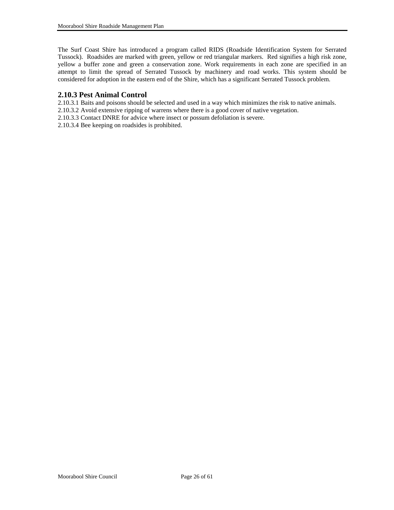<span id="page-25-0"></span>The Surf Coast Shire has introduced a program called RIDS (Roadside Identification System for Serrated Tussock). Roadsides are marked with green, yellow or red triangular markers. Red signifies a high risk zone, yellow a buffer zone and green a conservation zone. Work requirements in each zone are specified in an attempt to limit the spread of Serrated Tussock by machinery and road works. This system should be considered for adoption in the eastern end of the Shire, which has a significant Serrated Tussock problem.

#### **2.10.3 Pest Animal Control**

2.10.3.1 Baits and poisons should be selected and used in a way which minimizes the risk to native animals.

- 2.10.3.2 Avoid extensive ripping of warrens where there is a good cover of native vegetation.
- 2.10.3.3 Contact DNRE for advice where insect or possum defoliation is severe.
- 2.10.3.4 Bee keeping on roadsides is prohibited.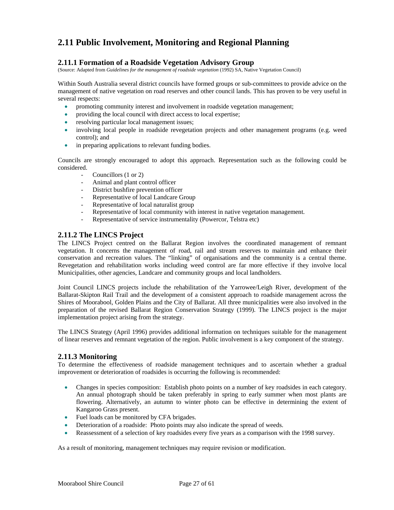### <span id="page-26-0"></span>**2.11 Public Involvement, Monitoring and Regional Planning**

#### **2.11.1 Formation of a Roadside Vegetation Advisory Group**

(Source: Adapted from *Guidelines for the management of roadside vegetation* (1992) SA, Native Vegetation Council)

Within South Australia several district councils have formed groups or sub-committees to provide advice on the management of native vegetation on road reserves and other council lands. This has proven to be very useful in several respects:

- promoting community interest and involvement in roadside vegetation management;
- providing the local council with direct access to local expertise;
- resolving particular local management issues;
- involving local people in roadside revegetation projects and other management programs (e.g. weed control); and
- in preparing applications to relevant funding bodies.

Councils are strongly encouraged to adopt this approach. Representation such as the following could be considered.

- Councillors (1 or 2)
- Animal and plant control officer
- District bushfire prevention officer
- Representative of local Landcare Group
- Representative of local naturalist group
- Representative of local community with interest in native vegetation management.
- Representative of service instrumentality (Powercor, Telstra etc)

#### **2.11.2 The LINCS Project**

The LINCS Project centred on the Ballarat Region involves the coordinated management of remnant vegetation. It concerns the management of road, rail and stream reserves to maintain and enhance their conservation and recreation values. The "linking" of organisations and the community is a central theme. Revegetation and rehabilitation works including weed control are far more effective if they involve local Municipalities, other agencies, Landcare and community groups and local landholders.

Joint Council LINCS projects include the rehabilitation of the Yarrowee/Leigh River, development of the Ballarat-Skipton Rail Trail and the development of a consistent approach to roadside management across the Shires of Moorabool, Golden Plains and the City of Ballarat. All three municipalities were also involved in the preparation of the revised Ballarat Region Conservation Strategy (1999). The LINCS project is the major implementation project arising from the strategy.

The LINCS Strategy (April 1996) provides additional information on techniques suitable for the management of linear reserves and remnant vegetation of the region. Public involvement is a key component of the strategy.

#### **2.11.3 Monitoring**

To determine the effectiveness of roadside management techniques and to ascertain whether a gradual improvement or deterioration of roadsides is occurring the following is recommended:

- Changes in species composition: Establish photo points on a number of key roadsides in each category. An annual photograph should be taken preferably in spring to early summer when most plants are flowering. Alternatively, an autumn to winter photo can be effective in determining the extent of Kangaroo Grass present.
- Fuel loads can be monitored by CFA brigades.
- Deterioration of a roadside: Photo points may also indicate the spread of weeds.
- Reassessment of a selection of key roadsides every five years as a comparison with the 1998 survey.

As a result of monitoring, management techniques may require revision or modification.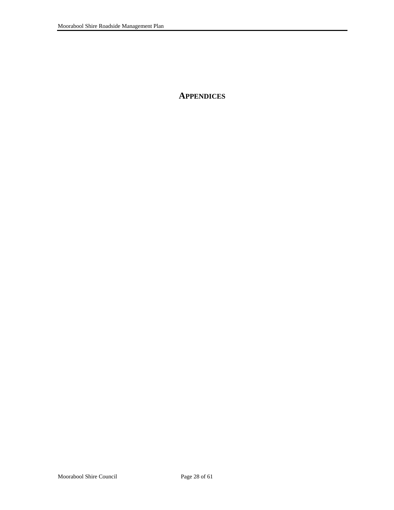<span id="page-27-0"></span>**APPENDICES**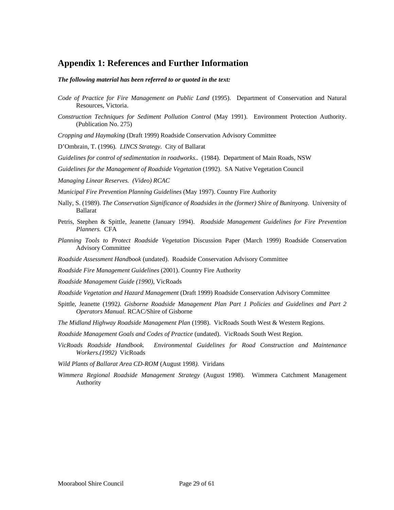### <span id="page-28-0"></span>**Appendix 1: References and Further Information**

*The following material has been referred to or quoted in the text:* 

- *Code of Practice for Fire Management on Public Land* (1995). Department of Conservation and Natural Resources, Victoria.
- *Construction Techniques for Sediment Pollution Control* (May 1991). Environment Protection Authority. (Publication No. 275)

*Cropping and Haymaking* (Draft 1999) Roadside Conservation Advisory Committee

D'Ombrain, T. (1996)*. LINCS Strategy.* City of Ballarat

*Guidelines for control of sedimentation in roadworks*.. (1984). Department of Main Roads, NSW

*Guidelines for the Management of Roadside Vegetation* (1992). SA Native Vegetation Council

*Managing Linear Reserves. (Video) RCAC* 

*Municipal Fire Prevention Planning Guidelines* (May 1997). Country Fire Authority

- Nally, S. (1989). *The Conservation Significance of Roadsides in the (former) Shire of Buninyong.* University of Ballarat
- Petris, Stephen & Spittle, Jeanette (January 1994). *Roadside Management Guidelines for Fire Prevention Planners.* CFA
- *Planning Tools to Protect Roadside Vegetation* Discussion Paper (March 1999) Roadside Conservation Advisory Committee
- *Roadside Assessment Handbook* (undated). Roadside Conservation Advisory Committee
- *Roadside Fire Management Guidelines* (2001). Country Fire Authority
- *Roadside Management Guide (1990),* VicRoads
- *Roadside Vegetation and Hazard Management* (Draft 1999) Roadside Conservation Advisory Committee
- Spittle, Jeanette (1992*). Gisborne Roadside Management Plan Part 1 Policies and Guidelines and Part 2 Operators Manual.* RCAC/Shire of Gisborne
- *The Midland Highway Roadside Management Plan* (1998). VicRoads South West & Western Regions.
- *Roadside Management Goals and Codes of Practice* (undated). VicRoads South West Region.
- *VicRoads Roadside Handbook. Environmental Guidelines for Road Construction and Maintenance Workers.(1992)* VicRoads
- *Wild Plants of Ballarat Area CD-ROM* (August 1998*)*. Viridans
- *Wimmera Regional Roadside Management Strategy* (August 1998). Wimmera Catchment Management Authority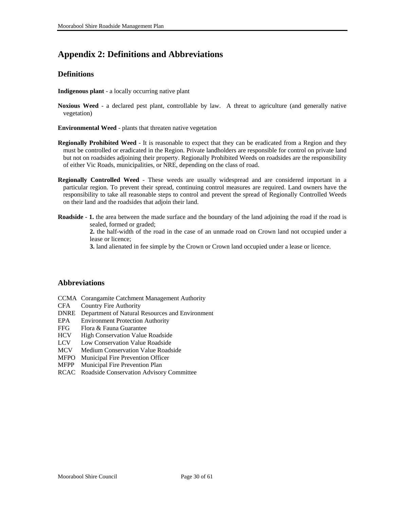### <span id="page-29-0"></span>**Appendix 2: Definitions and Abbreviations**

#### **Definitions**

**Indigenous plant** - a locally occurring native plant

- **Noxious Weed**  a declared pest plant, controllable by law. A threat to agriculture (and generally native vegetation)
- **Environmental Weed**  plants that threaten native vegetation
- **Regionally Prohibited Weed**  It is reasonable to expect that they can be eradicated from a Region and they must be controlled or eradicated in the Region. Private landholders are responsible for control on private land but not on roadsides adjoining their property. Regionally Prohibited Weeds on roadsides are the responsibility of either Vic Roads, municipalities, or NRE, depending on the class of road.
- **Regionally Controlled Weed**  These weeds are usually widespread and are considered important in a particular region. To prevent their spread, continuing control measures are required. Land owners have the responsibility to take all reasonable steps to control and prevent the spread of Regionally Controlled Weeds on their land and the roadsides that adjoin their land.
- **Roadside** 1. the area between the made surface and the boundary of the land adjoining the road if the road is sealed, formed or graded;

**2.** the half-width of the road in the case of an unmade road on Crown land not occupied under a lease or licence;

**3.** land alienated in fee simple by the Crown or Crown land occupied under a lease or licence.

#### **Abbreviations**

- CCMA Corangamite Catchment Management Authority
- CFA Country Fire Authority
- DNRE Department of Natural Resources and Environment
- EPA Environment Protection Authority
- FFG Flora & Fauna Guarantee
- HCV High Conservation Value Roadside
- LCV Low Conservation Value Roadside
- MCV Medium Conservation Value Roadside
- MFPO Municipal Fire Prevention Officer
- MFPP Municipal Fire Prevention Plan
- RCAC Roadside Conservation Advisory Committee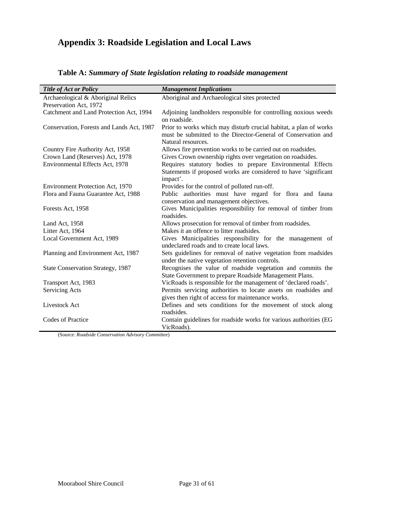## <span id="page-30-0"></span>**Appendix 3: Roadside Legislation and Local Laws**

| <b>Title of Act or Policy</b>             | <b>Management Implications</b>                                                                                                                           |
|-------------------------------------------|----------------------------------------------------------------------------------------------------------------------------------------------------------|
| Archaeological & Aboriginal Relics        | Aboriginal and Archaeological sites protected                                                                                                            |
| Preservation Act, 1972                    |                                                                                                                                                          |
| Catchment and Land Protection Act, 1994   | Adjoining landholders responsible for controlling noxious weeds                                                                                          |
|                                           | on roadside.                                                                                                                                             |
| Conservation, Forests and Lands Act, 1987 | Prior to works which may disturb crucial habitat, a plan of works<br>must be submitted to the Director-General of Conservation and<br>Natural resources. |
| Country Fire Authority Act, 1958          | Allows fire prevention works to be carried out on roadsides.                                                                                             |
| Crown Land (Reserves) Act, 1978           | Gives Crown ownership rights over vegetation on roadsides.                                                                                               |
| Environmental Effects Act, 1978           | Requires statutory bodies to prepare Environmental Effects                                                                                               |
|                                           | Statements if proposed works are considered to have 'significant<br>impact'.                                                                             |
| Environment Protection Act, 1970          | Provides for the control of polluted run-off.                                                                                                            |
| Flora and Fauna Guarantee Act, 1988       | Public authorities must have regard for flora and fauna                                                                                                  |
|                                           | conservation and management objectives.                                                                                                                  |
| Forests Act, 1958                         | Gives Municipalities responsibility for removal of timber from<br>roadsides.                                                                             |
| Land Act, 1958                            | Allows prosecution for removal of timber from roadsides.                                                                                                 |
| Litter Act, 1964                          | Makes it an offence to litter roadsides.                                                                                                                 |
| Local Government Act, 1989                | Gives Municipalities responsibility for the management of<br>undeclared roads and to create local laws.                                                  |
| Planning and Environment Act, 1987        | Sets guidelines for removal of native vegetation from roadsides                                                                                          |
|                                           | under the native vegetation retention controls.                                                                                                          |
| State Conservation Strategy, 1987         | Recognises the value of roadside vegetation and commits the                                                                                              |
|                                           | State Government to prepare Roadside Management Plans.                                                                                                   |
| Transport Act, 1983                       | VicRoads is responsible for the management of 'declared roads'.                                                                                          |
| Servicing Acts                            | Permits servicing authorities to locate assets on roadsides and                                                                                          |
|                                           | gives then right of access for maintenance works.                                                                                                        |
| Livestock Act                             | Defines and sets conditions for the movement of stock along<br>roadsides.                                                                                |
| Codes of Practice                         | Contain guidelines for roadside works for various authorities (EG                                                                                        |
|                                           | VicRoads).                                                                                                                                               |

| Table A: Summary of State legislation relating to roadside management |
|-----------------------------------------------------------------------|
|-----------------------------------------------------------------------|

(Source: *Roadside Conservation Advisory Committee*)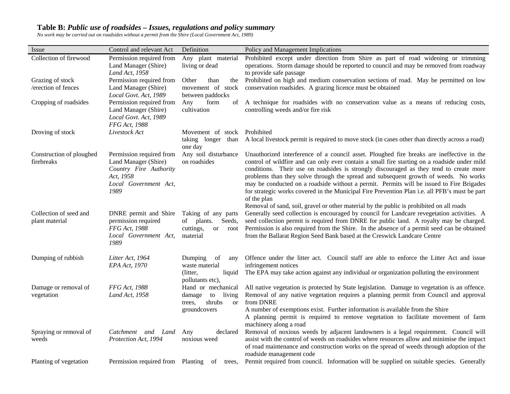#### **Table B:** *Public use of roadsides – Issues, regulations and policy summary*

*No work may be carried out on roadsides without a permit from the Shire (Local Government Act, 1989)* 

<span id="page-31-0"></span>

| Issue                                    | Control and relevant Act                                                                                                 | Definition                                                                                                        | Policy and Management Implications                                                                                                                                                                                                                                                                                                                                                                                                                                                                                                                                                                                                                                                  |
|------------------------------------------|--------------------------------------------------------------------------------------------------------------------------|-------------------------------------------------------------------------------------------------------------------|-------------------------------------------------------------------------------------------------------------------------------------------------------------------------------------------------------------------------------------------------------------------------------------------------------------------------------------------------------------------------------------------------------------------------------------------------------------------------------------------------------------------------------------------------------------------------------------------------------------------------------------------------------------------------------------|
| Collection of firewood                   | Permission required from<br>Land Manager (Shire)<br>Land Act, 1958                                                       | Any plant material<br>living or dead                                                                              | Prohibited except under direction from Shire as part of road widening or trimming<br>operations. Storm damage should be reported to council and may be removed from roadway<br>to provide safe passage                                                                                                                                                                                                                                                                                                                                                                                                                                                                              |
| Grazing of stock<br>/erection of fences  | Permission required from<br>Land Manager (Shire)<br>Local Govt. Act, 1989                                                | Other<br>than<br>between paddocks                                                                                 | the Prohibited on high and medium conservation sections of road. May be permitted on low<br>movement of stock conservation roadsides. A grazing licence must be obtained                                                                                                                                                                                                                                                                                                                                                                                                                                                                                                            |
| Cropping of roadsides                    | Permission required from<br>Land Manager (Shire)<br>Local Govt. Act, 1989<br>FFG Act, 1988                               | form<br>Any<br>cultivation                                                                                        | of A technique for roadsides with no conservation value as a means of reducing costs,<br>controlling weeds and/or fire risk                                                                                                                                                                                                                                                                                                                                                                                                                                                                                                                                                         |
| Droving of stock                         | Livestock Act                                                                                                            | Movement of stock<br>taking longer than<br>one day                                                                | Prohibited<br>A local livestock permit is required to move stock (in cases other than directly across a road)                                                                                                                                                                                                                                                                                                                                                                                                                                                                                                                                                                       |
| Construction of ploughed<br>firebreaks   | Permission required from<br>Land Manager (Shire)<br>Country Fire Authority<br>Act, 1958<br>Local Government Act,<br>1989 | Any soil disturbance<br>on roadsides                                                                              | Unauthorized interference of a council asset. Ploughed fire breaks are ineffective in the<br>control of wildfire and can only ever contain a small fire starting on a roadside under mild<br>conditions. Their use on roadsides is strongly discouraged as they tend to create more<br>problems than they solve through the spread and subsequent growth of weeds. No works<br>may be conducted on a roadside without a permit. Permits will be issued to Fire Brigades<br>for strategic works covered in the Municipal Fire Prevention Plan i.e. all PFB's must be part<br>of the plan<br>Removal of sand, soil, gravel or other material by the public is prohibited on all roads |
| Collection of seed and<br>plant material | DNRE permit and Shire<br>permission required<br>FFG Act, 1988<br>Local Government Act,<br>1989                           | Taking of any parts<br>of plants.<br>Seeds,<br>cuttings,<br>root<br><sub>or</sub><br>material                     | Generally seed collection is encouraged by council for Landcare revegetation activities. A<br>seed collection permit is required from DNRE for public land. A royalty may be charged.<br>Permission is also required from the Shire. In the absence of a permit seed can be obtained<br>from the Ballarat Region Seed Bank based at the Creswick Landcare Centre                                                                                                                                                                                                                                                                                                                    |
| Dumping of rubbish                       | Litter Act, 1964<br>EPA Act, 1970                                                                                        | Dumping<br>of<br>any<br>waste material<br>(litter,<br>liquid                                                      | Offence under the litter act. Council staff are able to enforce the Litter Act and issue<br>infringement notices<br>The EPA may take action against any individual or organization polluting the environment                                                                                                                                                                                                                                                                                                                                                                                                                                                                        |
| Damage or removal of<br>vegetation       | FFG Act, 1988<br>Land Act, 1958                                                                                          | pollutants etc),<br>Hand or mechanical<br>living<br>damage<br>to<br>shrubs<br>trees.<br><b>or</b><br>groundcovers | All native vegetation is protected by State legislation. Damage to vegetation is an offence.<br>Removal of any native vegetation requires a planning permit from Council and approval<br>from DNRE<br>A number of exemptions exist. Further information is available from the Shire<br>A planning permit is required to remove vegetation to facilitate movement of farm<br>machinery along a road                                                                                                                                                                                                                                                                                  |
| Spraying or removal of<br>weeds          | Catchment and Land<br>Protection Act, 1994                                                                               | declared<br>Any<br>noxious weed                                                                                   | Removal of noxious weeds by adjacent landowners is a legal requirement. Council will<br>assist with the control of weeds on roadsides where resources allow and minimise the impact<br>of road maintenance and construction works on the spread of weeds through adoption of the<br>roadside management code                                                                                                                                                                                                                                                                                                                                                                        |
| Planting of vegetation                   | Permission required from Planting                                                                                        | of<br>trees.                                                                                                      | Permit required from council. Information will be supplied on suitable species. Generally                                                                                                                                                                                                                                                                                                                                                                                                                                                                                                                                                                                           |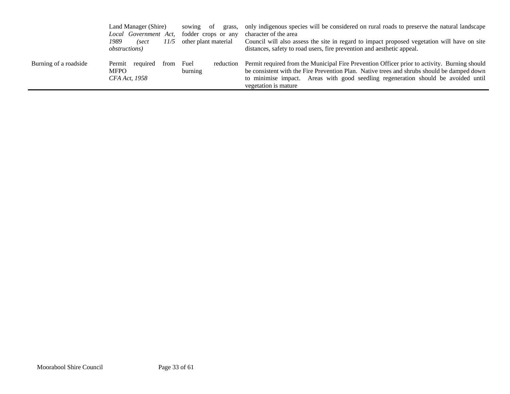|                       | Land Manager (Shire)<br>Local Government Act,<br>1989<br>11/5<br>(sect<br><i>obstructions</i> ) | sowing<br>-of<br>grass,<br>fodder crops or any<br>other plant material | only indigenous species will be considered on rural roads to preserve the natural landscape<br>character of the area<br>Council will also assess the site in regard to impact proposed vegetation will have on site<br>distances, safety to road users, fire prevention and aesthetic appeal.            |
|-----------------------|-------------------------------------------------------------------------------------------------|------------------------------------------------------------------------|----------------------------------------------------------------------------------------------------------------------------------------------------------------------------------------------------------------------------------------------------------------------------------------------------------|
| Burning of a roadside | Permit<br>required<br>from<br><b>MFPO</b><br>CFA Act, 1958                                      | Fuel<br>reduction<br>burning                                           | Permit required from the Municipal Fire Prevention Officer prior to activity. Burning should<br>be consistent with the Fire Prevention Plan. Native trees and shrubs should be damped down<br>to minimise impact. Areas with good seedling regeneration should be avoided until<br>vegetation is mature. |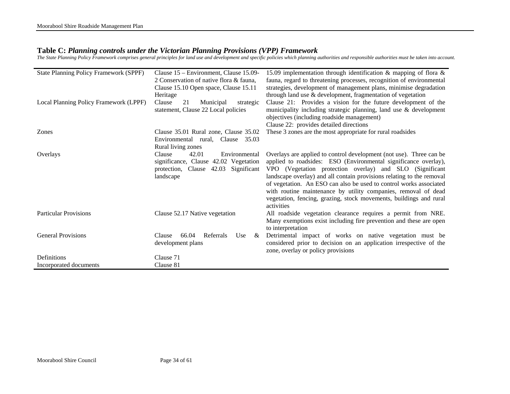#### **Table C:** *Planning controls under the Victorian Planning Provisions (VPP) Framework*

*The State Planning Policy Framework comprises general principles for land use and development and specific policies which planning authorities and responsible authorities must be taken into account.* 

<span id="page-33-0"></span>

| <b>State Planning Policy Framework (SPPF)</b><br>Local Planning Policy Framework (LPPF) | Clause 15 – Environment, Clause 15.09-<br>2 Conservation of native flora & fauna,<br>Clause 15.10 Open space, Clause 15.11<br>Heritage<br>21<br>Clause<br>Municipal<br>strategic | 15.09 implementation through identification $\&$ mapping of flora $\&$<br>fauna, regard to threatening processes, recognition of environmental<br>strategies, development of management plans, minimise degradation<br>through land use & development, fragmentation of vegetation<br>Clause 21: Provides a vision for the future development of the                                                                                                                                                    |
|-----------------------------------------------------------------------------------------|----------------------------------------------------------------------------------------------------------------------------------------------------------------------------------|---------------------------------------------------------------------------------------------------------------------------------------------------------------------------------------------------------------------------------------------------------------------------------------------------------------------------------------------------------------------------------------------------------------------------------------------------------------------------------------------------------|
|                                                                                         | statement, Clause 22 Local policies                                                                                                                                              | municipality including strategic planning, land use & development<br>objectives (including roadside management)<br>Clause 22: provides detailed directions                                                                                                                                                                                                                                                                                                                                              |
| Zones                                                                                   | Clause 35.01 Rural zone, Clause 35.02<br>Environmental rural,<br>Clause 35.03<br>Rural living zones                                                                              | These 3 zones are the most appropriate for rural roadsides                                                                                                                                                                                                                                                                                                                                                                                                                                              |
| Overlays                                                                                | 42.01<br>Environmental<br>Clause<br>significance, Clause 42.02 Vegetation<br>protection, Clause 42.03 Significant<br>landscape                                                   | Overlays are applied to control development (not use). Three can be<br>applied to roadsides: ESO (Environmental significance overlay),<br>VPO (Vegetation protection overlay) and SLO (Significant<br>landscape overlay) and all contain provisions relating to the removal<br>of vegetation. An ESO can also be used to control works associated<br>with routine maintenance by utility companies, removal of dead<br>vegetation, fencing, grazing, stock movements, buildings and rural<br>activities |
| <b>Particular Provisions</b>                                                            | Clause 52.17 Native vegetation                                                                                                                                                   | All roadside vegetation clearance requires a permit from NRE.<br>Many exemptions exist including fire prevention and these are open<br>to interpretation                                                                                                                                                                                                                                                                                                                                                |
| <b>General Provisions</b>                                                               | 66.04<br>Referrals<br>Use<br>Clause<br>&<br>development plans                                                                                                                    | Detrimental impact of works on native vegetation must be<br>considered prior to decision on an application irrespective of the<br>zone, overlay or policy provisions                                                                                                                                                                                                                                                                                                                                    |
| Definitions                                                                             | Clause 71                                                                                                                                                                        |                                                                                                                                                                                                                                                                                                                                                                                                                                                                                                         |
| Incorporated documents                                                                  | Clause 81                                                                                                                                                                        |                                                                                                                                                                                                                                                                                                                                                                                                                                                                                                         |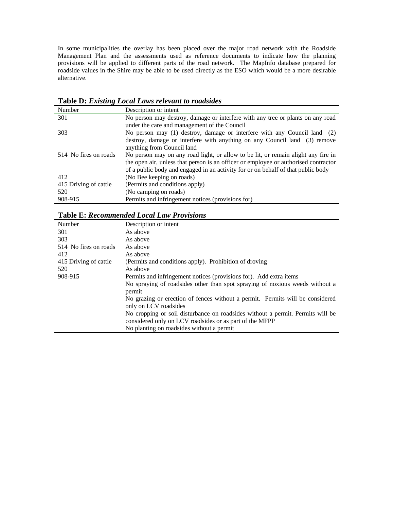<span id="page-34-0"></span>In some municipalities the overlay has been placed over the major road network with the Roadside Management Plan and the assessments used as reference documents to indicate how the planning provisions will be applied to different parts of the road network. The MapInfo database prepared for roadside values in the Shire may be able to be used directly as the ESO which would be a more desirable alternative.

| Number                | Description or intent                                                               |
|-----------------------|-------------------------------------------------------------------------------------|
| 301                   | No person may destroy, damage or interfere with any tree or plants on any road      |
|                       | under the care and management of the Council                                        |
| 303                   | No person may (1) destroy, damage or interfere with any Council land (2)            |
|                       | destroy, damage or interfere with anything on any Council land (3) remove           |
|                       | anything from Council land                                                          |
| 514 No fires on roads | No person may on any road light, or allow to be lit, or remain alight any fire in   |
|                       | the open air, unless that person is an officer or employee or authorised contractor |
|                       | of a public body and engaged in an activity for or on behalf of that public body    |
| 412                   | (No Bee keeping on roads)                                                           |
| 415 Driving of cattle | (Permits and conditions apply)                                                      |
| 520                   | (No camping on roads)                                                               |
| 908-915               | Permits and infringement notices (provisions for)                                   |

**Table D:** *Existing Local Laws relevant to roadsides*

#### **Table E:** *Recommended Local Law Provisions*

| Number                | Description or intent                                                                                  |
|-----------------------|--------------------------------------------------------------------------------------------------------|
| 301                   | As above                                                                                               |
| 303                   | As above                                                                                               |
| 514 No fires on roads | As above                                                                                               |
| 412                   | As above                                                                                               |
| 415 Driving of cattle | (Permits and conditions apply). Prohibition of droving                                                 |
| 520                   | As above                                                                                               |
| 908-915               | Permits and infringement notices (provisions for). Add extra items                                     |
|                       | No spraying of roadsides other than spot spraying of noxious weeds without a<br>permit                 |
|                       | No grazing or erection of fences without a permit. Permits will be considered<br>only on LCV roadsides |
|                       | No cropping or soil disturbance on roadsides without a permit. Permits will be                         |
|                       | considered only on LCV roadsides or as part of the MFPP                                                |
|                       | No planting on roadsides without a permit                                                              |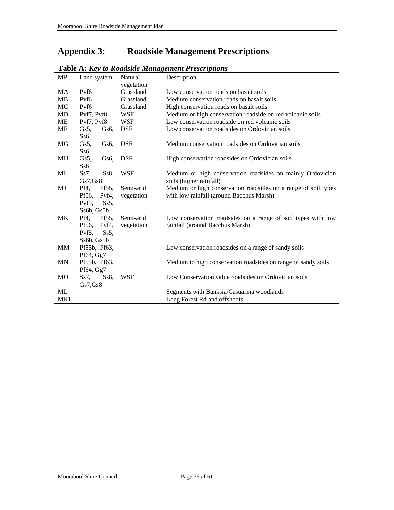### <span id="page-35-0"></span>**Appendix 3: Roadside Management Prescriptions**

| <b>MP</b> | Land system                   | Natural    | Description                                                    |
|-----------|-------------------------------|------------|----------------------------------------------------------------|
|           |                               | vegetation |                                                                |
| MA        | Pyf <sub>6</sub>              | Grassland  | Low conservation roads on basalt soils                         |
| <b>MB</b> | Pvf6                          | Grassland  | Medium conservation roads on basalt soils                      |
| MC        | Pyf <sub>6</sub>              | Grassland  | High conservation roads on basalt soils                        |
| MD        | Pvf7, Pvf8                    | WSF        | Medium or high conservation roadside on red volcanic soils     |
| <b>ME</b> | Pvf7, Pvf8                    | WSF        | Low conservation roadside on red volcanic soils                |
| MF        | Gs5,<br>Gs <sub>6</sub>       | <b>DSF</b> | Low conservation roadsides on Ordovician soils                 |
|           | S <sub>56</sub>               |            |                                                                |
| MG        | $Gs5$ ,<br>Gs6,               | <b>DSF</b> | Medium conservation roadsides on Ordovician soils              |
|           | Ss6                           |            |                                                                |
| MH        | Gs5,<br>Gs6.                  | <b>DSF</b> | High conservation roadsides on Ordovician soils                |
|           | S <sub>s6</sub>               |            |                                                                |
| MI        | Ss7,<br>$Ss8$ ,               | <b>WSF</b> | Medium or high conservation roadsides on mainly Ordovician     |
|           | Gs7,Gs8                       |            | soils (higher rainfall)                                        |
| MJ        | Pf4,<br>Pf55,                 | Semi-arid  | Medium or high conservation roadsides on a range of soil types |
|           | Pf56, Pvf4,                   | vegetation | with low rainfall (around Bacchus Marsh)                       |
|           | Pyf <sub>5</sub> .<br>$Ss5$ , |            |                                                                |
|           | Ss6b, Gs5b                    |            |                                                                |
| МK        | Pf4,<br>Pf55,                 | Semi-arid  | Low conservation roadsides on a range of soil types with low   |
|           | Pf56, Pvf4,                   | vegetation | rainfall (around Bacchus Marsh)                                |
|           | $Ss5$ ,<br>$Pvf5$ ,           |            |                                                                |
|           | Ss6b, Gs5b                    |            |                                                                |
| MM        | Pf55b, Pf63,                  |            | Low conservation roadsides on a range of sandy soils           |
|           | Pf64, Gg7                     |            |                                                                |
| MN        | Pf55b, Pf63,                  |            | Medium to high conservation roadsides on range of sandy soils  |
|           | Pf64, Gg7                     |            |                                                                |
| MO        | $Ss8$ ,<br>$Ss7$ ,            | WSF        | Low Conservation value roadsides on Ordovician soils           |
|           | Gs7,Gs8                       |            |                                                                |
| ML        |                               |            | Segments with Banksia/Casuarina woodlands                      |
| MR1       |                               |            | Long Forest Rd and offshoots                                   |

**Table A:** *Key to Roadside Management Prescriptions*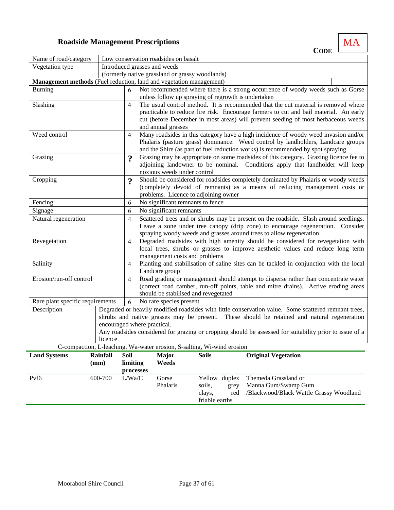### **Roadside Management Prescriptions** MA

<span id="page-36-0"></span>

|                                                                     |                             |                         |                                                                                                                                                                    |                                                                                                                                           |                                                                                                         |                       | <b>CODE</b>                                                                                                                                                                                         |  |  |  |
|---------------------------------------------------------------------|-----------------------------|-------------------------|--------------------------------------------------------------------------------------------------------------------------------------------------------------------|-------------------------------------------------------------------------------------------------------------------------------------------|---------------------------------------------------------------------------------------------------------|-----------------------|-----------------------------------------------------------------------------------------------------------------------------------------------------------------------------------------------------|--|--|--|
| Name of road/category                                               |                             |                         |                                                                                                                                                                    | Low conservation roadsides on basalt                                                                                                      |                                                                                                         |                       |                                                                                                                                                                                                     |  |  |  |
| Vegetation type                                                     |                             |                         |                                                                                                                                                                    | Introduced grasses and weeds                                                                                                              |                                                                                                         |                       |                                                                                                                                                                                                     |  |  |  |
|                                                                     |                             |                         |                                                                                                                                                                    | (formerly native grassland or grassy woodlands)                                                                                           |                                                                                                         |                       |                                                                                                                                                                                                     |  |  |  |
| Management methods (Fuel reduction, land and vegetation management) |                             |                         |                                                                                                                                                                    |                                                                                                                                           |                                                                                                         |                       |                                                                                                                                                                                                     |  |  |  |
| <b>Burning</b>                                                      |                             | 6                       |                                                                                                                                                                    |                                                                                                                                           |                                                                                                         |                       | Not recommended where there is a strong occurrence of woody weeds such as Gorse                                                                                                                     |  |  |  |
| Slashing                                                            |                             | $\overline{4}$          |                                                                                                                                                                    | unless follow up spraying of regrowth is undertaken<br>The usual control method. It is recommended that the cut material is removed where |                                                                                                         |                       |                                                                                                                                                                                                     |  |  |  |
|                                                                     |                             |                         | practicable to reduce fire risk. Encourage farmers to cut and bail material. An early                                                                              |                                                                                                                                           |                                                                                                         |                       |                                                                                                                                                                                                     |  |  |  |
|                                                                     |                             |                         | cut (before December in most areas) will prevent seeding of most herbaceous weeds                                                                                  |                                                                                                                                           |                                                                                                         |                       |                                                                                                                                                                                                     |  |  |  |
|                                                                     |                             |                         | and annual grasses                                                                                                                                                 |                                                                                                                                           |                                                                                                         |                       |                                                                                                                                                                                                     |  |  |  |
| Weed control                                                        |                             | $\overline{4}$          |                                                                                                                                                                    |                                                                                                                                           |                                                                                                         |                       | Many roadsides in this category have a high incidence of woody weed invasion and/or                                                                                                                 |  |  |  |
|                                                                     |                             |                         |                                                                                                                                                                    |                                                                                                                                           |                                                                                                         |                       | Phalaris (pasture grass) dominance. Weed control by landholders, Landcare groups                                                                                                                    |  |  |  |
|                                                                     |                             |                         |                                                                                                                                                                    |                                                                                                                                           |                                                                                                         |                       | and the Shire (as part of fuel reduction works) is recommended by spot spraying                                                                                                                     |  |  |  |
| Grazing                                                             |                             | $\boldsymbol{?}$        |                                                                                                                                                                    |                                                                                                                                           |                                                                                                         |                       | Grazing may be appropriate on some roadsides of this category. Grazing licence fee to                                                                                                               |  |  |  |
|                                                                     |                             |                         |                                                                                                                                                                    | noxious weeds under control                                                                                                               |                                                                                                         |                       | adjoining landowner to be nominal. Conditions apply that landholder will keep                                                                                                                       |  |  |  |
| Cropping                                                            |                             | $\boldsymbol{?}$        |                                                                                                                                                                    |                                                                                                                                           |                                                                                                         |                       | Should be considered for roadsides completely dominated by Phalaris or woody weeds                                                                                                                  |  |  |  |
|                                                                     |                             |                         |                                                                                                                                                                    |                                                                                                                                           |                                                                                                         |                       | (completely devoid of remnants) as a means of reducing management costs or                                                                                                                          |  |  |  |
|                                                                     |                             |                         |                                                                                                                                                                    | problems. Licence to adjoining owner                                                                                                      |                                                                                                         |                       |                                                                                                                                                                                                     |  |  |  |
| Fencing                                                             |                             | 6                       | No significant remnants to fence                                                                                                                                   |                                                                                                                                           |                                                                                                         |                       |                                                                                                                                                                                                     |  |  |  |
| Signage                                                             | 6                           | No significant remnants |                                                                                                                                                                    |                                                                                                                                           |                                                                                                         |                       |                                                                                                                                                                                                     |  |  |  |
| Natural regeneration                                                |                             | $\overline{4}$          | Scattered trees and or shrubs may be present on the roadside. Slash around seedlings.                                                                              |                                                                                                                                           |                                                                                                         |                       |                                                                                                                                                                                                     |  |  |  |
|                                                                     |                             |                         | Leave a zone under tree canopy (drip zone) to encourage regeneration. Consider<br>spraying woody weeds and grasses around trees to allow regeneration              |                                                                                                                                           |                                                                                                         |                       |                                                                                                                                                                                                     |  |  |  |
|                                                                     |                             |                         |                                                                                                                                                                    |                                                                                                                                           |                                                                                                         |                       |                                                                                                                                                                                                     |  |  |  |
| Revegetation                                                        |                             | $\overline{4}$          | Degraded roadsides with high amenity should be considered for revegetation with<br>local trees, shrubs or grasses to improve aesthetic values and reduce long term |                                                                                                                                           |                                                                                                         |                       |                                                                                                                                                                                                     |  |  |  |
|                                                                     |                             |                         |                                                                                                                                                                    | management costs and problems                                                                                                             |                                                                                                         |                       |                                                                                                                                                                                                     |  |  |  |
| Salinity                                                            |                             | $\overline{4}$          |                                                                                                                                                                    |                                                                                                                                           |                                                                                                         |                       | Planting and stabilisation of saline sites can be tackled in conjunction with the local                                                                                                             |  |  |  |
|                                                                     |                             |                         |                                                                                                                                                                    | Landcare group                                                                                                                            |                                                                                                         |                       |                                                                                                                                                                                                     |  |  |  |
| Erosion/run-off control                                             |                             | 4                       |                                                                                                                                                                    |                                                                                                                                           |                                                                                                         |                       | Road grading or management should attempt to disperse rather than concentrate water                                                                                                                 |  |  |  |
|                                                                     |                             |                         | (correct road camber, run-off points, table and mitre drains). Active eroding areas                                                                                |                                                                                                                                           |                                                                                                         |                       |                                                                                                                                                                                                     |  |  |  |
|                                                                     |                             |                         |                                                                                                                                                                    | should be stabilised and revegetated                                                                                                      |                                                                                                         |                       |                                                                                                                                                                                                     |  |  |  |
| Rare plant specific requirements                                    |                             | 6                       |                                                                                                                                                                    | No rare species present                                                                                                                   |                                                                                                         |                       |                                                                                                                                                                                                     |  |  |  |
| Description                                                         |                             |                         |                                                                                                                                                                    |                                                                                                                                           |                                                                                                         |                       | Degraded or heavily modified roadsides with little conservation value. Some scattered remnant trees,<br>shrubs and native grasses may be present. These should be retained and natural regeneration |  |  |  |
|                                                                     | encouraged where practical. |                         |                                                                                                                                                                    |                                                                                                                                           |                                                                                                         |                       |                                                                                                                                                                                                     |  |  |  |
|                                                                     |                             |                         |                                                                                                                                                                    |                                                                                                                                           | Any roadsides considered for grazing or cropping should be assessed for suitability prior to issue of a |                       |                                                                                                                                                                                                     |  |  |  |
| licence                                                             |                             |                         |                                                                                                                                                                    |                                                                                                                                           |                                                                                                         |                       |                                                                                                                                                                                                     |  |  |  |
|                                                                     |                             |                         |                                                                                                                                                                    | C-compaction, L-leaching, Wa-water erosion, S-salting, Wi-wind erosion                                                                    |                                                                                                         |                       |                                                                                                                                                                                                     |  |  |  |
| <b>Land Systems</b>                                                 | <b>Rainfall</b>             | Soil                    |                                                                                                                                                                    | <b>Major</b>                                                                                                                              | <b>Soils</b>                                                                                            |                       | <b>Original Vegetation</b>                                                                                                                                                                          |  |  |  |
|                                                                     | (mm)                        | limiting                |                                                                                                                                                                    | Weeds                                                                                                                                     |                                                                                                         |                       |                                                                                                                                                                                                     |  |  |  |
|                                                                     |                             | processes               |                                                                                                                                                                    |                                                                                                                                           |                                                                                                         |                       |                                                                                                                                                                                                     |  |  |  |
| Pvf6                                                                | 600-700                     | L/Wa/C                  |                                                                                                                                                                    | Gorse<br>Phalaris                                                                                                                         | soils,                                                                                                  | Yellow duplex<br>grey | Themeda Grassland or<br>Manna Gum/Swamp Gum                                                                                                                                                         |  |  |  |
|                                                                     |                             |                         |                                                                                                                                                                    |                                                                                                                                           | clays,                                                                                                  | red                   | /Blackwood/Black Wattle Grassy Woodland                                                                                                                                                             |  |  |  |
|                                                                     |                             |                         |                                                                                                                                                                    |                                                                                                                                           | friable earths                                                                                          |                       |                                                                                                                                                                                                     |  |  |  |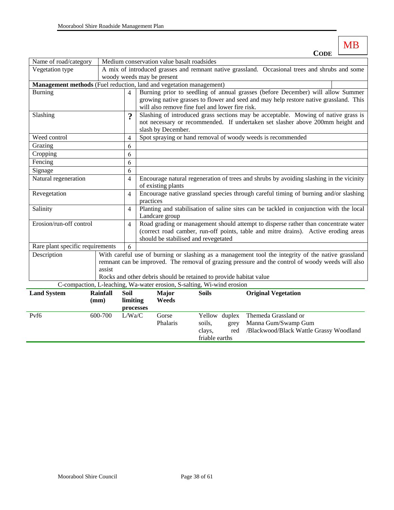|                                                                                                                                              |                 |                                            |                                                                                                   |                                                 |              |               |  | <b>CODE</b>                                                                                        |  |  |
|----------------------------------------------------------------------------------------------------------------------------------------------|-----------------|--------------------------------------------|---------------------------------------------------------------------------------------------------|-------------------------------------------------|--------------|---------------|--|----------------------------------------------------------------------------------------------------|--|--|
| Name of road/category                                                                                                                        |                 | Medium conservation value basalt roadsides |                                                                                                   |                                                 |              |               |  |                                                                                                    |  |  |
| Vegetation type                                                                                                                              |                 |                                            |                                                                                                   |                                                 |              |               |  | A mix of introduced grasses and remnant native grassland. Occasional trees and shrubs and some     |  |  |
|                                                                                                                                              |                 | woody weeds may be present                 |                                                                                                   |                                                 |              |               |  |                                                                                                    |  |  |
| Management methods (Fuel reduction, land and vegetation management)                                                                          |                 |                                            |                                                                                                   |                                                 |              |               |  |                                                                                                    |  |  |
| <b>Burning</b>                                                                                                                               |                 | $\overline{4}$                             |                                                                                                   |                                                 |              |               |  | Burning prior to seedling of annual grasses (before December) will allow Summer                    |  |  |
|                                                                                                                                              |                 |                                            |                                                                                                   |                                                 |              |               |  | growing native grasses to flower and seed and may help restore native grassland. This              |  |  |
|                                                                                                                                              |                 |                                            |                                                                                                   | will also remove fine fuel and lower fire risk. |              |               |  |                                                                                                    |  |  |
| Slashing                                                                                                                                     |                 | $\boldsymbol{\gamma}$                      |                                                                                                   |                                                 |              |               |  | Slashing of introduced grass sections may be acceptable. Mowing of native grass is                 |  |  |
|                                                                                                                                              |                 |                                            |                                                                                                   |                                                 |              |               |  | not necessary or recommended. If undertaken set slasher above 200mm height and                     |  |  |
|                                                                                                                                              |                 |                                            |                                                                                                   | slash by December.                              |              |               |  |                                                                                                    |  |  |
| Weed control                                                                                                                                 |                 | $\overline{4}$                             |                                                                                                   |                                                 |              |               |  | Spot spraying or hand removal of woody weeds is recommended                                        |  |  |
| Grazing                                                                                                                                      |                 | 6                                          |                                                                                                   |                                                 |              |               |  |                                                                                                    |  |  |
| Cropping                                                                                                                                     |                 | 6                                          |                                                                                                   |                                                 |              |               |  |                                                                                                    |  |  |
| Fencing                                                                                                                                      |                 | 6                                          |                                                                                                   |                                                 |              |               |  |                                                                                                    |  |  |
| Signage                                                                                                                                      |                 | 6                                          |                                                                                                   |                                                 |              |               |  |                                                                                                    |  |  |
| Natural regeneration                                                                                                                         |                 | 4                                          | Encourage natural regeneration of trees and shrubs by avoiding slashing in the vicinity           |                                                 |              |               |  |                                                                                                    |  |  |
|                                                                                                                                              |                 |                                            | of existing plants                                                                                |                                                 |              |               |  |                                                                                                    |  |  |
| Revegetation                                                                                                                                 |                 | $\overline{4}$                             | Encourage native grassland species through careful timing of burning and/or slashing<br>practices |                                                 |              |               |  |                                                                                                    |  |  |
| Salinity                                                                                                                                     |                 | 4                                          | Planting and stabilisation of saline sites can be tackled in conjunction with the local           |                                                 |              |               |  |                                                                                                    |  |  |
|                                                                                                                                              |                 |                                            | Landcare group                                                                                    |                                                 |              |               |  |                                                                                                    |  |  |
| Erosion/run-off control                                                                                                                      |                 | $\overline{4}$                             | Road grading or management should attempt to disperse rather than concentrate water               |                                                 |              |               |  |                                                                                                    |  |  |
|                                                                                                                                              |                 |                                            | (correct road camber, run-off points, table and mitre drains). Active eroding areas               |                                                 |              |               |  |                                                                                                    |  |  |
|                                                                                                                                              |                 |                                            |                                                                                                   | should be stabilised and revegetated            |              |               |  |                                                                                                    |  |  |
| Rare plant specific requirements                                                                                                             |                 | 6                                          |                                                                                                   |                                                 |              |               |  |                                                                                                    |  |  |
| Description                                                                                                                                  |                 |                                            |                                                                                                   |                                                 |              |               |  | With careful use of burning or slashing as a management tool the integrity of the native grassland |  |  |
|                                                                                                                                              |                 |                                            | remnant can be improved. The removal of grazing pressure and the control of woody weeds will also |                                                 |              |               |  |                                                                                                    |  |  |
|                                                                                                                                              | assist          |                                            |                                                                                                   |                                                 |              |               |  |                                                                                                    |  |  |
| Rocks and other debris should be retained to provide habitat value<br>C-compaction, L-leaching, Wa-water erosion, S-salting, Wi-wind erosion |                 |                                            |                                                                                                   |                                                 |              |               |  |                                                                                                    |  |  |
|                                                                                                                                              |                 |                                            |                                                                                                   |                                                 |              |               |  |                                                                                                    |  |  |
| <b>Land System</b>                                                                                                                           | <b>Rainfall</b> | Soil                                       |                                                                                                   | <b>Major</b>                                    | <b>Soils</b> |               |  | <b>Original Vegetation</b>                                                                         |  |  |
|                                                                                                                                              | (mm)            | limiting                                   |                                                                                                   | Weeds                                           |              |               |  |                                                                                                    |  |  |
|                                                                                                                                              |                 | processes                                  |                                                                                                   |                                                 |              |               |  |                                                                                                    |  |  |
| Pvf6                                                                                                                                         | 600-700         | L/Wa/C                                     |                                                                                                   | Gorse                                           |              | Yellow duplex |  | Themeda Grassland or                                                                               |  |  |
|                                                                                                                                              |                 |                                            |                                                                                                   | Phalaris                                        | soils,       | grey          |  | Manna Gum/Swamp Gum                                                                                |  |  |

clays, friable earths /Blackwood/Black Wattle Grassy Woodland

MB

Ė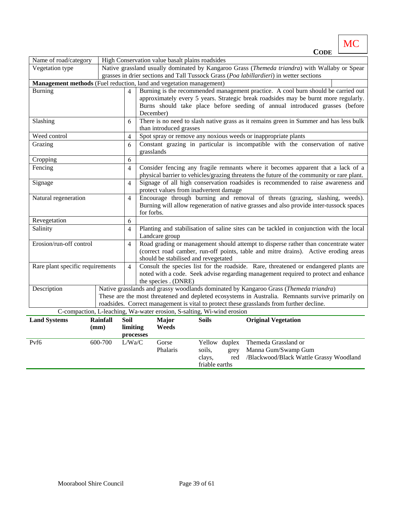|                                                                     |                                                                                         |                |                                                                                                                                                                                                                    |                                                                                                                                                                               |                          |               | <b>CODE</b>                                                                                                                                                                                   |  |  |
|---------------------------------------------------------------------|-----------------------------------------------------------------------------------------|----------------|--------------------------------------------------------------------------------------------------------------------------------------------------------------------------------------------------------------------|-------------------------------------------------------------------------------------------------------------------------------------------------------------------------------|--------------------------|---------------|-----------------------------------------------------------------------------------------------------------------------------------------------------------------------------------------------|--|--|
| Name of road/category                                               |                                                                                         |                |                                                                                                                                                                                                                    | High Conservation value basalt plains roadsides                                                                                                                               |                          |               |                                                                                                                                                                                               |  |  |
| Vegetation type                                                     |                                                                                         |                |                                                                                                                                                                                                                    |                                                                                                                                                                               |                          |               | Native grassland usually dominated by Kangaroo Grass (Themeda triandra) with Wallaby or Spear                                                                                                 |  |  |
|                                                                     | grasses in drier sections and Tall Tussock Grass (Poa labillardieri) in wetter sections |                |                                                                                                                                                                                                                    |                                                                                                                                                                               |                          |               |                                                                                                                                                                                               |  |  |
| Management methods (Fuel reduction, land and vegetation management) |                                                                                         |                |                                                                                                                                                                                                                    |                                                                                                                                                                               |                          |               |                                                                                                                                                                                               |  |  |
| Burning                                                             |                                                                                         | $\overline{4}$ | Burning is the recommended management practice. A cool burn should be carried out<br>approximately every 5 years. Strategic break roadsides may be burnt more regularly.                                           |                                                                                                                                                                               |                          |               |                                                                                                                                                                                               |  |  |
|                                                                     |                                                                                         |                |                                                                                                                                                                                                                    | Burns should take place before seeding of annual introduced grasses (before<br>December)                                                                                      |                          |               |                                                                                                                                                                                               |  |  |
| Slashing                                                            |                                                                                         | 6              |                                                                                                                                                                                                                    | than introduced grasses                                                                                                                                                       |                          |               | There is no need to slash native grass as it remains green in Summer and has less bulk                                                                                                        |  |  |
| Weed control                                                        |                                                                                         | $\overline{4}$ |                                                                                                                                                                                                                    |                                                                                                                                                                               |                          |               | Spot spray or remove any noxious weeds or inappropriate plants                                                                                                                                |  |  |
| Grazing                                                             |                                                                                         | 6              |                                                                                                                                                                                                                    | grasslands                                                                                                                                                                    |                          |               | Constant grazing in particular is incompatible with the conservation of native                                                                                                                |  |  |
| Cropping                                                            |                                                                                         | 6              |                                                                                                                                                                                                                    |                                                                                                                                                                               |                          |               |                                                                                                                                                                                               |  |  |
| Fencing                                                             |                                                                                         | $\overline{4}$ |                                                                                                                                                                                                                    | Consider fencing any fragile remnants where it becomes apparent that a lack of a<br>physical barrier to vehicles/grazing threatens the future of the community or rare plant. |                          |               |                                                                                                                                                                                               |  |  |
| Signage                                                             |                                                                                         | $\overline{4}$ | Signage of all high conservation roadsides is recommended to raise awareness and<br>protect values from inadvertent damage                                                                                         |                                                                                                                                                                               |                          |               |                                                                                                                                                                                               |  |  |
| Natural regeneration                                                |                                                                                         | $\overline{4}$ | Encourage through burning and removal of threats (grazing, slashing, weeds).                                                                                                                                       |                                                                                                                                                                               |                          |               |                                                                                                                                                                                               |  |  |
|                                                                     |                                                                                         |                | Burning will allow regeneration of native grasses and also provide inter-tussock spaces<br>for forbs.                                                                                                              |                                                                                                                                                                               |                          |               |                                                                                                                                                                                               |  |  |
| Revegetation                                                        |                                                                                         | 6              |                                                                                                                                                                                                                    |                                                                                                                                                                               |                          |               |                                                                                                                                                                                               |  |  |
| Salinity                                                            |                                                                                         | $\overline{4}$ | Planting and stabilisation of saline sites can be tackled in conjunction with the local<br>Landcare group                                                                                                          |                                                                                                                                                                               |                          |               |                                                                                                                                                                                               |  |  |
| Erosion/run-off control                                             |                                                                                         | $\overline{4}$ | Road grading or management should attempt to disperse rather than concentrate water<br>(correct road camber, run-off points, table and mitre drains). Active eroding areas<br>should be stabilised and revegetated |                                                                                                                                                                               |                          |               |                                                                                                                                                                                               |  |  |
| Rare plant specific requirements                                    |                                                                                         | $\overline{4}$ | Consult the species list for the roadside. Rare, threatened or endangered plants are<br>noted with a code. Seek advise regarding management required to protect and enhance<br>the species . (DNRE)                |                                                                                                                                                                               |                          |               |                                                                                                                                                                                               |  |  |
| Description                                                         |                                                                                         |                |                                                                                                                                                                                                                    |                                                                                                                                                                               |                          |               | Native grasslands and grassy woodlands dominated by Kangaroo Grass (Themeda triandra)                                                                                                         |  |  |
|                                                                     |                                                                                         |                |                                                                                                                                                                                                                    |                                                                                                                                                                               |                          |               | These are the most threatened and depleted ecosystems in Australia. Remnants survive primarily on<br>roadsides. Correct management is vital to protect these grasslands from further decline. |  |  |
|                                                                     |                                                                                         |                |                                                                                                                                                                                                                    | C-compaction, L-leaching, Wa-water erosion, S-salting, Wi-wind erosion                                                                                                        |                          |               |                                                                                                                                                                                               |  |  |
| <b>Land Systems</b>                                                 | <b>Rainfall</b>                                                                         | Soil           |                                                                                                                                                                                                                    | <b>Major</b>                                                                                                                                                                  | <b>Soils</b>             |               | <b>Original Vegetation</b>                                                                                                                                                                    |  |  |
|                                                                     | (mm)                                                                                    | limiting       |                                                                                                                                                                                                                    | Weeds                                                                                                                                                                         |                          |               |                                                                                                                                                                                               |  |  |
|                                                                     |                                                                                         | processes      |                                                                                                                                                                                                                    |                                                                                                                                                                               |                          |               |                                                                                                                                                                                               |  |  |
| Pvf6                                                                | 600-700                                                                                 | L/Wa/C         |                                                                                                                                                                                                                    | Gorse                                                                                                                                                                         |                          | Yellow duplex | Themeda Grassland or                                                                                                                                                                          |  |  |
|                                                                     |                                                                                         |                |                                                                                                                                                                                                                    | Phalaris                                                                                                                                                                      | soils,                   | grey          | Manna Gum/Swamp Gum                                                                                                                                                                           |  |  |
|                                                                     |                                                                                         |                |                                                                                                                                                                                                                    |                                                                                                                                                                               | clays,<br>friable earths | red           | /Blackwood/Black Wattle Grassy Woodland                                                                                                                                                       |  |  |

MC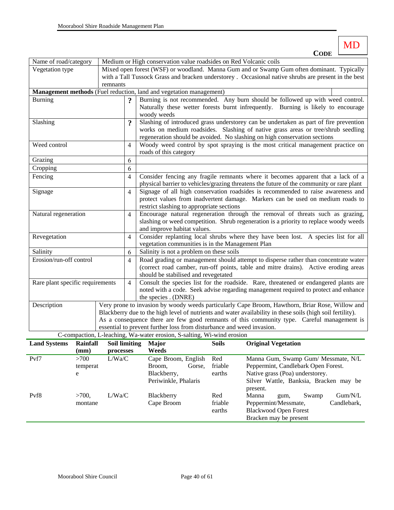MD **CODE**

| Name of road/category                                                                      |                                                                       |                      | Medium or High conservation value roadsides on Red Volcanic coils                                         |                                                                                                                                                                         |              |                                                                                                            |  |  |  |  |  |
|--------------------------------------------------------------------------------------------|-----------------------------------------------------------------------|----------------------|-----------------------------------------------------------------------------------------------------------|-------------------------------------------------------------------------------------------------------------------------------------------------------------------------|--------------|------------------------------------------------------------------------------------------------------------|--|--|--|--|--|
| Vegetation type                                                                            |                                                                       |                      |                                                                                                           |                                                                                                                                                                         |              | Mixed open forest (WSF) or woodland. Manna Gum and or Swamp Gum often dominant. Typically                  |  |  |  |  |  |
|                                                                                            |                                                                       |                      |                                                                                                           |                                                                                                                                                                         |              | with a Tall Tussock Grass and bracken understorey. Occasional native shrubs are present in the best        |  |  |  |  |  |
|                                                                                            |                                                                       | remnants             |                                                                                                           |                                                                                                                                                                         |              |                                                                                                            |  |  |  |  |  |
|                                                                                            |                                                                       |                      |                                                                                                           | Management methods (Fuel reduction, land and vegetation management)                                                                                                     |              |                                                                                                            |  |  |  |  |  |
| <b>Burning</b>                                                                             |                                                                       |                      |                                                                                                           |                                                                                                                                                                         |              | Burning is not recommended. Any burn should be followed up with weed control.                              |  |  |  |  |  |
|                                                                                            |                                                                       |                      |                                                                                                           |                                                                                                                                                                         |              | Naturally these wetter forests burnt infrequently. Burning is likely to encourage                          |  |  |  |  |  |
|                                                                                            |                                                                       |                      |                                                                                                           | woody weeds                                                                                                                                                             |              |                                                                                                            |  |  |  |  |  |
| Slashing                                                                                   |                                                                       |                      | Slashing of introduced grass understorey can be undertaken as part of fire prevention<br>$\boldsymbol{v}$ |                                                                                                                                                                         |              |                                                                                                            |  |  |  |  |  |
|                                                                                            |                                                                       |                      |                                                                                                           |                                                                                                                                                                         |              | works on medium roadsides. Slashing of native grass areas or tree/shrub seedling                           |  |  |  |  |  |
| Weed control                                                                               |                                                                       |                      |                                                                                                           |                                                                                                                                                                         |              | regeneration should be avoided. No slashing on high conservation sections                                  |  |  |  |  |  |
|                                                                                            |                                                                       |                      | 4                                                                                                         |                                                                                                                                                                         |              | Woody weed control by spot spraying is the most critical management practice on                            |  |  |  |  |  |
|                                                                                            |                                                                       |                      |                                                                                                           | roads of this category                                                                                                                                                  |              |                                                                                                            |  |  |  |  |  |
| Grazing                                                                                    |                                                                       |                      | 6                                                                                                         |                                                                                                                                                                         |              |                                                                                                            |  |  |  |  |  |
| Cropping                                                                                   |                                                                       |                      | 6                                                                                                         |                                                                                                                                                                         |              |                                                                                                            |  |  |  |  |  |
| Fencing                                                                                    |                                                                       |                      | 4                                                                                                         |                                                                                                                                                                         |              | Consider fencing any fragile remnants where it becomes apparent that a lack of a                           |  |  |  |  |  |
|                                                                                            |                                                                       |                      |                                                                                                           |                                                                                                                                                                         |              | physical barrier to vehicles/grazing threatens the future of the community or rare plant                   |  |  |  |  |  |
| Signage                                                                                    |                                                                       |                      | 4                                                                                                         |                                                                                                                                                                         |              | Signage of all high conservation roadsides is recommended to raise awareness and                           |  |  |  |  |  |
|                                                                                            |                                                                       |                      |                                                                                                           | restrict slashing to appropriate sections                                                                                                                               |              | protect values from inadvertent damage. Markers can be used on medium roads to                             |  |  |  |  |  |
|                                                                                            |                                                                       |                      | 4                                                                                                         |                                                                                                                                                                         |              |                                                                                                            |  |  |  |  |  |
| Natural regeneration                                                                       |                                                                       |                      |                                                                                                           | Encourage natural regeneration through the removal of threats such as grazing,<br>slashing or weed competition. Shrub regeneration is a priority to replace woody weeds |              |                                                                                                            |  |  |  |  |  |
|                                                                                            |                                                                       |                      |                                                                                                           | and improve habitat values.                                                                                                                                             |              |                                                                                                            |  |  |  |  |  |
| Revegetation                                                                               |                                                                       |                      | 4                                                                                                         |                                                                                                                                                                         |              | Consider replanting local shrubs where they have been lost. A species list for all                         |  |  |  |  |  |
|                                                                                            |                                                                       |                      |                                                                                                           | vegetation communities is in the Management Plan                                                                                                                        |              |                                                                                                            |  |  |  |  |  |
| Salinity                                                                                   |                                                                       |                      | 6                                                                                                         | Salinity is not a problem on these soils                                                                                                                                |              |                                                                                                            |  |  |  |  |  |
| Erosion/run-off control                                                                    |                                                                       |                      | 4                                                                                                         | Road grading or management should attempt to disperse rather than concentrate water                                                                                     |              |                                                                                                            |  |  |  |  |  |
|                                                                                            |                                                                       |                      |                                                                                                           | (correct road camber, run-off points, table and mitre drains). Active eroding areas                                                                                     |              |                                                                                                            |  |  |  |  |  |
|                                                                                            |                                                                       |                      |                                                                                                           | should be stabilised and revegetated                                                                                                                                    |              |                                                                                                            |  |  |  |  |  |
| Rare plant specific requirements                                                           |                                                                       |                      | 4                                                                                                         |                                                                                                                                                                         |              | Consult the species list for the roadside. Rare, threatened or endangered plants are                       |  |  |  |  |  |
|                                                                                            |                                                                       |                      |                                                                                                           | noted with a code. Seek advise regarding management required to protect and enhance                                                                                     |              |                                                                                                            |  |  |  |  |  |
|                                                                                            |                                                                       |                      |                                                                                                           | the species . (DNRE)                                                                                                                                                    |              |                                                                                                            |  |  |  |  |  |
| Description                                                                                |                                                                       |                      |                                                                                                           |                                                                                                                                                                         |              | Very prone to invasion by woody weeds particularly Cape Broom, Hawthorn, Briar Rose, Willow and            |  |  |  |  |  |
|                                                                                            |                                                                       |                      |                                                                                                           |                                                                                                                                                                         |              | Blackberry due to the high level of nutrients and water availability in these soils (high soil fertility). |  |  |  |  |  |
| As a consequence there are few good remnants of this community type. Careful management is |                                                                       |                      |                                                                                                           |                                                                                                                                                                         |              |                                                                                                            |  |  |  |  |  |
|                                                                                            | essential to prevent further loss from disturbance and weed invasion. |                      |                                                                                                           |                                                                                                                                                                         |              |                                                                                                            |  |  |  |  |  |
|                                                                                            |                                                                       |                      |                                                                                                           | C-compaction, L-leaching, Wa-water erosion, S-salting, Wi-wind erosion                                                                                                  |              |                                                                                                            |  |  |  |  |  |
| <b>Land Systems</b>                                                                        | <b>Rainfall</b>                                                       | <b>Soil limiting</b> |                                                                                                           | Major                                                                                                                                                                   | <b>Soils</b> | <b>Original Vegetation</b>                                                                                 |  |  |  |  |  |
|                                                                                            | (mm)                                                                  | processes            |                                                                                                           | Weeds                                                                                                                                                                   |              |                                                                                                            |  |  |  |  |  |
| Pvf7                                                                                       | >700                                                                  | L/Wa/C               |                                                                                                           | Cape Broom, English                                                                                                                                                     | Red          | Manna Gum, Swamp Gum/ Messmate, N/L                                                                        |  |  |  |  |  |
|                                                                                            | temperat                                                              |                      |                                                                                                           | Broom,<br>Gorse,                                                                                                                                                        | friable      | Peppermint, Candlebark Open Forest.                                                                        |  |  |  |  |  |

|                  | temperat<br>e    |        | Broom.<br>Blackberry,<br>Periwinkle, Phalaris | Gorse, | friable<br>earths |                   |                                                                                | Peppermint, Candlebark Open Forest.<br>Native grass (Poa) understorey. | Silver Wattle, Banksia, Bracken may be |
|------------------|------------------|--------|-----------------------------------------------|--------|-------------------|-------------------|--------------------------------------------------------------------------------|------------------------------------------------------------------------|----------------------------------------|
| Pyf <sub>8</sub> | >700.<br>montane | L/Wa/C | Blackberry<br>Cape Broom                      |        | Red<br>friable    | present.<br>Manna | gum,                                                                           | Swamp                                                                  | Gum/N/L<br>Candlebark,                 |
|                  |                  |        |                                               |        | earths            |                   | Peppermint/Messmate,<br><b>Blackwood Open Forest</b><br>Bracken may be present |                                                                        |                                        |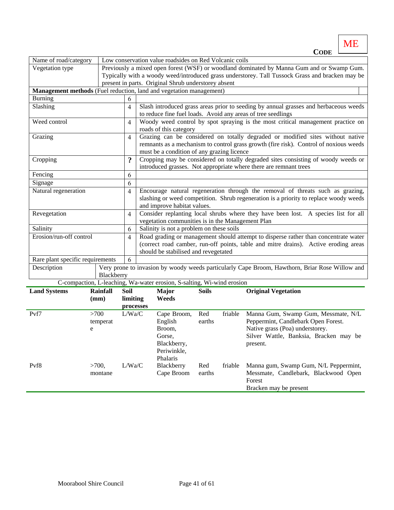ME Cor<sup>r</sup>

|                                                                     |                 |                |                                                                                                                                        |                                                                                      |              |         | <b>CODE</b>                                                                                     |  |  |  |  |
|---------------------------------------------------------------------|-----------------|----------------|----------------------------------------------------------------------------------------------------------------------------------------|--------------------------------------------------------------------------------------|--------------|---------|-------------------------------------------------------------------------------------------------|--|--|--|--|
| Name of road/category                                               |                 |                |                                                                                                                                        | Low conservation value roadsides on Red Volcanic coils                               |              |         |                                                                                                 |  |  |  |  |
| Vegetation type                                                     |                 |                |                                                                                                                                        |                                                                                      |              |         | Previously a mixed open forest (WSF) or woodland dominated by Manna Gum and or Swamp Gum.       |  |  |  |  |
|                                                                     |                 |                |                                                                                                                                        |                                                                                      |              |         | Typically with a woody weed/introduced grass understorey. Tall Tussock Grass and bracken may be |  |  |  |  |
|                                                                     |                 |                |                                                                                                                                        | present in parts. Original Shrub understorey absent                                  |              |         |                                                                                                 |  |  |  |  |
| Management methods (Fuel reduction, land and vegetation management) |                 |                |                                                                                                                                        |                                                                                      |              |         |                                                                                                 |  |  |  |  |
| <b>Burning</b>                                                      |                 | 6              |                                                                                                                                        |                                                                                      |              |         |                                                                                                 |  |  |  |  |
| Slashing                                                            |                 | $\overline{4}$ |                                                                                                                                        | Slash introduced grass areas prior to seeding by annual grasses and herbaceous weeds |              |         |                                                                                                 |  |  |  |  |
|                                                                     |                 |                |                                                                                                                                        | to reduce fine fuel loads. Avoid any areas of tree seedlings                         |              |         |                                                                                                 |  |  |  |  |
| Weed control                                                        |                 | $\overline{4}$ |                                                                                                                                        |                                                                                      |              |         | Woody weed control by spot spraying is the most critical management practice on                 |  |  |  |  |
|                                                                     |                 |                |                                                                                                                                        | roads of this category                                                               |              |         |                                                                                                 |  |  |  |  |
| Grazing                                                             |                 | 4              |                                                                                                                                        |                                                                                      |              |         | Grazing can be considered on totally degraded or modified sites without native                  |  |  |  |  |
|                                                                     |                 |                |                                                                                                                                        |                                                                                      |              |         | remnants as a mechanism to control grass growth (fire risk). Control of noxious weeds           |  |  |  |  |
|                                                                     |                 |                |                                                                                                                                        | must be a condition of any grazing licence                                           |              |         |                                                                                                 |  |  |  |  |
| Cropping                                                            |                 | $\ddot{\cdot}$ |                                                                                                                                        |                                                                                      |              |         | Cropping may be considered on totally degraded sites consisting of woody weeds or               |  |  |  |  |
|                                                                     |                 |                |                                                                                                                                        |                                                                                      |              |         | introduced grasses. Not appropriate where there are remnant trees                               |  |  |  |  |
| Fencing                                                             |                 | 6              |                                                                                                                                        |                                                                                      |              |         |                                                                                                 |  |  |  |  |
| Signage                                                             |                 | 6              |                                                                                                                                        |                                                                                      |              |         |                                                                                                 |  |  |  |  |
| Natural regeneration                                                |                 | 4              |                                                                                                                                        | Encourage natural regeneration through the removal of threats such as grazing,       |              |         |                                                                                                 |  |  |  |  |
|                                                                     |                 |                | slashing or weed competition. Shrub regeneration is a priority to replace woody weeds<br>and improve habitat values.                   |                                                                                      |              |         |                                                                                                 |  |  |  |  |
| Revegetation                                                        |                 |                |                                                                                                                                        |                                                                                      |              |         |                                                                                                 |  |  |  |  |
|                                                                     |                 | $\overline{4}$ | Consider replanting local shrubs where they have been lost. A species list for all<br>vegetation communities is in the Management Plan |                                                                                      |              |         |                                                                                                 |  |  |  |  |
| Salinity                                                            |                 | 6              | Salinity is not a problem on these soils                                                                                               |                                                                                      |              |         |                                                                                                 |  |  |  |  |
| Erosion/run-off control                                             |                 | 4              | Road grading or management should attempt to disperse rather than concentrate water                                                    |                                                                                      |              |         |                                                                                                 |  |  |  |  |
|                                                                     |                 |                | (correct road camber, run-off points, table and mitre drains). Active eroding areas                                                    |                                                                                      |              |         |                                                                                                 |  |  |  |  |
|                                                                     |                 |                | should be stabilised and revegetated                                                                                                   |                                                                                      |              |         |                                                                                                 |  |  |  |  |
| Rare plant specific requirements                                    |                 | 6              |                                                                                                                                        |                                                                                      |              |         |                                                                                                 |  |  |  |  |
| Description                                                         |                 |                |                                                                                                                                        |                                                                                      |              |         | Very prone to invasion by woody weeds particularly Cape Broom, Hawthorn, Briar Rose Willow and  |  |  |  |  |
|                                                                     | Blackberry      |                |                                                                                                                                        |                                                                                      |              |         |                                                                                                 |  |  |  |  |
|                                                                     |                 |                |                                                                                                                                        | C-compaction, L-leaching, Wa-water erosion, S-salting, Wi-wind erosion               |              |         |                                                                                                 |  |  |  |  |
| <b>Land Systems</b>                                                 | <b>Rainfall</b> | Soil           |                                                                                                                                        | Major                                                                                | <b>Soils</b> |         | <b>Original Vegetation</b>                                                                      |  |  |  |  |
|                                                                     | (mm)            | limiting       |                                                                                                                                        | Weeds                                                                                |              |         |                                                                                                 |  |  |  |  |
|                                                                     |                 |                | processes                                                                                                                              |                                                                                      |              |         |                                                                                                 |  |  |  |  |
| Pvf7                                                                | >700            | L/Wa/C         |                                                                                                                                        | Cape Broom,                                                                          | Red          | friable | Manna Gum, Swamp Gum, Messmate, N/L                                                             |  |  |  |  |
|                                                                     | temperat        |                |                                                                                                                                        | English                                                                              | earths       |         | Peppermint, Candlebark Open Forest.                                                             |  |  |  |  |
|                                                                     | e               |                |                                                                                                                                        | Broom,                                                                               |              |         | Native grass (Poa) understorey.                                                                 |  |  |  |  |
|                                                                     |                 |                |                                                                                                                                        | Gorse,                                                                               |              |         | Silver Wattle, Banksia, Bracken may be                                                          |  |  |  |  |
|                                                                     |                 |                |                                                                                                                                        | Blackberry,                                                                          |              |         | present.                                                                                        |  |  |  |  |
|                                                                     |                 |                |                                                                                                                                        | Periwinkle,                                                                          |              |         |                                                                                                 |  |  |  |  |
|                                                                     |                 |                |                                                                                                                                        | Phalaris                                                                             |              |         |                                                                                                 |  |  |  |  |
| Pvf8                                                                | >700,           | L/Wa/C         |                                                                                                                                        | Blackberry                                                                           | Red          | friable | Manna gum, Swamp Gum, N/L Peppermint,                                                           |  |  |  |  |
|                                                                     | montane         |                |                                                                                                                                        | Cape Broom                                                                           | earths       |         | Messmate, Candlebark, Blackwood Open                                                            |  |  |  |  |
|                                                                     |                 |                |                                                                                                                                        |                                                                                      |              |         | Forest<br>Bracken may be present                                                                |  |  |  |  |
|                                                                     |                 |                |                                                                                                                                        |                                                                                      |              |         |                                                                                                 |  |  |  |  |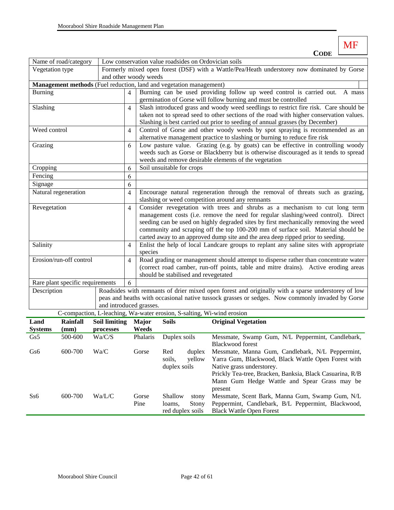| MDE |  |
|-----|--|

|                      | Name of road/category            |                                                                     |                |                                                                                                                                                                          |                                                                                   |        | Low conservation value roadsides on Ordovician soils                                                                                                          |  |  |  |
|----------------------|----------------------------------|---------------------------------------------------------------------|----------------|--------------------------------------------------------------------------------------------------------------------------------------------------------------------------|-----------------------------------------------------------------------------------|--------|---------------------------------------------------------------------------------------------------------------------------------------------------------------|--|--|--|
| Vegetation type      |                                  |                                                                     |                |                                                                                                                                                                          |                                                                                   |        | Formerly mixed open forest (DSF) with a Wattle/Pea/Heath understorey now dominated by Gorse                                                                   |  |  |  |
|                      |                                  |                                                                     |                | and other woody weeds                                                                                                                                                    |                                                                                   |        |                                                                                                                                                               |  |  |  |
|                      |                                  | Management methods (Fuel reduction, land and vegetation management) |                |                                                                                                                                                                          |                                                                                   |        |                                                                                                                                                               |  |  |  |
| <b>Burning</b>       |                                  |                                                                     | $\overline{4}$ |                                                                                                                                                                          | Burning can be used providing follow up weed control is carried out.<br>A mass    |        |                                                                                                                                                               |  |  |  |
|                      |                                  |                                                                     |                |                                                                                                                                                                          |                                                                                   |        | germination of Gorse will follow burning and must be controlled                                                                                               |  |  |  |
| Slashing             |                                  |                                                                     | $\overline{4}$ |                                                                                                                                                                          |                                                                                   |        | Slash introduced grass and woody weed seedlings to restrict fire risk. Care should be                                                                         |  |  |  |
|                      |                                  |                                                                     |                |                                                                                                                                                                          |                                                                                   |        | taken not to spread seed to other sections of the road with higher conservation values.                                                                       |  |  |  |
| Weed control         |                                  |                                                                     |                |                                                                                                                                                                          |                                                                                   |        | Slashing is best carried out prior to seeding of annual grasses (by December)<br>Control of Gorse and other woody weeds by spot spraying is recommended as an |  |  |  |
|                      |                                  |                                                                     | 4              |                                                                                                                                                                          |                                                                                   |        | alternative management practice to slashing or burning to reduce fire risk                                                                                    |  |  |  |
| Grazing              |                                  |                                                                     | 6              |                                                                                                                                                                          |                                                                                   |        | Low pasture value. Grazing (e.g. by goats) can be effective in controlling woody                                                                              |  |  |  |
|                      |                                  |                                                                     |                |                                                                                                                                                                          |                                                                                   |        | weeds such as Gorse or Blackberry but is otherwise discouraged as it tends to spread                                                                          |  |  |  |
|                      |                                  |                                                                     |                |                                                                                                                                                                          |                                                                                   |        | weeds and remove desirable elements of the vegetation                                                                                                         |  |  |  |
| Cropping             |                                  |                                                                     | 6              |                                                                                                                                                                          | Soil unsuitable for crops                                                         |        |                                                                                                                                                               |  |  |  |
| Fencing              |                                  |                                                                     | 6              |                                                                                                                                                                          |                                                                                   |        |                                                                                                                                                               |  |  |  |
| Signage              |                                  |                                                                     | 6              |                                                                                                                                                                          |                                                                                   |        |                                                                                                                                                               |  |  |  |
| Natural regeneration |                                  |                                                                     | 4              |                                                                                                                                                                          |                                                                                   |        | Encourage natural regeneration through the removal of threats such as grazing,                                                                                |  |  |  |
|                      |                                  |                                                                     |                | slashing or weed competition around any remnants                                                                                                                         |                                                                                   |        |                                                                                                                                                               |  |  |  |
| Revegetation         |                                  |                                                                     | 4              | Consider revegetation with trees and shrubs as a mechanism to cut long term                                                                                              |                                                                                   |        |                                                                                                                                                               |  |  |  |
|                      |                                  |                                                                     |                |                                                                                                                                                                          | management costs (i.e. remove the need for regular slashing/weed control). Direct |        |                                                                                                                                                               |  |  |  |
|                      |                                  |                                                                     |                |                                                                                                                                                                          |                                                                                   |        | seeding can be used on highly degraded sites by first mechanically removing the weed                                                                          |  |  |  |
|                      |                                  |                                                                     |                |                                                                                                                                                                          |                                                                                   |        | community and scraping off the top 100-200 mm of surface soil. Material should be                                                                             |  |  |  |
|                      |                                  |                                                                     |                | carted away to an approved dump site and the area deep ripped prior to seeding.<br>Enlist the help of local Landcare groups to replant any saline sites with appropriate |                                                                                   |        |                                                                                                                                                               |  |  |  |
| Salinity             |                                  |                                                                     | 4              | species                                                                                                                                                                  |                                                                                   |        |                                                                                                                                                               |  |  |  |
|                      | Erosion/run-off control          |                                                                     | $\overline{4}$ | Road grading or management should attempt to disperse rather than concentrate water                                                                                      |                                                                                   |        |                                                                                                                                                               |  |  |  |
|                      |                                  |                                                                     |                | (correct road camber, run-off points, table and mitre drains). Active eroding areas                                                                                      |                                                                                   |        |                                                                                                                                                               |  |  |  |
|                      |                                  |                                                                     |                | should be stabilised and revegetated                                                                                                                                     |                                                                                   |        |                                                                                                                                                               |  |  |  |
|                      | Rare plant specific requirements |                                                                     | 6              |                                                                                                                                                                          |                                                                                   |        |                                                                                                                                                               |  |  |  |
| Description          |                                  |                                                                     |                |                                                                                                                                                                          |                                                                                   |        | Roadsides with remnants of drier mixed open forest and originally with a sparse understorey of low                                                            |  |  |  |
|                      |                                  |                                                                     |                | peas and heaths with occasional native tussock grasses or sedges. Now commonly invaded by Gorse                                                                          |                                                                                   |        |                                                                                                                                                               |  |  |  |
|                      |                                  | and introduced grasses.                                             |                |                                                                                                                                                                          |                                                                                   |        |                                                                                                                                                               |  |  |  |
|                      |                                  |                                                                     |                |                                                                                                                                                                          |                                                                                   |        | C-compaction, L-leaching, Wa-water erosion, S-salting, Wi-wind erosion                                                                                        |  |  |  |
| Land                 | <b>Rainfall</b>                  | <b>Soil limiting</b>                                                |                | <b>Major</b>                                                                                                                                                             | <b>Soils</b>                                                                      |        | <b>Original Vegetation</b>                                                                                                                                    |  |  |  |
| <b>Systems</b>       | (mm)                             | processes                                                           |                | Weeds                                                                                                                                                                    |                                                                                   |        |                                                                                                                                                               |  |  |  |
| Gs5                  | 500-600                          | Wa/C/S                                                              |                | Phalaris                                                                                                                                                                 | Duplex soils                                                                      |        | Messmate, Swamp Gum, N/L Peppermint, Candlebark,<br><b>Blackwood forest</b>                                                                                   |  |  |  |
| Gs6                  | 600-700                          | Wa/C                                                                |                | Gorse                                                                                                                                                                    | Red                                                                               | duplex | Messmate, Manna Gum, Candlebark, N/L Peppermint,                                                                                                              |  |  |  |
|                      |                                  |                                                                     |                |                                                                                                                                                                          | soils,                                                                            | yellow | Yarra Gum, Blackwood, Black Wattle Open Forest with                                                                                                           |  |  |  |
|                      |                                  |                                                                     |                |                                                                                                                                                                          | duplex soils                                                                      |        | Native grass understorey.                                                                                                                                     |  |  |  |
|                      |                                  |                                                                     |                |                                                                                                                                                                          |                                                                                   |        | Prickly Tea-tree, Bracken, Banksia, Black Casuarina, R/B                                                                                                      |  |  |  |
|                      |                                  |                                                                     |                |                                                                                                                                                                          |                                                                                   |        | Mann Gum Hedge Wattle and Spear Grass may be                                                                                                                  |  |  |  |
| Ss6                  | 600-700                          | Wa/L/C                                                              |                | Gorse                                                                                                                                                                    | Shallow                                                                           | stony  | present<br>Messmate, Scent Bark, Manna Gum, Swamp Gum, N/L                                                                                                    |  |  |  |
|                      |                                  |                                                                     |                | Pine                                                                                                                                                                     | loams,                                                                            | Stony  | Peppermint, Candlebark, B/L Peppermint, Blackwood,                                                                                                            |  |  |  |

Black Wattle Open Forest

red duplex soils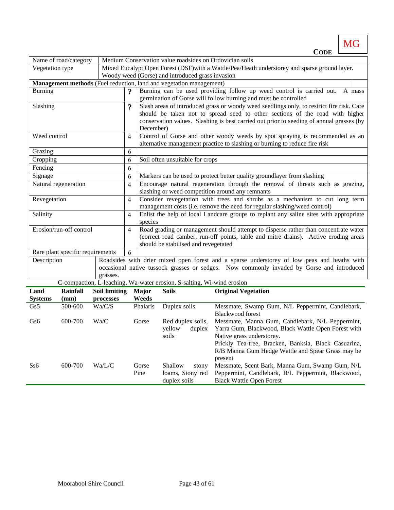**CODE** Name of road/category | Medium Conservation value roadsides on Ordovician soils Vegetation type Mixed Eucalypt Open Forest (DSF) with a Wattle/Pea/Heath understorey and sparse ground layer. Woody weed (Gorse) and introduced grass invasion **Management methods** (Fuel reduction, land and vegetation management) Burning **2** Burning **2** Burning can be used providing follow up weed control is carried out. A mass germination of Gorse will follow burning and must be controlled Slashing **? 8** Slash areas of introduced grass or woody weed seedlings only, to restrict fire risk. Care should be taken not to spread seed to other sections of the road with higher conservation values. Slashing is best carried out prior to seeding of annual grasses (by December) Weed control 4 Control of Gorse and other woody weeds by spot spraying is recommended as an alternative management practice to slashing or burning to reduce fire risk Grazing 6 Cropping 6 Soil often unsuitable for crops Fencing 6 Signage  $\begin{pmatrix} 6 \end{pmatrix}$  Markers can be used to protect better quality groundlayer from slashing Natural regeneration  $\begin{vmatrix} 4 \end{vmatrix}$  Encourage natural regeneration through the removal of threats such as grazing, slashing or weed competition around any remnants Revegetation  $\begin{vmatrix} 4 \end{vmatrix}$  Consider revegetation with trees and shrubs as a mechanism to cut long term management costs (i.e. remove the need for regular slashing/weed control) Salinity 14 Enlist the help of local Landcare groups to replant any saline sites with appropriate species Erosion/run-off control 4 Road grading or management should attempt to disperse rather than concentrate water (correct road camber, run-off points, table and mitre drains). Active eroding areas should be stabilised and revegetated Rare plant specific requirements  $\begin{bmatrix} 6 \end{bmatrix}$ Description Roadsides with drier mixed open forest and a sparse understorey of low peas and heaths with occasional native tussock grasses or sedges. Now commonly invaded by Gorse and introduced grasses. C-compaction, L-leaching, Wa-water erosion, S-salting, Wi-wind erosion

**MG** 

|                        |                  |                                   |                       | C-compaction, L-reacting, wa-water erosion, S-saiting, wi-wind erosion |                                                                                                                                                                                                                                                              |
|------------------------|------------------|-----------------------------------|-----------------------|------------------------------------------------------------------------|--------------------------------------------------------------------------------------------------------------------------------------------------------------------------------------------------------------------------------------------------------------|
| Land<br><b>Systems</b> | Rainfall<br>(mm) | <b>Soil limiting</b><br>processes | <b>Major</b><br>Weeds | <b>Soils</b>                                                           | <b>Original Vegetation</b>                                                                                                                                                                                                                                   |
| Gs5                    | 500-600          | Wa/C/S                            | Phalaris              | Duplex soils                                                           | Messmate, Swamp Gum, N/L Peppermint, Candlebark,<br>Blackwood forest                                                                                                                                                                                         |
| Gs6                    | 600-700          | Wa/C                              | Gorse                 | Red duplex soils,<br>yellow<br>duplex<br>soils                         | Messmate, Manna Gum, Candlebark, N/L Peppermint,<br>Yarra Gum, Blackwood, Black Wattle Open Forest with<br>Native grass understorey.<br>Prickly Tea-tree, Bracken, Banksia, Black Casuarina,<br>R/B Manna Gum Hedge Wattle and Spear Grass may be<br>present |
| S <sub>56</sub>        | 600-700          | Wa/L/C                            | Gorse<br>Pine         | Shallow<br>stony<br>loams, Stony red<br>duplex soils                   | Messmate, Scent Bark, Manna Gum, Swamp Gum, N/L<br>Peppermint, Candlebark, B/L Peppermint, Blackwood,<br><b>Black Wattle Open Forest</b>                                                                                                                     |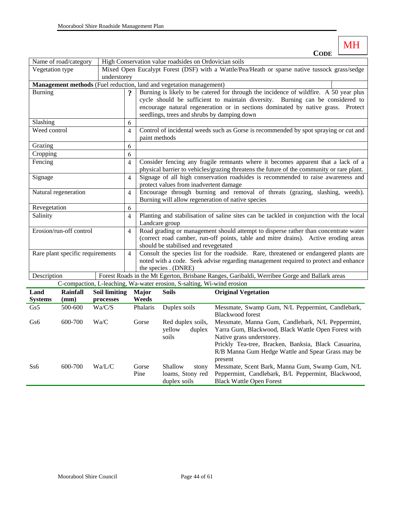|                                   | Name of road/category            |                      |                                                                                               |                                                                                     | High Conservation value roadsides on Ordovician soils                  |                                                                                              |  |  |  |
|-----------------------------------|----------------------------------|----------------------|-----------------------------------------------------------------------------------------------|-------------------------------------------------------------------------------------|------------------------------------------------------------------------|----------------------------------------------------------------------------------------------|--|--|--|
| Vegetation type                   |                                  |                      | Mixed Open Eucalypt Forest (DSF) with a Wattle/Pea/Heath or sparse native tussock grass/sedge |                                                                                     |                                                                        |                                                                                              |  |  |  |
|                                   | understorey                      |                      |                                                                                               |                                                                                     |                                                                        |                                                                                              |  |  |  |
|                                   |                                  |                      |                                                                                               |                                                                                     | Management methods (Fuel reduction, land and vegetation management)    |                                                                                              |  |  |  |
| <b>Burning</b>                    |                                  |                      | $\boldsymbol{\mathcal{P}}$                                                                    |                                                                                     |                                                                        | Burning is likely to be catered for through the incidence of wildfire. A 50 year plus        |  |  |  |
|                                   |                                  |                      |                                                                                               |                                                                                     |                                                                        | cycle should be sufficient to maintain diversity. Burning can be considered to               |  |  |  |
|                                   |                                  |                      |                                                                                               |                                                                                     |                                                                        | encourage natural regeneration or in sections dominated by native grass. Protect             |  |  |  |
|                                   |                                  |                      |                                                                                               |                                                                                     |                                                                        | seedlings, trees and shrubs by damping down                                                  |  |  |  |
| Slashing                          |                                  |                      | 6                                                                                             |                                                                                     |                                                                        |                                                                                              |  |  |  |
| Weed control                      |                                  |                      | 4                                                                                             |                                                                                     |                                                                        | Control of incidental weeds such as Gorse is recommended by spot spraying or cut and         |  |  |  |
|                                   |                                  |                      |                                                                                               | paint methods                                                                       |                                                                        |                                                                                              |  |  |  |
| Grazing                           |                                  |                      | 6                                                                                             |                                                                                     |                                                                        |                                                                                              |  |  |  |
| Cropping                          |                                  |                      | 6                                                                                             |                                                                                     |                                                                        |                                                                                              |  |  |  |
| Fencing                           |                                  |                      | $\overline{4}$                                                                                |                                                                                     |                                                                        | Consider fencing any fragile remnants where it becomes apparent that a lack of a             |  |  |  |
|                                   |                                  |                      |                                                                                               |                                                                                     |                                                                        | physical barrier to vehicles/grazing threatens the future of the community or rare plant.    |  |  |  |
| Signage                           |                                  |                      | $\overline{\mathbf{4}}$                                                                       | Signage of all high conservation roadsides is recommended to raise awareness and    |                                                                        |                                                                                              |  |  |  |
|                                   |                                  |                      |                                                                                               | protect values from inadvertent damage                                              |                                                                        |                                                                                              |  |  |  |
|                                   | Natural regeneration             |                      | $\overline{4}$                                                                                |                                                                                     |                                                                        | Encourage through burning and removal of threats (grazing, slashing, weeds).                 |  |  |  |
|                                   |                                  |                      |                                                                                               |                                                                                     |                                                                        | Burning will allow regeneration of native species                                            |  |  |  |
| Revegetation                      |                                  |                      | 6                                                                                             |                                                                                     |                                                                        |                                                                                              |  |  |  |
| Salinity                          |                                  |                      | $\overline{4}$                                                                                |                                                                                     |                                                                        | Planting and stabilisation of saline sites can be tackled in conjunction with the local      |  |  |  |
|                                   |                                  |                      |                                                                                               |                                                                                     | Landcare group                                                         |                                                                                              |  |  |  |
|                                   | Erosion/run-off control          |                      | $\overline{4}$                                                                                | Road grading or management should attempt to disperse rather than concentrate water |                                                                        |                                                                                              |  |  |  |
|                                   |                                  |                      |                                                                                               |                                                                                     |                                                                        | (correct road camber, run-off points, table and mitre drains). Active eroding areas          |  |  |  |
|                                   |                                  |                      |                                                                                               | should be stabilised and revegetated                                                |                                                                        |                                                                                              |  |  |  |
|                                   | Rare plant specific requirements |                      | $\overline{4}$                                                                                |                                                                                     |                                                                        | Consult the species list for the roadside. Rare, threatened or endangered plants are         |  |  |  |
|                                   |                                  |                      |                                                                                               | noted with a code. Seek advise regarding management required to protect and enhance |                                                                        |                                                                                              |  |  |  |
| Description                       |                                  |                      |                                                                                               |                                                                                     | the species . (DNRE)                                                   | Forest Roads in the Mt Egerton, Brisbane Ranges, Garibaldi, Werribee Gorge and Ballark areas |  |  |  |
|                                   |                                  |                      |                                                                                               |                                                                                     | C-compaction, L-leaching, Wa-water erosion, S-salting, Wi-wind erosion |                                                                                              |  |  |  |
|                                   | <b>Rainfall</b>                  |                      |                                                                                               |                                                                                     |                                                                        |                                                                                              |  |  |  |
| Land                              | (mm)                             | <b>Soil limiting</b> |                                                                                               | <b>Major</b><br>Weeds                                                               | <b>Soils</b>                                                           | <b>Original Vegetation</b>                                                                   |  |  |  |
| <b>Systems</b><br>Gs <sub>5</sub> | 500-600                          | processes<br>Wa/C/S  |                                                                                               | Phalaris                                                                            | Duplex soils                                                           | Messmate, Swamp Gum, N/L Peppermint, Candlebark,                                             |  |  |  |
|                                   |                                  |                      |                                                                                               |                                                                                     |                                                                        | Dlaskwood forget                                                                             |  |  |  |

|     |         |        |       |                   | <b>Blackwood forest</b>                              |
|-----|---------|--------|-------|-------------------|------------------------------------------------------|
| Gs6 | 600-700 | Wa/C   | Gorse | Red duplex soils, | Messmate, Manna Gum, Candlebark, N/L Peppermint,     |
|     |         |        |       | vellow<br>duplex  | Yarra Gum, Blackwood, Black Wattle Open Forest with  |
|     |         |        |       | soils             | Native grass understorey.                            |
|     |         |        |       |                   | Prickly Tea-tree, Bracken, Banksia, Black Casuarina, |
|     |         |        |       |                   | R/B Manna Gum Hedge Wattle and Spear Grass may be    |
|     |         |        |       |                   | present                                              |
| Ss6 | 600-700 | Wa/L/C | Gorse | Shallow<br>stony  | Messmate, Scent Bark, Manna Gum, Swamp Gum, N/L      |
|     |         |        | Pine  | loams, Stony red  | Peppermint, Candlebark, B/L Peppermint, Blackwood,   |
|     |         |        |       | duplex soils      | <b>Black Wattle Open Forest</b>                      |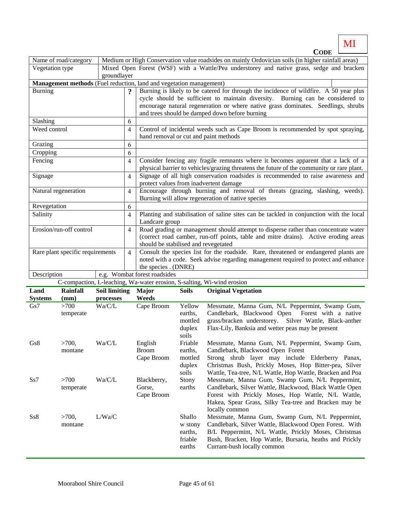$C$ ODE MI

| <b>CODE</b>                      |             |                                                                                                   |                                                                                                                        |  |  |
|----------------------------------|-------------|---------------------------------------------------------------------------------------------------|------------------------------------------------------------------------------------------------------------------------|--|--|
| Name of road/category            |             | Medium or High Conservation value roadsides on mainly Ordovician soils (in higher rainfall areas) |                                                                                                                        |  |  |
| Vegetation type                  |             |                                                                                                   | Mixed Open Forest (WSF) with a Wattle/Pea understorey and native grass, sedge and bracken                              |  |  |
|                                  | groundlayer |                                                                                                   |                                                                                                                        |  |  |
|                                  |             |                                                                                                   | Management methods (Fuel reduction, land and vegetation management)                                                    |  |  |
| Burning                          |             | $\boldsymbol{\mathcal{P}}$                                                                        | Burning is likely to be catered for through the incidence of wildfire. A 50 year plus                                  |  |  |
|                                  |             |                                                                                                   | cycle should be sufficient to maintain diversity. Burning can be considered to                                         |  |  |
|                                  |             |                                                                                                   | encourage natural regeneration or where native grass dominates. Seedlings, shrubs                                      |  |  |
|                                  |             |                                                                                                   | and trees should be damped down before burning                                                                         |  |  |
| Slashing                         |             | 6                                                                                                 |                                                                                                                        |  |  |
| Weed control                     |             | $\overline{4}$                                                                                    | Control of incidental weeds such as Cape Broom is recommended by spot spraying,                                        |  |  |
|                                  |             |                                                                                                   | hand removal or cut and paint methods                                                                                  |  |  |
| Grazing                          |             | 6                                                                                                 |                                                                                                                        |  |  |
| Cropping                         |             | 6                                                                                                 |                                                                                                                        |  |  |
| Fencing                          |             | $\overline{4}$                                                                                    | Consider fencing any fragile remnants where it becomes apparent that a lack of a                                       |  |  |
|                                  |             |                                                                                                   | physical barrier to vehicles/grazing threatens the future of the community or rare plant.                              |  |  |
| Signage                          |             | $\overline{4}$                                                                                    | Signage of all high conservation roadsides is recommended to raise awareness and                                       |  |  |
|                                  |             |                                                                                                   | protect values from inadvertent damage                                                                                 |  |  |
| Natural regeneration             |             | $\overline{4}$                                                                                    | Encourage through burning and removal of threats (grazing, slashing, weeds).                                           |  |  |
|                                  |             |                                                                                                   | Burning will allow regeneration of native species                                                                      |  |  |
| Revegetation                     |             | 6                                                                                                 |                                                                                                                        |  |  |
| Salinity                         |             | $\overline{4}$                                                                                    | Planting and stabilisation of saline sites can be tackled in conjunction with the local                                |  |  |
|                                  |             |                                                                                                   | Landcare group                                                                                                         |  |  |
| Erosion/run-off control          |             | $\overline{4}$                                                                                    | Road grading or management should attempt to disperse rather than concentrate water                                    |  |  |
|                                  |             |                                                                                                   | (correct road camber, run-off points, table and mitre drains). Active eroding areas                                    |  |  |
|                                  |             |                                                                                                   | should be stabilised and revegetated                                                                                   |  |  |
| Rare plant specific requirements |             | $\overline{4}$                                                                                    | Consult the species list for the roadside. Rare, threatened or endangered plants are                                   |  |  |
|                                  |             |                                                                                                   | noted with a code. Seek advise regarding management required to protect and enhance                                    |  |  |
|                                  |             |                                                                                                   | the species . (DNRE)                                                                                                   |  |  |
| Description                      |             |                                                                                                   | e.g. Wombat forest roadsides                                                                                           |  |  |
|                                  |             |                                                                                                   | C-compaction, L-leaching, Wa-water erosion, S-salting, Wi-wind erosion                                                 |  |  |
|                                  |             |                                                                                                   | <b>DESCRIPTION OF A CHAIR ASSESSMENT AND A CHAIR AND A CHAIR AND A CHAIR AND A CHAIR AND A CHAIR AND A CHAIR AND A</b> |  |  |

| Land<br><b>Systems</b> | <b>Rainfall</b><br>(mm) | <b>Soil limiting</b><br>processes | <b>Major</b><br>Weeds                 | Soils                                             | <b>Original Vegetation</b>                                                                                                                                                                                                                                     |
|------------------------|-------------------------|-----------------------------------|---------------------------------------|---------------------------------------------------|----------------------------------------------------------------------------------------------------------------------------------------------------------------------------------------------------------------------------------------------------------------|
| Gs7                    | >700<br>temperate       | Wa/C/L                            | Cape Broom                            | Yellow<br>earths,<br>mottled<br>duplex<br>soils   | Messmate, Manna Gum, N/L Peppermint, Swamp Gum,<br>Candlebark, Blackwood Open<br>Forest with a native<br>grass/bracken understorey. Silver Wattle, Black-anther<br>Flax-Lily, Banksia and wetter peas may be present                                           |
| Gs8                    | $>700$ ,<br>montane     | Wa/C/L                            | English<br><b>Broom</b><br>Cape Broom | Friable<br>earths,<br>mottled<br>duplex<br>soils  | Messmate, Manna Gum, N/L Peppermint, Swamp Gum,<br>Candlebark, Blackwood Open Forest<br>Strong shrub layer may include Elderberry Panax,<br>Christmas Bush, Prickly Moses, Hop Bitter-pea, Silver<br>Wattle, Tea-tree, N/L Wattle, Hop Wattle, Bracken and Poa |
| S <sub>s</sub> 7       | >700<br>temperate       | Wa/C/L                            | Blackberry,<br>Gorse,<br>Cape Broom   | Stony<br>earths                                   | Messmate, Manna Gum, Swamp Gum, N/L Peppermint,<br>Candlebark, Silver Wattle, Blackwood, Black Wattle Open<br>Forest with Prickly Moses, Hop Wattle, N/L Wattle,<br>Hakea, Spear Grass, Silky Tea-tree and Bracken may be<br>locally common                    |
| Ss8                    | $>700$ ,<br>montane     | L/Wa/C                            |                                       | Shallo<br>w stony<br>earths,<br>friable<br>earths | Messmate, Manna Gum, Swamp Gum, N/L Peppermint,<br>Candlebark, Silver Wattle, Blackwood Open Forest. With<br>B/L Peppermint, N/L Wattle, Prickly Moses, Christmas<br>Bush, Bracken, Hop Wattle, Bursaria, heaths and Prickly<br>Currant-bush locally common    |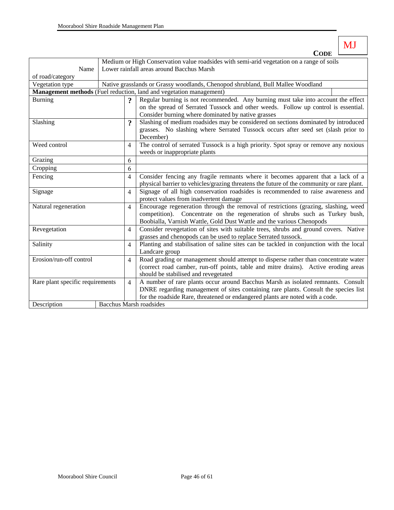**CODE**

MJ

|                                  |  | Medium or High Conservation value roadsides with semi-arid vegetation on a range of soils |                                                                                                |  |  |  |  |  |  |
|----------------------------------|--|-------------------------------------------------------------------------------------------|------------------------------------------------------------------------------------------------|--|--|--|--|--|--|
| Name                             |  | Lower rainfall areas around Bacchus Marsh                                                 |                                                                                                |  |  |  |  |  |  |
| of road/category                 |  |                                                                                           |                                                                                                |  |  |  |  |  |  |
| Vegetation type                  |  |                                                                                           | Native grasslands or Grassy woodlands, Chenopod shrubland, Bull Mallee Woodland                |  |  |  |  |  |  |
|                                  |  |                                                                                           | Management methods (Fuel reduction, land and vegetation management)                            |  |  |  |  |  |  |
| Burning                          |  | ?                                                                                         | Regular burning is not recommended. Any burning must take into account the effect              |  |  |  |  |  |  |
|                                  |  |                                                                                           | on the spread of Serrated Tussock and other weeds. Follow up control is essential.             |  |  |  |  |  |  |
|                                  |  |                                                                                           | Consider burning where dominated by native grasses                                             |  |  |  |  |  |  |
| Slashing                         |  | 9                                                                                         | Slashing of medium roadsides may be considered on sections dominated by introduced             |  |  |  |  |  |  |
|                                  |  |                                                                                           | grasses. No slashing where Serrated Tussock occurs after seed set (slash prior to<br>December) |  |  |  |  |  |  |
| Weed control                     |  |                                                                                           |                                                                                                |  |  |  |  |  |  |
|                                  |  | $\overline{4}$                                                                            | The control of serrated Tussock is a high priority. Spot spray or remove any noxious           |  |  |  |  |  |  |
|                                  |  |                                                                                           | weeds or inappropriate plants                                                                  |  |  |  |  |  |  |
| Grazing                          |  | 6<br>6                                                                                    |                                                                                                |  |  |  |  |  |  |
| Cropping                         |  |                                                                                           |                                                                                                |  |  |  |  |  |  |
| Fencing                          |  |                                                                                           | Consider fencing any fragile remnants where it becomes apparent that a lack of a               |  |  |  |  |  |  |
|                                  |  |                                                                                           | physical barrier to vehicles/grazing threatens the future of the community or rare plant.      |  |  |  |  |  |  |
| Signage                          |  | $\overline{4}$                                                                            | Signage of all high conservation roadsides is recommended to raise awareness and               |  |  |  |  |  |  |
|                                  |  |                                                                                           | protect values from inadvertent damage                                                         |  |  |  |  |  |  |
| Natural regeneration             |  | $\overline{4}$                                                                            | Encourage regeneration through the removal of restrictions (grazing, slashing, weed            |  |  |  |  |  |  |
|                                  |  |                                                                                           | competition). Concentrate on the regeneration of shrubs such as Turkey bush,                   |  |  |  |  |  |  |
|                                  |  |                                                                                           | Boobialla, Varnish Wattle, Gold Dust Wattle and the various Chenopods                          |  |  |  |  |  |  |
| Revegetation                     |  | $\overline{4}$                                                                            | Consider revegetation of sites with suitable trees, shrubs and ground covers. Native           |  |  |  |  |  |  |
|                                  |  |                                                                                           | grasses and chenopods can be used to replace Serrated tussock.                                 |  |  |  |  |  |  |
| Salinity                         |  |                                                                                           | Planting and stabilisation of saline sites can be tackled in conjunction with the local        |  |  |  |  |  |  |
|                                  |  |                                                                                           | Landcare group                                                                                 |  |  |  |  |  |  |
| Erosion/run-off control          |  |                                                                                           | Road grading or management should attempt to disperse rather than concentrate water            |  |  |  |  |  |  |
|                                  |  |                                                                                           | (correct road camber, run-off points, table and mitre drains). Active eroding areas            |  |  |  |  |  |  |
|                                  |  |                                                                                           | should be stabilised and revegetated                                                           |  |  |  |  |  |  |
| Rare plant specific requirements |  |                                                                                           | A number of rare plants occur around Bacchus Marsh as isolated remnants. Consult               |  |  |  |  |  |  |
|                                  |  |                                                                                           | DNRE regarding management of sites containing rare plants. Consult the species list            |  |  |  |  |  |  |
|                                  |  |                                                                                           | for the roadside Rare, threatened or endangered plants are noted with a code.                  |  |  |  |  |  |  |
| Description                      |  |                                                                                           | <b>Bacchus Marsh roadsides</b>                                                                 |  |  |  |  |  |  |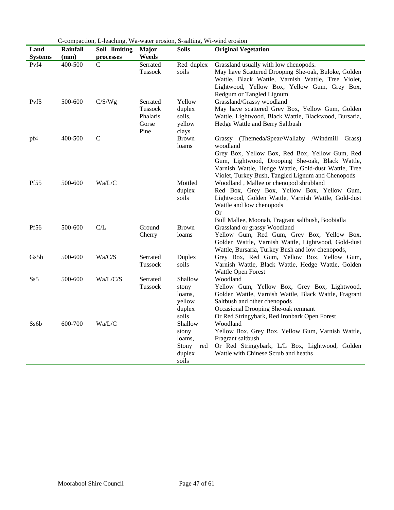|                  |                 | C-compaction, L-leaching, Wa-water erosion, S-salting, Wi-wind erosion |              |                 |                                                                                                           |
|------------------|-----------------|------------------------------------------------------------------------|--------------|-----------------|-----------------------------------------------------------------------------------------------------------|
| Land             | <b>Rainfall</b> | Soil limiting                                                          | <b>Major</b> | <b>Soils</b>    | <b>Original Vegetation</b>                                                                                |
| <b>Systems</b>   | (mm)            | processes                                                              | Weeds        |                 |                                                                                                           |
| Pvf4             | 400-500         | C                                                                      | Serrated     | Red duplex      | Grassland usually with low chenopods.                                                                     |
|                  |                 |                                                                        | Tussock      | soils           | May have Scattered Drooping She-oak, Buloke, Golden<br>Wattle, Black Wattle, Varnish Wattle, Tree Violet, |
|                  |                 |                                                                        |              |                 | Lightwood, Yellow Box, Yellow Gum, Grey Box,                                                              |
|                  |                 |                                                                        |              |                 | Redgum or Tangled Lignum                                                                                  |
| Pvf5             | 500-600         | C/S/Wg                                                                 | Serrated     | Yellow          | Grassland/Grassy woodland                                                                                 |
|                  |                 |                                                                        | Tussock      | duplex          | May have scattered Grey Box, Yellow Gum, Golden                                                           |
|                  |                 |                                                                        | Phalaris     | soils,          | Wattle, Lightwood, Black Wattle, Blackwood, Bursaria,                                                     |
|                  |                 |                                                                        | Gorse        | yellow          | Hedge Wattle and Berry Saltbush                                                                           |
|                  |                 |                                                                        | Pine         | clays           |                                                                                                           |
| pf4              | 400-500         | $\mathcal{C}$                                                          |              | <b>Brown</b>    | Grassy (Themeda/Spear/Wallaby /Windmill Grass)                                                            |
|                  |                 |                                                                        |              | loams           | woodland                                                                                                  |
|                  |                 |                                                                        |              |                 | Grey Box, Yellow Box, Red Box, Yellow Gum, Red                                                            |
|                  |                 |                                                                        |              |                 | Gum, Lightwood, Drooping She-oak, Black Wattle,                                                           |
|                  |                 |                                                                        |              |                 | Varnish Wattle, Hedge Wattle, Gold-dust Wattle, Tree                                                      |
|                  |                 |                                                                        |              |                 | Violet, Turkey Bush, Tangled Lignum and Chenopods                                                         |
| <b>Pf55</b>      | 500-600         | Wa/L/C                                                                 |              | Mottled         | Woodland, Mallee or chenopod shrubland                                                                    |
|                  |                 |                                                                        |              | duplex          | Red Box, Grey Box, Yellow Box, Yellow Gum,                                                                |
|                  |                 |                                                                        |              | soils           | Lightwood, Golden Wattle, Varnish Wattle, Gold-dust<br>Wattle and low chenopods                           |
|                  |                 |                                                                        |              |                 | <b>Or</b>                                                                                                 |
|                  |                 |                                                                        |              |                 | Bull Mallee, Moonah, Fragrant saltbush, Boobialla                                                         |
| Pf <sub>56</sub> | 500-600         | C/L                                                                    | Ground       | <b>Brown</b>    | Grassland or grassy Woodland                                                                              |
|                  |                 |                                                                        | Cherry       | loams           | Yellow Gum, Red Gum, Grey Box, Yellow Box,                                                                |
|                  |                 |                                                                        |              |                 | Golden Wattle, Varnish Wattle, Lightwood, Gold-dust                                                       |
|                  |                 |                                                                        |              |                 | Wattle, Bursaria, Turkey Bush and low chenopods,                                                          |
| Gs5b             | 500-600         | Wa/C/S                                                                 | Serrated     | Duplex          | Grey Box, Red Gum, Yellow Box, Yellow Gum,                                                                |
|                  |                 |                                                                        | Tussock      | soils           | Varnish Wattle, Black Wattle, Hedge Wattle, Golden                                                        |
|                  |                 |                                                                        |              |                 | Wattle Open Forest                                                                                        |
| Ss5              | 500-600         | Wa/L/C/S                                                               | Serrated     | Shallow         | Woodland                                                                                                  |
|                  |                 |                                                                        | Tussock      | stony           | Yellow Gum, Yellow Box, Grey Box, Lightwood,                                                              |
|                  |                 |                                                                        |              | loams,          | Golden Wattle, Varnish Wattle, Black Wattle, Fragrant                                                     |
|                  |                 |                                                                        |              | yellow          | Saltbush and other chenopods                                                                              |
|                  |                 |                                                                        |              | duplex<br>soils | Occasional Drooping She-oak remnant<br>Or Red Stringybark, Red Ironbark Open Forest                       |
| Ss6b             | 600-700         | Wa/L/C                                                                 |              | Shallow         | Woodland                                                                                                  |
|                  |                 |                                                                        |              | stony           | Yellow Box, Grey Box, Yellow Gum, Varnish Wattle,                                                         |
|                  |                 |                                                                        |              | loams,          | Fragrant saltbush                                                                                         |
|                  |                 |                                                                        |              | Stony<br>red    | Or Red Stringybark, L/L Box, Lightwood, Golden                                                            |
|                  |                 |                                                                        |              | duplex          | Wattle with Chinese Scrub and heaths                                                                      |
|                  |                 |                                                                        |              | soils           |                                                                                                           |

C-compaction, L-leaching, Wa-water erosion, S-salting, Wi-wind erosion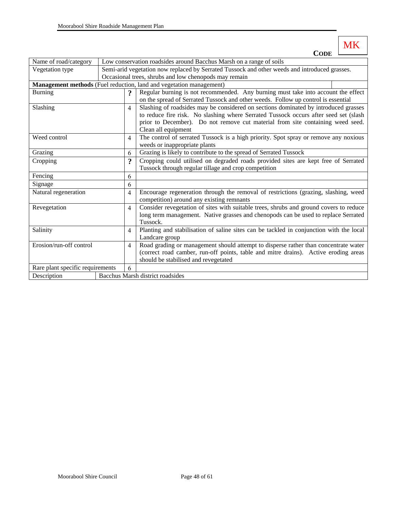MK **CODE**

| Name of road/category            |                                                                     | Low conservation roadsides around Bacchus Marsh on a range of soils                           |                                                                                         |  |  |  |  |
|----------------------------------|---------------------------------------------------------------------|-----------------------------------------------------------------------------------------------|-----------------------------------------------------------------------------------------|--|--|--|--|
| Vegetation type                  |                                                                     | Semi-arid vegetation now replaced by Serrated Tussock and other weeds and introduced grasses. |                                                                                         |  |  |  |  |
|                                  |                                                                     |                                                                                               | Occasional trees, shrubs and low chenopods may remain                                   |  |  |  |  |
|                                  | Management methods (Fuel reduction, land and vegetation management) |                                                                                               |                                                                                         |  |  |  |  |
| <b>Burning</b>                   |                                                                     | $\overline{?}$                                                                                | Regular burning is not recommended. Any burning must take into account the effect       |  |  |  |  |
|                                  |                                                                     |                                                                                               | on the spread of Serrated Tussock and other weeds. Follow up control is essential       |  |  |  |  |
| Slashing                         |                                                                     | $\overline{4}$                                                                                | Slashing of roadsides may be considered on sections dominated by introduced grasses     |  |  |  |  |
|                                  |                                                                     |                                                                                               | to reduce fire risk. No slashing where Serrated Tussock occurs after seed set (slash    |  |  |  |  |
|                                  |                                                                     |                                                                                               | prior to December). Do not remove cut material from site containing weed seed.          |  |  |  |  |
|                                  |                                                                     |                                                                                               | Clean all equipment                                                                     |  |  |  |  |
| Weed control                     |                                                                     | $\overline{4}$                                                                                | The control of serrated Tussock is a high priority. Spot spray or remove any noxious    |  |  |  |  |
|                                  |                                                                     |                                                                                               | weeds or inappropriate plants                                                           |  |  |  |  |
| Grazing                          |                                                                     | 6                                                                                             | Grazing is likely to contribute to the spread of Serrated Tussock                       |  |  |  |  |
| Cropping                         |                                                                     | $\ddot{ }$                                                                                    | Cropping could utilised on degraded roads provided sites are kept free of Serrated      |  |  |  |  |
|                                  |                                                                     |                                                                                               | Tussock through regular tillage and crop competition                                    |  |  |  |  |
| Fencing                          |                                                                     |                                                                                               |                                                                                         |  |  |  |  |
| Signage                          |                                                                     | 6                                                                                             |                                                                                         |  |  |  |  |
| Natural regeneration             |                                                                     | $\overline{4}$                                                                                | Encourage regeneration through the removal of restrictions (grazing, slashing, weed     |  |  |  |  |
|                                  |                                                                     |                                                                                               | competition) around any existing remnants                                               |  |  |  |  |
| Revegetation                     |                                                                     | $\overline{4}$                                                                                | Consider revegetation of sites with suitable trees, shrubs and ground covers to reduce  |  |  |  |  |
|                                  |                                                                     |                                                                                               | long term management. Native grasses and chenopods can be used to replace Serrated      |  |  |  |  |
|                                  |                                                                     |                                                                                               | Tussock.                                                                                |  |  |  |  |
| Salinity                         |                                                                     |                                                                                               | Planting and stabilisation of saline sites can be tackled in conjunction with the local |  |  |  |  |
|                                  |                                                                     |                                                                                               | Landcare group                                                                          |  |  |  |  |
| Erosion/run-off control          |                                                                     |                                                                                               | Road grading or management should attempt to disperse rather than concentrate water     |  |  |  |  |
|                                  |                                                                     |                                                                                               | (correct road camber, run-off points, table and mitre drains). Active eroding areas     |  |  |  |  |
|                                  |                                                                     |                                                                                               | should be stabilised and revegetated                                                    |  |  |  |  |
| Rare plant specific requirements |                                                                     | 6                                                                                             |                                                                                         |  |  |  |  |
| Description                      |                                                                     |                                                                                               | Bacchus Marsh district roadsides                                                        |  |  |  |  |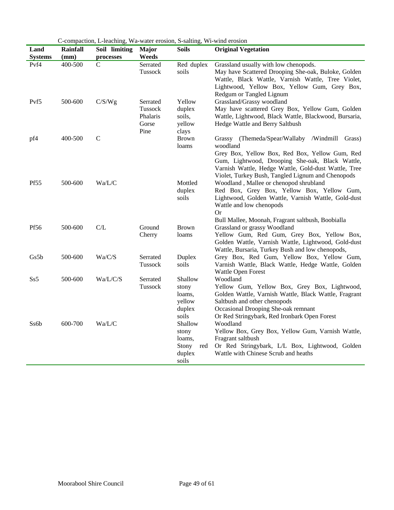|                  |                 | C-compaction, L-leaching, Wa-water erosion, S-salting, Wi-wind erosion |              |                 |                                                                                                           |
|------------------|-----------------|------------------------------------------------------------------------|--------------|-----------------|-----------------------------------------------------------------------------------------------------------|
| Land             | <b>Rainfall</b> | Soil limiting                                                          | <b>Major</b> | <b>Soils</b>    | <b>Original Vegetation</b>                                                                                |
| <b>Systems</b>   | (mm)            | processes                                                              | Weeds        |                 |                                                                                                           |
| Pvf4             | 400-500         | C                                                                      | Serrated     | Red duplex      | Grassland usually with low chenopods.                                                                     |
|                  |                 |                                                                        | Tussock      | soils           | May have Scattered Drooping She-oak, Buloke, Golden<br>Wattle, Black Wattle, Varnish Wattle, Tree Violet, |
|                  |                 |                                                                        |              |                 | Lightwood, Yellow Box, Yellow Gum, Grey Box,                                                              |
|                  |                 |                                                                        |              |                 | Redgum or Tangled Lignum                                                                                  |
| Pvf5             | 500-600         | C/S/Wg                                                                 | Serrated     | Yellow          | Grassland/Grassy woodland                                                                                 |
|                  |                 |                                                                        | Tussock      | duplex          | May have scattered Grey Box, Yellow Gum, Golden                                                           |
|                  |                 |                                                                        | Phalaris     | soils,          | Wattle, Lightwood, Black Wattle, Blackwood, Bursaria,                                                     |
|                  |                 |                                                                        | Gorse        | yellow          | Hedge Wattle and Berry Saltbush                                                                           |
|                  |                 |                                                                        | Pine         | clays           |                                                                                                           |
| pf4              | 400-500         | $\mathcal{C}$                                                          |              | <b>Brown</b>    | Grassy (Themeda/Spear/Wallaby /Windmill Grass)                                                            |
|                  |                 |                                                                        |              | loams           | woodland                                                                                                  |
|                  |                 |                                                                        |              |                 | Grey Box, Yellow Box, Red Box, Yellow Gum, Red                                                            |
|                  |                 |                                                                        |              |                 | Gum, Lightwood, Drooping She-oak, Black Wattle,                                                           |
|                  |                 |                                                                        |              |                 | Varnish Wattle, Hedge Wattle, Gold-dust Wattle, Tree                                                      |
|                  |                 |                                                                        |              |                 | Violet, Turkey Bush, Tangled Lignum and Chenopods                                                         |
| <b>Pf55</b>      | 500-600         | Wa/L/C                                                                 |              | Mottled         | Woodland, Mallee or chenopod shrubland                                                                    |
|                  |                 |                                                                        |              | duplex          | Red Box, Grey Box, Yellow Box, Yellow Gum,                                                                |
|                  |                 |                                                                        |              | soils           | Lightwood, Golden Wattle, Varnish Wattle, Gold-dust<br>Wattle and low chenopods                           |
|                  |                 |                                                                        |              |                 | <b>Or</b>                                                                                                 |
|                  |                 |                                                                        |              |                 | Bull Mallee, Moonah, Fragrant saltbush, Boobialla                                                         |
| Pf <sub>56</sub> | 500-600         | C/L                                                                    | Ground       | <b>Brown</b>    | Grassland or grassy Woodland                                                                              |
|                  |                 |                                                                        | Cherry       | loams           | Yellow Gum, Red Gum, Grey Box, Yellow Box,                                                                |
|                  |                 |                                                                        |              |                 | Golden Wattle, Varnish Wattle, Lightwood, Gold-dust                                                       |
|                  |                 |                                                                        |              |                 | Wattle, Bursaria, Turkey Bush and low chenopods,                                                          |
| Gs5b             | 500-600         | Wa/C/S                                                                 | Serrated     | Duplex          | Grey Box, Red Gum, Yellow Box, Yellow Gum,                                                                |
|                  |                 |                                                                        | Tussock      | soils           | Varnish Wattle, Black Wattle, Hedge Wattle, Golden                                                        |
|                  |                 |                                                                        |              |                 | Wattle Open Forest                                                                                        |
| Ss5              | 500-600         | Wa/L/C/S                                                               | Serrated     | Shallow         | Woodland                                                                                                  |
|                  |                 |                                                                        | Tussock      | stony           | Yellow Gum, Yellow Box, Grey Box, Lightwood,                                                              |
|                  |                 |                                                                        |              | loams,          | Golden Wattle, Varnish Wattle, Black Wattle, Fragrant                                                     |
|                  |                 |                                                                        |              | yellow          | Saltbush and other chenopods                                                                              |
|                  |                 |                                                                        |              | duplex<br>soils | Occasional Drooping She-oak remnant<br>Or Red Stringybark, Red Ironbark Open Forest                       |
| Ss6b             | 600-700         | Wa/L/C                                                                 |              | Shallow         | Woodland                                                                                                  |
|                  |                 |                                                                        |              | stony           | Yellow Box, Grey Box, Yellow Gum, Varnish Wattle,                                                         |
|                  |                 |                                                                        |              | loams,          | Fragrant saltbush                                                                                         |
|                  |                 |                                                                        |              | Stony<br>red    | Or Red Stringybark, L/L Box, Lightwood, Golden                                                            |
|                  |                 |                                                                        |              | duplex          | Wattle with Chinese Scrub and heaths                                                                      |
|                  |                 |                                                                        |              | soils           |                                                                                                           |

C-compaction, L-leaching, Wa-water erosion, S-salting, Wi-wind erosion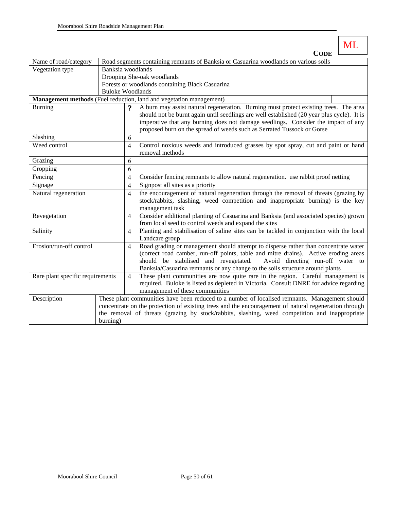|                                  |                         |                                                                                      | ML                                                                                                                                                                                  |  |  |  |  |
|----------------------------------|-------------------------|--------------------------------------------------------------------------------------|-------------------------------------------------------------------------------------------------------------------------------------------------------------------------------------|--|--|--|--|
|                                  |                         |                                                                                      | <b>CODE</b>                                                                                                                                                                         |  |  |  |  |
| Name of road/category            |                         | Road segments containing remnants of Banksia or Casuarina woodlands on various soils |                                                                                                                                                                                     |  |  |  |  |
| Vegetation type                  | Banksia woodlands       |                                                                                      |                                                                                                                                                                                     |  |  |  |  |
|                                  |                         |                                                                                      | Drooping She-oak woodlands                                                                                                                                                          |  |  |  |  |
|                                  |                         |                                                                                      | Forests or woodlands containing Black Casuarina                                                                                                                                     |  |  |  |  |
|                                  | <b>Buloke Woodlands</b> |                                                                                      |                                                                                                                                                                                     |  |  |  |  |
|                                  |                         |                                                                                      | Management methods (Fuel reduction, land and vegetation management)                                                                                                                 |  |  |  |  |
| <b>Burning</b>                   |                         | $\boldsymbol{\mathsf{?}}$                                                            | A burn may assist natural regeneration. Burning must protect existing trees. The area<br>should not be burnt again until seedlings are well established (20 year plus cycle). It is |  |  |  |  |
|                                  |                         |                                                                                      | imperative that any burning does not damage seedlings. Consider the impact of any                                                                                                   |  |  |  |  |
|                                  |                         |                                                                                      | proposed burn on the spread of weeds such as Serrated Tussock or Gorse                                                                                                              |  |  |  |  |
| Slashing                         |                         | 6                                                                                    |                                                                                                                                                                                     |  |  |  |  |
| Weed control                     |                         | 4                                                                                    | Control noxious weeds and introduced grasses by spot spray, cut and paint or hand                                                                                                   |  |  |  |  |
|                                  |                         |                                                                                      | removal methods                                                                                                                                                                     |  |  |  |  |
| Grazing                          |                         | 6                                                                                    |                                                                                                                                                                                     |  |  |  |  |
| Cropping                         |                         | 6                                                                                    |                                                                                                                                                                                     |  |  |  |  |
| Fencing                          |                         | $\overline{\mathbf{4}}$                                                              | Consider fencing remnants to allow natural regeneration. use rabbit proof netting                                                                                                   |  |  |  |  |
| Signage                          |                         | $\overline{\mathbf{4}}$                                                              | Signpost all sites as a priority                                                                                                                                                    |  |  |  |  |
| Natural regeneration             |                         | $\overline{\mathcal{L}}$                                                             | the encouragement of natural regeneration through the removal of threats (grazing by                                                                                                |  |  |  |  |
|                                  |                         |                                                                                      | stock/rabbits, slashing, weed competition and inappropriate burning) is the key                                                                                                     |  |  |  |  |
|                                  |                         |                                                                                      | management task                                                                                                                                                                     |  |  |  |  |
| Revegetation                     |                         | 4                                                                                    | Consider additional planting of Casuarina and Banksia (and associated species) grown                                                                                                |  |  |  |  |
|                                  |                         |                                                                                      | from local seed to control weeds and expand the sites                                                                                                                               |  |  |  |  |
| Salinity                         |                         | $\overline{\mathcal{L}}$                                                             | Planting and stabilisation of saline sites can be tackled in conjunction with the local<br>Landcare group                                                                           |  |  |  |  |
| Erosion/run-off control          |                         |                                                                                      |                                                                                                                                                                                     |  |  |  |  |
|                                  |                         | 4                                                                                    | Road grading or management should attempt to disperse rather than concentrate water                                                                                                 |  |  |  |  |
|                                  |                         |                                                                                      | (correct road camber, run-off points, table and mitre drains). Active eroding areas<br>should be stabilised and revegetated.<br>Avoid directing run-off water to                    |  |  |  |  |
|                                  |                         |                                                                                      | Banksia/Casuarina remnants or any change to the soils structure around plants                                                                                                       |  |  |  |  |
| Rare plant specific requirements |                         |                                                                                      | These plant communities are now quite rare in the region. Careful management is                                                                                                     |  |  |  |  |
|                                  |                         |                                                                                      | required. Buloke is listed as depleted in Victoria. Consult DNRE for advice regarding                                                                                               |  |  |  |  |
|                                  |                         |                                                                                      | management of these communities                                                                                                                                                     |  |  |  |  |
| Description                      |                         |                                                                                      | These plant communities have been reduced to a number of localised remnants. Management should                                                                                      |  |  |  |  |
|                                  |                         |                                                                                      | concentrate on the protection of existing trees and the encouragement of natural regeneration through                                                                               |  |  |  |  |
|                                  |                         |                                                                                      | the removal of threats (grazing by stock/rabbits, slashing, weed competition and inappropriate                                                                                      |  |  |  |  |
|                                  | burning)                |                                                                                      |                                                                                                                                                                                     |  |  |  |  |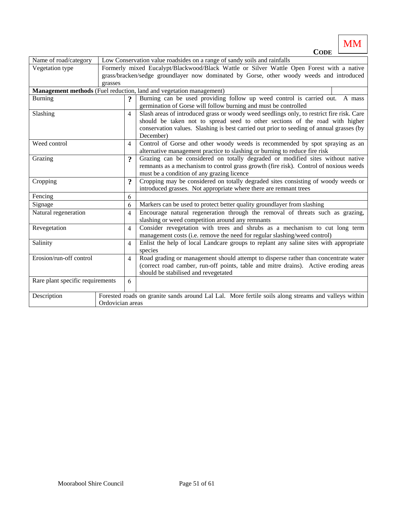**CODE** Name of road/category Low Conservation value roadsides on a range of sandy soils and rainfalls Vegetation type Formerly mixed Eucalypt/Blackwood/Black Wattle or Silver Wattle Open Forest with a native grass/bracken/sedge groundlayer now dominated by Gorse, other woody weeds and introduced grasses **Management methods** (Fuel reduction, land and vegetation management) Burning **2 8** Burning can be used providing follow up weed control is carried out. A mass germination of Gorse will follow burning and must be controlled Slashing 4 Slash areas of introduced grass or woody weed seedlings only, to restrict fire risk. Care should be taken not to spread seed to other sections of the road with higher conservation values. Slashing is best carried out prior to seeding of annual grasses (by December) Weed control 4 Control of Gorse and other woody weeds is recommended by spot spraying as an alternative management practice to slashing or burning to reduce fire risk Grazing **Properties 1.2.4.** Grazing can be considered on totally degraded or modified sites without native remnants as a mechanism to control grass growth (fire risk). Control of noxious weeds must be a condition of any grazing licence Cropping **?** Cropping may be considered on totally degraded sites consisting of woody weeds or introduced grasses. Not appropriate where there are remnant trees Fencing 6 Signage 6 Markers can be used to protect better quality groundlayer from slashing Natural regeneration  $\begin{vmatrix} 4 \end{vmatrix}$  Encourage natural regeneration through the removal of threats such as grazing, slashing or weed competition around any remnants Revegetation  $\begin{vmatrix} 4 \end{vmatrix}$  Consider revegetation with trees and shrubs as a mechanism to cut long term management costs (i.e. remove the need for regular slashing/weed control) Salinity 14 Enlist the help of local Landcare groups to replant any saline sites with appropriate species Erosion/run-off control  $\begin{vmatrix} 4 \end{vmatrix}$  Road grading or management should attempt to disperse rather than concentrate water (correct road camber, run-off points, table and mitre drains). Active eroding areas should be stabilised and revegetated Rare plant specific requirements  $\begin{bmatrix} 6 \end{bmatrix}$ Description Forested roads on granite sands around Lal Lal. More fertile soils along streams and valleys within Ordovician areas

MM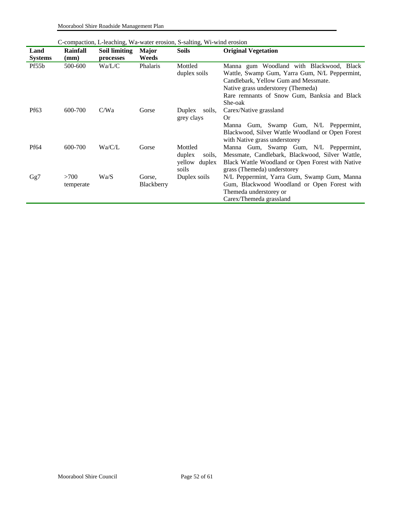Moorabool Shire Roadside Management Plan

|                |           | C-compaction, L-leaching, Wa-water erosion, S-salting, Wi-wind erosion |                   |                         |                                                                                                                                                                         |  |  |  |  |
|----------------|-----------|------------------------------------------------------------------------|-------------------|-------------------------|-------------------------------------------------------------------------------------------------------------------------------------------------------------------------|--|--|--|--|
| Land           | Rainfall  | Soil limiting                                                          | <b>Major</b>      | <b>Soils</b>            | <b>Original Vegetation</b>                                                                                                                                              |  |  |  |  |
| <b>Systems</b> | (mm)      | processes                                                              | Weeds             |                         |                                                                                                                                                                         |  |  |  |  |
| Pf55b          | 500-600   | Wa/L/C                                                                 | Phalaris          | Mottled<br>duplex soils | Manna gum Woodland with Blackwood, Black<br>Wattle, Swamp Gum, Yarra Gum, N/L Peppermint,<br>Candlebark, Yellow Gum and Messmate.<br>Native grass understorey (Themeda) |  |  |  |  |
|                |           |                                                                        |                   |                         | Rare remnants of Snow Gum, Banksia and Black                                                                                                                            |  |  |  |  |
|                |           |                                                                        |                   |                         | She-oak                                                                                                                                                                 |  |  |  |  |
| Pf63           | 600-700   | C/Wa                                                                   | Gorse             | Duplex<br>soils,        | Carex/Native grassland                                                                                                                                                  |  |  |  |  |
|                |           |                                                                        |                   | grey clays              | <b>Or</b>                                                                                                                                                               |  |  |  |  |
|                |           |                                                                        |                   |                         | Manna Gum, Swamp Gum, N/L Peppermint,<br>Blackwood, Silver Wattle Woodland or Open Forest<br>with Native grass understorey                                              |  |  |  |  |
| Pf64           | 600-700   | Wa/C/L                                                                 | Gorse             | Mottled                 | Manna Gum, Swamp Gum, N/L Peppermint,                                                                                                                                   |  |  |  |  |
|                |           |                                                                        |                   | duplex<br>soils,        | Messmate, Candlebark, Blackwood, Silver Wattle,                                                                                                                         |  |  |  |  |
|                |           |                                                                        |                   | yellow duplex           | Black Wattle Woodland or Open Forest with Native                                                                                                                        |  |  |  |  |
|                |           |                                                                        |                   | soils                   | grass (Themeda) understorey                                                                                                                                             |  |  |  |  |
| Gg7            | >700      | Wa/S                                                                   | Gorse,            | Duplex soils            | N/L Peppermint, Yarra Gum, Swamp Gum, Manna                                                                                                                             |  |  |  |  |
|                | temperate |                                                                        | <b>Blackberry</b> |                         | Gum, Blackwood Woodland or Open Forest with                                                                                                                             |  |  |  |  |
|                |           |                                                                        |                   |                         | Themeda understorey or                                                                                                                                                  |  |  |  |  |
|                |           |                                                                        |                   |                         | Carex/Themeda grassland                                                                                                                                                 |  |  |  |  |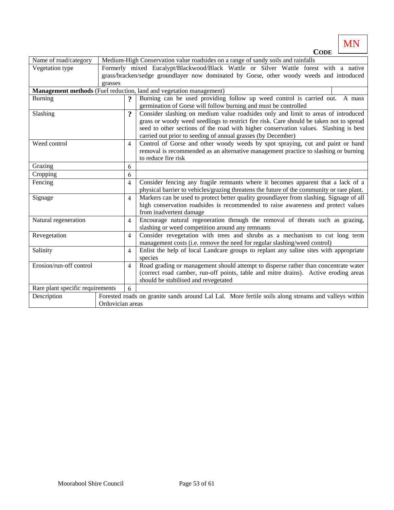MN **CODE**

| Name of road/category            | Medium-High Conservation value roadsides on a range of sandy soils and rainfalls |                                                                                          |                                                                                                     |  |  |  |  |  |
|----------------------------------|----------------------------------------------------------------------------------|------------------------------------------------------------------------------------------|-----------------------------------------------------------------------------------------------------|--|--|--|--|--|
| Vegetation type                  |                                                                                  | Formerly mixed Eucalypt/Blackwood/Black Wattle or Silver Wattle forest with a native     |                                                                                                     |  |  |  |  |  |
|                                  |                                                                                  | grass/bracken/sedge groundlayer now dominated by Gorse, other woody weeds and introduced |                                                                                                     |  |  |  |  |  |
|                                  | grasses                                                                          |                                                                                          |                                                                                                     |  |  |  |  |  |
|                                  |                                                                                  |                                                                                          | Management methods (Fuel reduction, land and vegetation management)                                 |  |  |  |  |  |
| <b>Burning</b>                   |                                                                                  | $\boldsymbol{\mathsf{?}}$                                                                | Burning can be used providing follow up weed control is carried out. A mass                         |  |  |  |  |  |
|                                  |                                                                                  |                                                                                          | germination of Gorse will follow burning and must be controlled                                     |  |  |  |  |  |
| Slashing                         |                                                                                  | 9                                                                                        | Consider slashing on medium value roadsides only and limit to areas of introduced                   |  |  |  |  |  |
|                                  |                                                                                  |                                                                                          | grass or woody weed seedlings to restrict fire risk. Care should be taken not to spread             |  |  |  |  |  |
|                                  |                                                                                  |                                                                                          | seed to other sections of the road with higher conservation values. Slashing is best                |  |  |  |  |  |
|                                  |                                                                                  |                                                                                          | carried out prior to seeding of annual grasses (by December)                                        |  |  |  |  |  |
| Weed control                     |                                                                                  | $\overline{4}$                                                                           | Control of Gorse and other woody weeds by spot spraying, cut and paint or hand                      |  |  |  |  |  |
|                                  |                                                                                  |                                                                                          | removal is recommended as an alternative management practice to slashing or burning                 |  |  |  |  |  |
|                                  |                                                                                  |                                                                                          | to reduce fire risk                                                                                 |  |  |  |  |  |
| Grazing                          |                                                                                  | 6                                                                                        |                                                                                                     |  |  |  |  |  |
| Cropping                         |                                                                                  | 6                                                                                        |                                                                                                     |  |  |  |  |  |
| Fencing                          |                                                                                  | $\overline{4}$                                                                           | Consider fencing any fragile remnants where it becomes apparent that a lack of a                    |  |  |  |  |  |
|                                  |                                                                                  |                                                                                          | physical barrier to vehicles/grazing threatens the future of the community or rare plant.           |  |  |  |  |  |
| Signage                          |                                                                                  | 4                                                                                        | Markers can be used to protect better quality groundlayer from slashing. Signage of all             |  |  |  |  |  |
|                                  |                                                                                  |                                                                                          | high conservation roadsides is recommended to raise awareness and protect values                    |  |  |  |  |  |
|                                  |                                                                                  |                                                                                          | from inadvertent damage                                                                             |  |  |  |  |  |
| Natural regeneration             |                                                                                  | 4                                                                                        | Encourage natural regeneration through the removal of threats such as grazing,                      |  |  |  |  |  |
|                                  |                                                                                  |                                                                                          | slashing or weed competition around any remnants                                                    |  |  |  |  |  |
| Revegetation                     |                                                                                  | $\overline{4}$                                                                           | Consider revegetation with trees and shrubs as a mechanism to cut long term                         |  |  |  |  |  |
|                                  |                                                                                  |                                                                                          | management costs (i.e. remove the need for regular slashing/weed control)                           |  |  |  |  |  |
| Salinity                         |                                                                                  | $\overline{4}$                                                                           | Enlist the help of local Landcare groups to replant any saline sites with appropriate               |  |  |  |  |  |
|                                  |                                                                                  |                                                                                          | species                                                                                             |  |  |  |  |  |
| Erosion/run-off control          |                                                                                  |                                                                                          | Road grading or management should attempt to disperse rather than concentrate water                 |  |  |  |  |  |
|                                  |                                                                                  |                                                                                          | (correct road camber, run-off points, table and mitre drains). Active eroding areas                 |  |  |  |  |  |
|                                  |                                                                                  |                                                                                          | should be stabilised and revegetated                                                                |  |  |  |  |  |
| Rare plant specific requirements |                                                                                  | 6                                                                                        |                                                                                                     |  |  |  |  |  |
| Description                      |                                                                                  |                                                                                          | Forested roads on granite sands around Lal Lal. More fertile soils along streams and valleys within |  |  |  |  |  |
|                                  | Ordovician areas                                                                 |                                                                                          |                                                                                                     |  |  |  |  |  |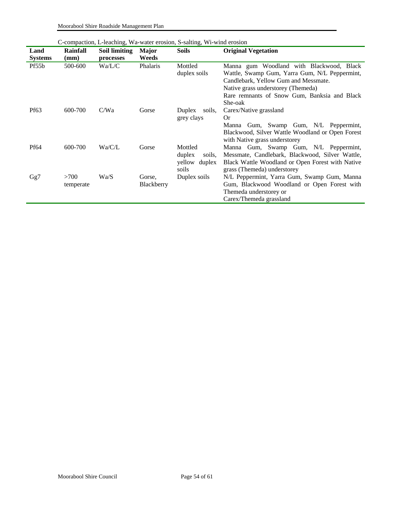Moorabool Shire Roadside Management Plan

|                  |                 |               |              | C-compaction, L-leaching, Wa-water erosion, S-salting, Wi-wind erosion |                                                                                                                                   |
|------------------|-----------------|---------------|--------------|------------------------------------------------------------------------|-----------------------------------------------------------------------------------------------------------------------------------|
| Land             | <b>Rainfall</b> | Soil limiting | <b>Major</b> | <b>Soils</b>                                                           | <b>Original Vegetation</b>                                                                                                        |
| <b>Systems</b>   | (mm)            | processes     | Weeds        |                                                                        |                                                                                                                                   |
| Pf55b            | 500-600         | Wa/L/C        | Phalaris     | Mottled<br>duplex soils                                                | Manna gum Woodland with Blackwood, Black<br>Wattle, Swamp Gum, Yarra Gum, N/L Peppermint,<br>Candlebark, Yellow Gum and Messmate. |
|                  |                 |               |              |                                                                        | Native grass understorey (Themeda)                                                                                                |
|                  |                 |               |              |                                                                        | Rare remnants of Snow Gum, Banksia and Black                                                                                      |
|                  |                 |               |              |                                                                        | She-oak                                                                                                                           |
| Pf <sub>63</sub> | 600-700         | C/Wa          | Gorse        | Duplex<br>soils,                                                       | Carex/Native grassland                                                                                                            |
|                  |                 |               |              | grey clays                                                             | <b>Or</b>                                                                                                                         |
|                  |                 |               |              |                                                                        | Manna Gum, Swamp Gum, N/L Peppermint,<br>Blackwood, Silver Wattle Woodland or Open Forest<br>with Native grass understorey        |
| Pf64             | 600-700         | Wa/C/L        | Gorse        | Mottled                                                                | Manna Gum, Swamp Gum, N/L Peppermint,                                                                                             |
|                  |                 |               |              | duplex<br>soils,                                                       | Messmate, Candlebark, Blackwood, Silver Wattle,                                                                                   |
|                  |                 |               |              | yellow duplex                                                          | Black Wattle Woodland or Open Forest with Native                                                                                  |
|                  |                 |               |              | soils                                                                  | grass (Themeda) understorey                                                                                                       |
| Gg7              | >700            | Wa/S          | Gorse,       | Duplex soils                                                           | N/L Peppermint, Yarra Gum, Swamp Gum, Manna                                                                                       |
|                  | temperate       |               | Blackberry   |                                                                        | Gum, Blackwood Woodland or Open Forest with                                                                                       |
|                  |                 |               |              |                                                                        | Themeda understorey or                                                                                                            |
|                  |                 |               |              |                                                                        | Carex/Themeda grassland                                                                                                           |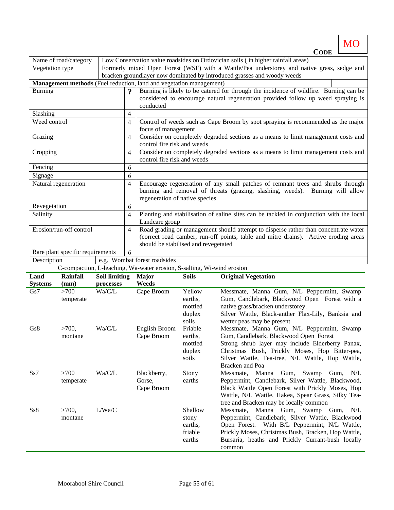MO **CODE**

|                 | Name of road/category            |                      |                         |                                                                                  |                                                                                         | Low Conservation value roadsides on Ordovician soils (in higher rainfall areas)            |  |  |  |
|-----------------|----------------------------------|----------------------|-------------------------|----------------------------------------------------------------------------------|-----------------------------------------------------------------------------------------|--------------------------------------------------------------------------------------------|--|--|--|
| Vegetation type |                                  |                      |                         |                                                                                  |                                                                                         | Formerly mixed Open Forest (WSF) with a Wattle/Pea understorey and native grass, sedge and |  |  |  |
|                 |                                  |                      |                         |                                                                                  |                                                                                         | bracken groundlayer now dominated by introduced grasses and woody weeds                    |  |  |  |
|                 |                                  |                      |                         | Management methods (Fuel reduction, land and vegetation management)              |                                                                                         |                                                                                            |  |  |  |
| <b>Burning</b>  |                                  |                      | $\overline{\mathbf{?}}$ |                                                                                  |                                                                                         | Burning is likely to be catered for through the incidence of wildfire. Burning can be      |  |  |  |
|                 |                                  |                      |                         | considered to encourage natural regeneration provided follow up weed spraying is |                                                                                         |                                                                                            |  |  |  |
|                 |                                  |                      |                         | conducted                                                                        |                                                                                         |                                                                                            |  |  |  |
| Slashing        |                                  |                      | 4                       |                                                                                  |                                                                                         |                                                                                            |  |  |  |
| Weed control    |                                  |                      | 4                       |                                                                                  |                                                                                         | Control of weeds such as Cape Broom by spot spraying is recommended as the major           |  |  |  |
|                 |                                  |                      |                         | focus of management                                                              |                                                                                         |                                                                                            |  |  |  |
| Grazing         |                                  |                      | 4                       | control fire risk and weeds                                                      |                                                                                         | Consider on completely degraded sections as a means to limit management costs and          |  |  |  |
| Cropping        |                                  |                      |                         |                                                                                  |                                                                                         | Consider on completely degraded sections as a means to limit management costs and          |  |  |  |
|                 |                                  |                      | 4                       | control fire risk and weeds                                                      |                                                                                         |                                                                                            |  |  |  |
| Fencing         |                                  |                      | 6                       |                                                                                  |                                                                                         |                                                                                            |  |  |  |
| Signage         |                                  |                      | 6                       |                                                                                  |                                                                                         |                                                                                            |  |  |  |
|                 | Natural regeneration             |                      | 4                       |                                                                                  |                                                                                         | Encourage regeneration of any small patches of remnant trees and shrubs through            |  |  |  |
|                 |                                  |                      |                         |                                                                                  |                                                                                         | burning and removal of threats (grazing, slashing, weeds). Burning will allow              |  |  |  |
|                 |                                  |                      |                         | regeneration of native species                                                   |                                                                                         |                                                                                            |  |  |  |
| Revegetation    |                                  |                      | 6                       |                                                                                  |                                                                                         |                                                                                            |  |  |  |
| Salinity        |                                  |                      | 4                       |                                                                                  | Planting and stabilisation of saline sites can be tackled in conjunction with the local |                                                                                            |  |  |  |
|                 |                                  |                      |                         | Landcare group                                                                   |                                                                                         |                                                                                            |  |  |  |
|                 | Erosion/run-off control          |                      | 4                       |                                                                                  |                                                                                         | Road grading or management should attempt to disperse rather than concentrate water        |  |  |  |
|                 |                                  |                      |                         |                                                                                  |                                                                                         | (correct road camber, run-off points, table and mitre drains). Active eroding areas        |  |  |  |
|                 |                                  |                      |                         | should be stabilised and revegetated                                             |                                                                                         |                                                                                            |  |  |  |
|                 | Rare plant specific requirements |                      | 6                       |                                                                                  |                                                                                         |                                                                                            |  |  |  |
| Description     |                                  |                      |                         | e.g. Wombat forest roadsides                                                     |                                                                                         |                                                                                            |  |  |  |
|                 |                                  |                      |                         | C-compaction, L-leaching, Wa-water erosion, S-salting, Wi-wind erosion           |                                                                                         |                                                                                            |  |  |  |
| Land            | Rainfall                         | <b>Soil limiting</b> |                         | <b>Major</b>                                                                     | <b>Soils</b>                                                                            | <b>Original Vegetation</b>                                                                 |  |  |  |
| <b>Systems</b>  | (mm)                             | processes            |                         | Weeds                                                                            |                                                                                         |                                                                                            |  |  |  |
| Gs7             | $>700$                           | Wa/C/L               |                         | Cape Broom                                                                       | Yellow                                                                                  | Messmate, Manna Gum, N/L Peppermint, Swamp                                                 |  |  |  |
|                 | temperate                        |                      |                         |                                                                                  | earths,                                                                                 | Gum, Candlebark, Blackwood Open Forest with a                                              |  |  |  |
|                 |                                  |                      |                         |                                                                                  | mottled                                                                                 | native grass/bracken understorey.                                                          |  |  |  |
|                 |                                  |                      |                         |                                                                                  | duplex                                                                                  | Silver Wattle, Black-anther Flax-Lily, Banksia and                                         |  |  |  |
| Gs8             | $>700$ ,                         | Wa/C/L               |                         | English Broom                                                                    | soils<br>Friable                                                                        | wetter peas may be present<br>Messmate, Manna Gum, N/L Peppermint, Swamp                   |  |  |  |
|                 | montane                          |                      |                         | Cape Broom                                                                       | earths,                                                                                 | Gum, Candlebark, Blackwood Open Forest                                                     |  |  |  |
|                 |                                  |                      |                         |                                                                                  | mottled                                                                                 | Strong shrub layer may include Elderberry Panax,                                           |  |  |  |
|                 |                                  |                      |                         |                                                                                  | duplex                                                                                  | Christmas Bush, Prickly Moses, Hop Bitter-pea,                                             |  |  |  |
|                 |                                  |                      |                         |                                                                                  | soils                                                                                   | Silver Wattle, Tea-tree, N/L Wattle, Hop Wattle,                                           |  |  |  |
|                 |                                  |                      |                         |                                                                                  |                                                                                         | Bracken and Poa                                                                            |  |  |  |
| Ss7             | >700                             | Wa/C/L               |                         | Blackberry,                                                                      | Stony                                                                                   | Swamp<br>Messmate, Manna<br>Gum,<br>Gum,<br>N/L                                            |  |  |  |
|                 | temperate                        |                      |                         | Gorse,                                                                           | earths                                                                                  | Peppermint, Candlebark, Silver Wattle, Blackwood,                                          |  |  |  |
|                 |                                  |                      |                         | Cape Broom                                                                       |                                                                                         | Black Wattle Open Forest with Prickly Moses, Hop                                           |  |  |  |
|                 |                                  |                      |                         |                                                                                  |                                                                                         | Wattle, N/L Wattle, Hakea, Spear Grass, Silky Tea-                                         |  |  |  |

tree and Bracken may be locally common  $Ss8 \t >700,$ montane L/Wa/C Shallow stony earths, friable earths Messmate, Manna Gum, Swamp Gum, N/L Peppermint, Candlebark, Silver Wattle, Blackwood Open Forest. With B/L Peppermint, N/L Wattle, Prickly Moses, Christmas Bush, Bracken, Hop Wattle, Bursaria, heaths and Prickly Currant-bush locally common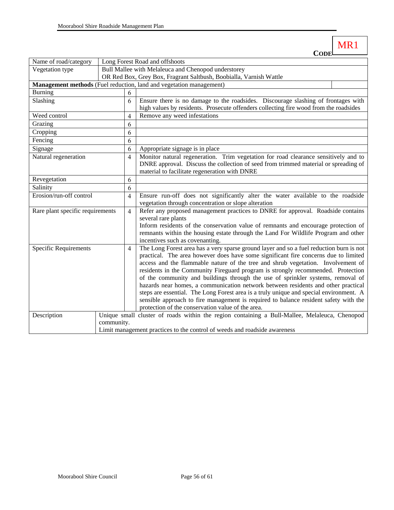ſ

| Name of road/category                                               | Long Forest Road and offshoots                                                                |                |                                                                                                                                                                                |  |  |
|---------------------------------------------------------------------|-----------------------------------------------------------------------------------------------|----------------|--------------------------------------------------------------------------------------------------------------------------------------------------------------------------------|--|--|
| Vegetation type                                                     | Bull Mallee with Melaleuca and Chenopod understorey                                           |                |                                                                                                                                                                                |  |  |
|                                                                     |                                                                                               |                | OR Red Box, Grey Box, Fragrant Saltbush, Boobialla, Varnish Wattle                                                                                                             |  |  |
| Management methods (Fuel reduction, land and vegetation management) |                                                                                               |                |                                                                                                                                                                                |  |  |
| <b>Burning</b>                                                      |                                                                                               | 6              |                                                                                                                                                                                |  |  |
| Slashing                                                            |                                                                                               | 6              | Ensure there is no damage to the roadsides. Discourage slashing of frontages with                                                                                              |  |  |
|                                                                     |                                                                                               |                | high values by residents. Prosecute offenders collecting fire wood from the roadsides                                                                                          |  |  |
| Weed control                                                        |                                                                                               | 4              | Remove any weed infestations                                                                                                                                                   |  |  |
| Grazing                                                             |                                                                                               | 6              |                                                                                                                                                                                |  |  |
| Cropping                                                            |                                                                                               | 6              |                                                                                                                                                                                |  |  |
| Fencing                                                             |                                                                                               | 6              |                                                                                                                                                                                |  |  |
| Signage                                                             |                                                                                               | 6              | Appropriate signage is in place                                                                                                                                                |  |  |
| Natural regeneration                                                |                                                                                               | $\overline{4}$ | Monitor natural regeneration. Trim vegetation for road clearance sensitively and to                                                                                            |  |  |
|                                                                     |                                                                                               |                | DNRE approval. Discuss the collection of seed from trimmed material or spreading of                                                                                            |  |  |
|                                                                     |                                                                                               |                | material to facilitate regeneration with DNRE                                                                                                                                  |  |  |
| Revegetation                                                        |                                                                                               | 6              |                                                                                                                                                                                |  |  |
| Salinity                                                            |                                                                                               | 6              |                                                                                                                                                                                |  |  |
| Erosion/run-off control                                             |                                                                                               | $\overline{4}$ | Ensure run-off does not significantly alter the water available to the roadside                                                                                                |  |  |
|                                                                     |                                                                                               |                | vegetation through concentration or slope alteration                                                                                                                           |  |  |
| Rare plant specific requirements                                    |                                                                                               | $\overline{4}$ | Refer any proposed management practices to DNRE for approval. Roadside contains                                                                                                |  |  |
|                                                                     |                                                                                               |                | several rare plants                                                                                                                                                            |  |  |
|                                                                     |                                                                                               |                | Inform residents of the conservation value of remnants and encourage protection of                                                                                             |  |  |
|                                                                     |                                                                                               |                | remnants within the housing estate through the Land For Wildlife Program and other                                                                                             |  |  |
|                                                                     |                                                                                               |                | incentives such as covenanting.                                                                                                                                                |  |  |
| Specific Requirements                                               |                                                                                               | $\overline{4}$ | The Long Forest area has a very sparse ground layer and so a fuel reduction burn is not<br>practical. The area however does have some significant fire concerns due to limited |  |  |
|                                                                     |                                                                                               |                | access and the flammable nature of the tree and shrub vegetation. Involvement of                                                                                               |  |  |
|                                                                     |                                                                                               |                | residents in the Community Fireguard program is strongly recommended. Protection                                                                                               |  |  |
|                                                                     |                                                                                               |                | of the community and buildings through the use of sprinkler systems, removal of                                                                                                |  |  |
|                                                                     |                                                                                               |                | hazards near homes, a communication network between residents and other practical                                                                                              |  |  |
|                                                                     |                                                                                               |                | steps are essential. The Long Forest area is a truly unique and special environment. A                                                                                         |  |  |
|                                                                     |                                                                                               |                | sensible approach to fire management is required to balance resident safety with the                                                                                           |  |  |
|                                                                     |                                                                                               |                | protection of the conservation value of the area.                                                                                                                              |  |  |
| Description                                                         | Unique small cluster of roads within the region containing a Bull-Mallee, Melaleuca, Chenopod |                |                                                                                                                                                                                |  |  |
|                                                                     | community.                                                                                    |                |                                                                                                                                                                                |  |  |
|                                                                     | Limit management practices to the control of weeds and roadside awareness                     |                |                                                                                                                                                                                |  |  |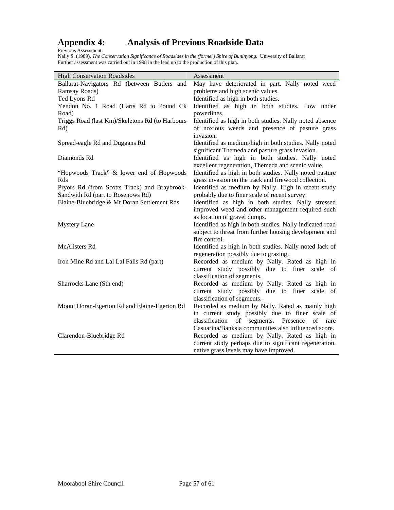# <span id="page-56-0"></span>Appendix 4:<br>Previous Assessment:

### **Appendix 4: Analysis of Previous Roadside Data**

Nally S. (1989). *The Conservation Significance of Roadsides in the (former) Shire of Buninyong.* University of Ballarat Further assessment was carried out in 1998 in the lead up to the production of this plan.

| <b>High Conservation Roadsides</b>              | Assessment                                               |
|-------------------------------------------------|----------------------------------------------------------|
| Ballarat-Navigators Rd (between Butlers and     | May have deteriorated in part. Nally noted weed          |
| Ramsay Roads)                                   | problems and high scenic values.                         |
| Ted Lyons Rd                                    | Identified as high in both studies.                      |
| Yendon No. 1 Road (Harts Rd to Pound Ck         | Identified as high in both studies. Low under            |
| Road)                                           | powerlines.                                              |
| Triggs Road (last Km)/Skeletons Rd (to Harbours | Identified as high in both studies. Nally noted absence  |
| Rd)                                             | of noxious weeds and presence of pasture grass           |
|                                                 | invasion.                                                |
| Spread-eagle Rd and Duggans Rd                  | Identified as medium/high in both studies. Nally noted   |
|                                                 | significant Themeda and pasture grass invasion.          |
| Diamonds Rd                                     | Identified as high in both studies. Nally noted          |
|                                                 | excellent regeneration, Themeda and scenic value.        |
| "Hopwoods Track" & lower end of Hopwoods        | Identified as high in both studies. Nally noted pasture  |
| Rds                                             | grass invasion on the track and firewood collection.     |
| Pryors Rd (from Scotts Track) and Braybrook-    | Identified as medium by Nally. High in recent study      |
| Sandwith Rd (part to Rosenows Rd)               | probably due to finer scale of recent survey.            |
| Elaine-Bluebridge & Mt Doran Settlement Rds     | Identified as high in both studies. Nally stressed       |
|                                                 | improved weed and other management required such         |
|                                                 | as location of gravel dumps.                             |
| <b>Mystery Lane</b>                             | Identified as high in both studies. Nally indicated road |
|                                                 | subject to threat from further housing development and   |
|                                                 | fire control.                                            |
| <b>McAlisters Rd</b>                            | Identified as high in both studies. Nally noted lack of  |
|                                                 | regeneration possibly due to grazing.                    |
| Iron Mine Rd and Lal Lal Falls Rd (part)        | Recorded as medium by Nally. Rated as high in            |
|                                                 | current study possibly due to finer scale of             |
|                                                 | classification of segments.                              |
| Sharrocks Lane (Sth end)                        | Recorded as medium by Nally. Rated as high in            |
|                                                 | current study possibly due to finer scale of             |
|                                                 | classification of segments.                              |
| Mount Doran-Egerton Rd and Elaine-Egerton Rd    | Recorded as medium by Nally. Rated as mainly high        |
|                                                 | in current study possibly due to finer scale of          |
|                                                 | classification of segments. Presence<br>of rare          |
|                                                 | Casuarina/Banksia communities also influenced score.     |
| Clarendon-Bluebridge Rd                         | Recorded as medium by Nally. Rated as high in            |
|                                                 | current study perhaps due to significant regeneration.   |
|                                                 | native grass levels may have improved.                   |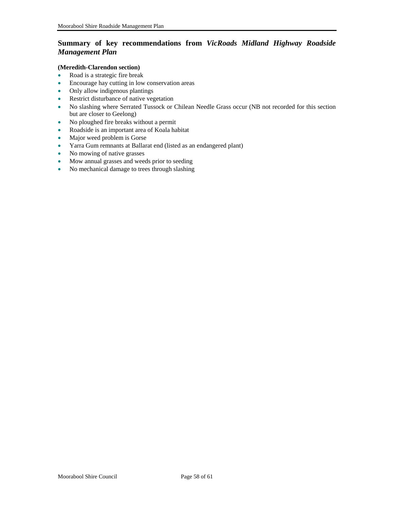### <span id="page-57-0"></span>**Summary of key recommendations from** *VicRoads Midland Highway Roadside Management Plan*

#### **(Meredith-Clarendon section)**

- Road is a strategic fire break
- Encourage hay cutting in low conservation areas
- Only allow indigenous plantings
- Restrict disturbance of native vegetation
- No slashing where Serrated Tussock or Chilean Needle Grass occur (NB not recorded for this section but are closer to Geelong)
- No ploughed fire breaks without a permit
- Roadside is an important area of Koala habitat
- Major weed problem is Gorse
- Yarra Gum remnants at Ballarat end (listed as an endangered plant)
- No mowing of native grasses
- Mow annual grasses and weeds prior to seeding
- No mechanical damage to trees through slashing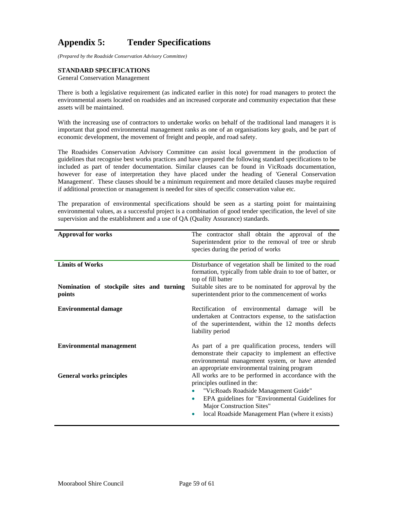### <span id="page-58-0"></span>**Appendix 5: Tender Specifications**

*(Prepared by the Roadside Conservation Advisory Committee)* 

#### **STANDARD SPECIFICATIONS**

General Conservation Management

There is both a legislative requirement (as indicated earlier in this note) for road managers to protect the environmental assets located on roadsides and an increased corporate and community expectation that these assets will be maintained.

With the increasing use of contractors to undertake works on behalf of the traditional land managers it is important that good environmental management ranks as one of an organisations key goals, and be part of economic development, the movement of freight and people, and road safety.

The Roadsides Conservation Advisory Committee can assist local government in the production of guidelines that recognise best works practices and have prepared the following standard specifications to be included as part of tender documentation. Similar clauses can be found in VicRoads documentation, however for ease of interpretation they have placed under the heading of 'General Conservation Management'. These clauses should be a minimum requirement and more detailed clauses maybe required if additional protection or management is needed for sites of specific conservation value etc.

The preparation of environmental specifications should be seen as a starting point for maintaining environmental values, as a successful project is a combination of good tender specification, the level of site supervision and the establishment and a use of QA (Quality Assurance) standards.

| <b>Approval for works</b>                                                     | The contractor shall obtain the approval of the<br>Superintendent prior to the removal of tree or shrub<br>species during the period of works                                                                                                                                      |
|-------------------------------------------------------------------------------|------------------------------------------------------------------------------------------------------------------------------------------------------------------------------------------------------------------------------------------------------------------------------------|
| <b>Limits of Works</b><br>Nomination of stockpile sites and turning<br>points | Disturbance of vegetation shall be limited to the road<br>formation, typically from table drain to toe of batter, or<br>top of fill batter<br>Suitable sites are to be nominated for approval by the<br>superintendent prior to the commencement of works                          |
| <b>Environmental damage</b>                                                   | Rectification of environmental damage will be<br>undertaken at Contractors expense, to the satisfaction<br>of the superintendent, within the 12 months defects<br>liability period                                                                                                 |
| <b>Environmental management</b>                                               | As part of a pre qualification process, tenders will<br>demonstrate their capacity to implement an effective<br>environmental management system, or have attended<br>an appropriate environmental training program                                                                 |
| <b>General works principles</b>                                               | All works are to be performed in accordance with the<br>principles outlined in the:<br>"VicRoads Roadside Management Guide"<br>۰<br>EPA guidelines for "Environmental Guidelines for<br>$\bullet$<br>Major Construction Sites"<br>local Roadside Management Plan (where it exists) |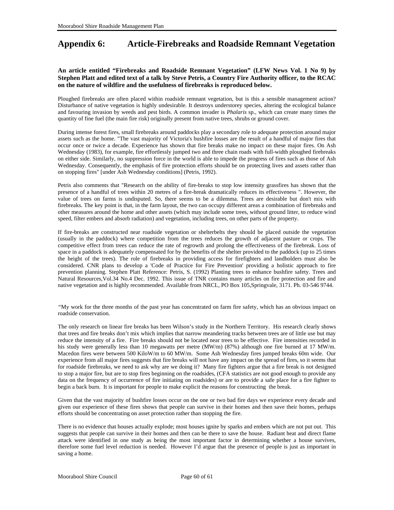### <span id="page-59-0"></span>**Appendix 6: Article-Firebreaks and Roadside Remnant Vegetation**

#### **An article entitled "Firebreaks and Roadside Remnant Vegetation" (LFW News Vol. 1 No 9) by Stephen Platt and edited text of a talk by Steve Petris, a Country Fire Authority officer, to the RCAC on the nature of wildfire and the usefulness of firebreaks is reproduced below.**

Ploughed firebreaks are often placed within roadside remnant vegetation, but is this a sensible management action? Disturbance of native vegetation is highly undesirable. It destroys understorey species, altering the ecological balance and favouring invasion by weeds and pest birds. A common invader is *Phalaris* sp., which can create many times the quantity of fine fuel (the main fire risk) originally present from native trees, shrubs or ground cover.

During intense forest fires, small firebreaks around paddocks play a secondary role to adequate protection around major assets such as the home. "The vast majority of Victoria's bushfire losses are the result of a handful of major fires that occur once or twice a decade. Experience has shown that fire breaks make no impact on these major fires. On Ash Wednesday (1983), for example, fire effortlessly jumped two and three chain roads with full-width ploughed firebreaks on either side. Similarly, no suppression force in the world is able to impede the progress of fires such as those of Ash Wednesday. Consequently, the emphasis of fire protection efforts should be on protecting lives and assets rather than on stopping fires" [under Ash Wednesday conditions] (Petris, 1992).

Petris also comments that "Research on the ability of fire-breaks to stop low intensity grassfires has shown that the presence of a handful of trees within 20 metres of a fire-break dramatically reduces its effectiveness ". However, the value of trees on farms is undisputed. So, there seems to be a dilemma. Trees are desirable but don't mix with firebreaks. The key point is that, in the farm layout, the two can occupy different areas a combination of firebreaks and other measures around the home and other assets (which may include some trees, without ground litter, to reduce wind speed, filter embers and absorb radiation) and vegetation, including trees, on other parts of the property.

If fire-breaks are constructed near roadside vegetation or shelterbelts they should be placed outside the vegetation (usually in the paddock) where competition from the trees reduces the growth of adjacent pasture or crops. The competitive effect from trees can reduce the rate of regrowth and prolong the effectiveness of the firebreak. Loss of space in a paddock is adequately compensated for by the benefits of the shelter provided to the paddock (up to 25 times the height of the trees). The role of firebreaks in providing access for firefighters and landholders must also be considered. CNR plans to develop a 'Code of Practice for Fire Prevention' providing a holistic approach to fire prevention planning. Stephen Platt Reference: Petris, S. (1992) Planting trees to enhance bushfire safety. Trees and Natural Resources,Vol.34 No.4 Dec. 1992. This issue of TNR contains many articles on fire protection and fire and native vegetation and is highly recommended. Available from NRCL, PO Box 105,Springvale, 3171. Ph. 03-546 9744.

*"*My work for the three months of the past year has concentrated on farm fire safety, which has an obvious impact on roadside conservation.

The only research on linear fire breaks has been Wilson's study in the Northern Territory. His research clearly shows that trees and fire breaks don't mix which implies that narrow meandering tracks between trees are of little use but may reduce the intensity of a fire. Fire breaks should not be located near trees to be effective. Fire intensities recorded in his study were generally less than 10 megawatts per metre (MW/m) (87%) although one fire burned at 17 MW/m. Macedon fires were between 500 KiloW/m to 60 MW/m. Some Ash Wednesday fires jumped breaks 60m wide. Our experience from all major fires suggests that fire breaks will not have any impact on the spread of fires, so it seems that for roadside firebreaks, we need to ask why are we doing it? Many fire fighters argue that a fire break is not designed to stop a major fire, but are to stop fires beginning on the roadsides, (CFA statistics are not good enough to provide any data on the frequency of occurrence of fire initiating on roadsides) or are to provide a safe place for a fire fighter to begin a back burn. It is important for people to make explicit the reasons for constructing the break.

Given that the vast majority of bushfire losses occur on the one or two bad fire days we experience every decade and given our experience of these fires shows that people can survive in their homes and then save their homes, perhaps efforts should be concentrating on asset protection rather than stopping the fire.

There is no evidence that houses actually explode; most houses ignite by sparks and embers which are not put out. This suggests that people can survive in their homes and then can be there to save the house. Radiant heat and direct flame attack were identified in one study as being the most important factor in determining whether a house survives, therefore some fuel level reduction is needed. However I'd argue that the presence of people is just as important in saving a home.